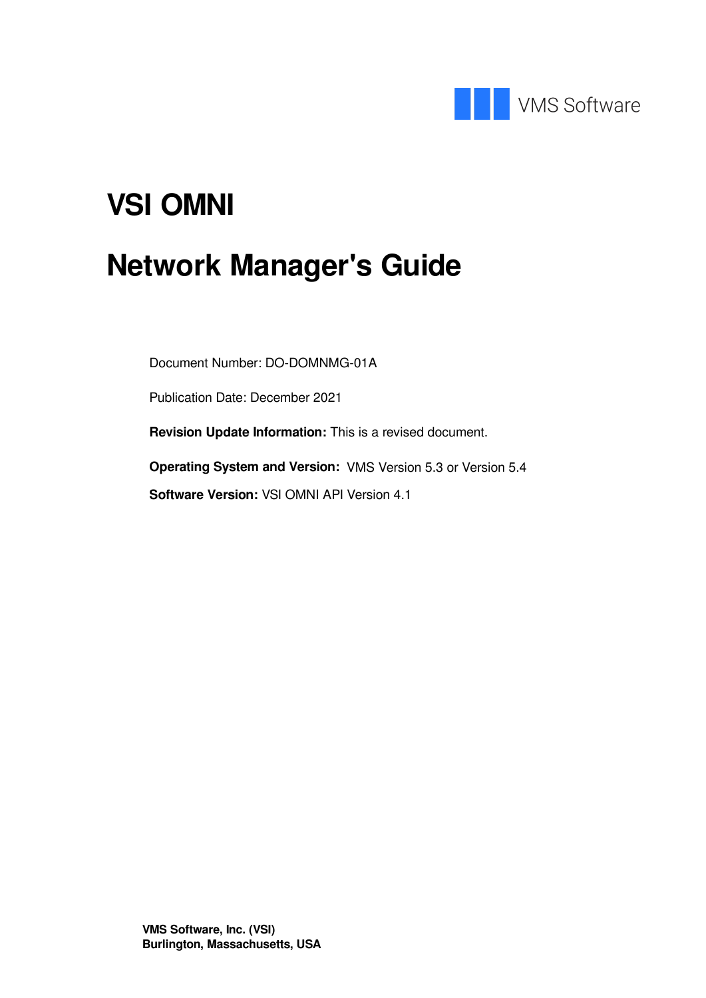

# **VSI OMNI**

# **Network Manager's Guide**

Document Number: DO-DOMNMG-01A

Publication Date: December 2021

**Revision Update Information:** This is a revised document.

**Operating System and Version:** VMS Version 5.3 or Version 5.4 **Software Version:** VSI OMNI API Version 4.1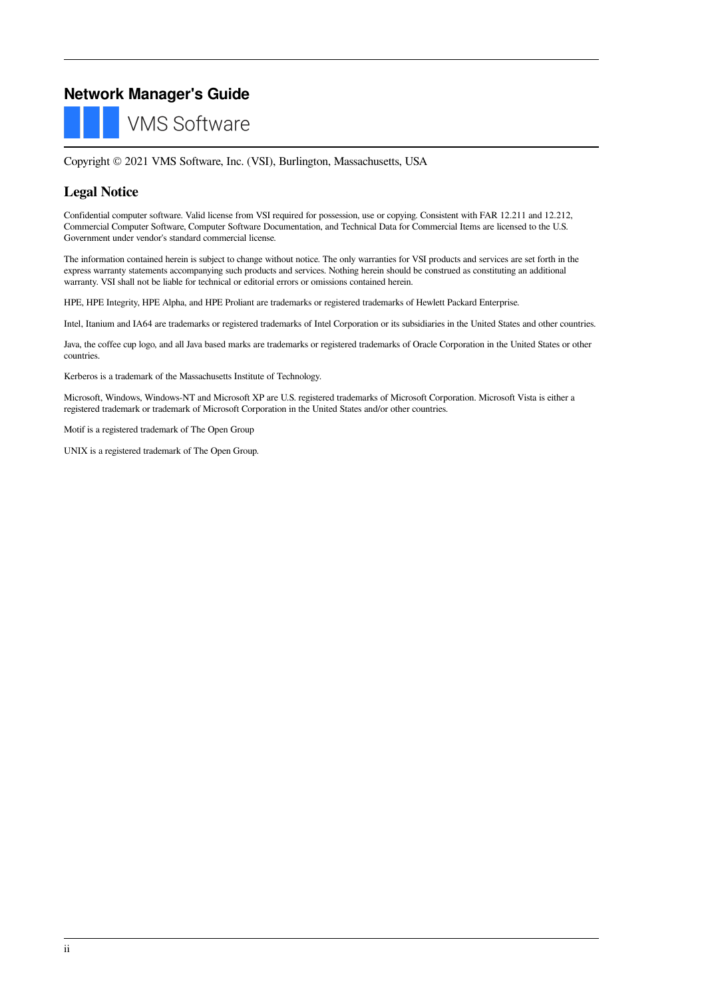### **Network Manager's Guide**

**VMS Software** 

Copyright © 2021 VMS Software, Inc. (VSI), Burlington, Massachusetts, USA

#### **Legal Notice**

Confidential computer software. Valid license from VSI required for possession, use or copying. Consistent with FAR 12.211 and 12.212, Commercial Computer Software, Computer Software Documentation, and Technical Data for Commercial Items are licensed to the U.S. Government under vendor's standard commercial license.

The information contained herein is subject to change without notice. The only warranties for VSI products and services are set forth in the express warranty statements accompanying such products and services. Nothing herein should be construed as constituting an additional warranty. VSI shall not be liable for technical or editorial errors or omissions contained herein.

HPE, HPE Integrity, HPE Alpha, and HPE Proliant are trademarks or registered trademarks of Hewlett Packard Enterprise.

Intel, Itanium and IA64 are trademarks or registered trademarks of Intel Corporation or its subsidiaries in the United States and other countries.

Java, the coffee cup logo, and all Java based marks are trademarks or registered trademarks of Oracle Corporation in the United States or other countries.

Kerberos is a trademark of the Massachusetts Institute of Technology.

Microsoft, Windows, Windows-NT and Microsoft XP are U.S. registered trademarks of Microsoft Corporation. Microsoft Vista is either a registered trademark or trademark of Microsoft Corporation in the United States and/or other countries.

Motif is a registered trademark of The Open Group

UNIX is a registered trademark of The Open Group.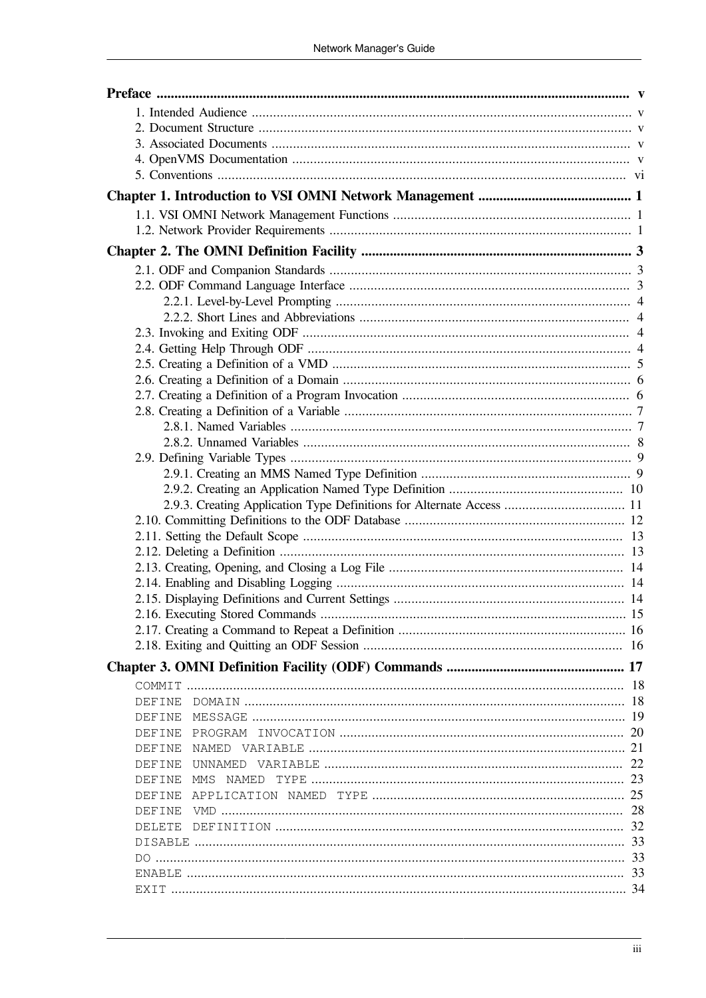| DEFINE                 |  |
|------------------------|--|
| DEFINE                 |  |
| <b>DEFINE</b>          |  |
| DEFINE                 |  |
| <b>DEFINE</b>          |  |
| DEFINE<br>NAMED<br>MMS |  |
| DEFINE                 |  |
| DEFINE                 |  |
| DELETE                 |  |
|                        |  |
|                        |  |
|                        |  |
|                        |  |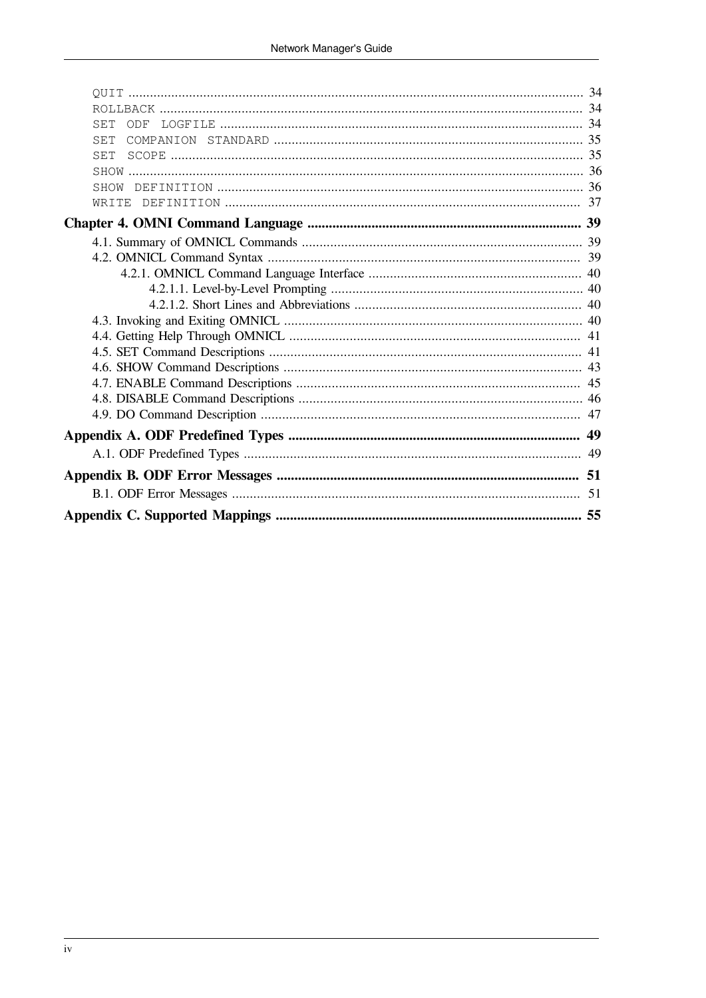| <b>SET</b><br>ODF |  |
|-------------------|--|
| <b>SET</b>        |  |
| <b>SET</b>        |  |
|                   |  |
| SHOW              |  |
|                   |  |
|                   |  |
|                   |  |
|                   |  |
|                   |  |
|                   |  |
|                   |  |
|                   |  |
|                   |  |
|                   |  |
|                   |  |
|                   |  |
|                   |  |
|                   |  |
|                   |  |
|                   |  |
|                   |  |
|                   |  |
|                   |  |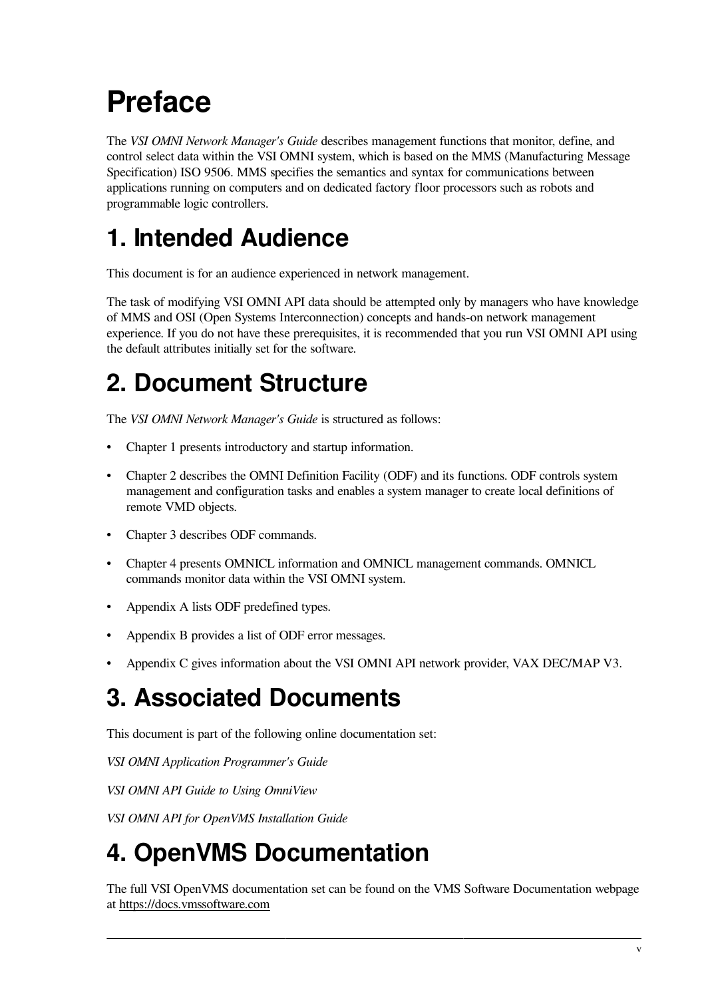# <span id="page-4-0"></span>**Preface**

The *VSI OMNI Network Manager's Guide* describes management functions that monitor, define, and control select data within the VSI OMNI system, which is based on the MMS (Manufacturing Message Specification) ISO 9506. MMS specifies the semantics and syntax for communications between applications running on computers and on dedicated factory floor processors such as robots and programmable logic controllers.

# <span id="page-4-1"></span>**1. Intended Audience**

This document is for an audience experienced in network management.

The task of modifying VSI OMNI API data should be attempted only by managers who have knowledge of MMS and OSI (Open Systems Interconnection) concepts and hands-on network management experience. If you do not have these prerequisites, it is recommended that you run VSI OMNI API using the default attributes initially set for the software.

# <span id="page-4-2"></span>**2. Document Structure**

The *VSI OMNI Network Manager's Guide* is structured as follows:

- [Chapter](#page-6-0) 1 presents introductory and startup information.
- [Chapter](#page-8-0) 2 describes the OMNI Definition Facility (ODF) and its functions. ODF controls system management and configuration tasks and enables a system manager to create local definitions of remote VMD objects.
- [Chapter](#page-22-0) 3 describes ODF commands.
- [Chapter](#page-44-0) 4 presents OMNICL information and OMNICL management commands. OMNICL commands monitor data within the VSI OMNI system.
- [Appendix](#page-54-0) A lists ODF predefined types.
- [Appendix](#page-56-0) B provides a list of ODF error messages.
- [Appendix](#page-60-0) C gives information about the VSI OMNI API network provider, VAX DEC/MAP V3.

# <span id="page-4-3"></span>**3. Associated Documents**

This document is part of the following online documentation set:

*VSI OMNI Application Programmer's Guide*

*VSI OMNI API Guide to Using OmniView*

*VSI OMNI API for OpenVMS Installation Guide*

# <span id="page-4-4"></span>**4. OpenVMS Documentation**

The full VSI OpenVMS documentation set can be found on the VMS Software Documentation webpage at <https://docs.vmssoftware.com>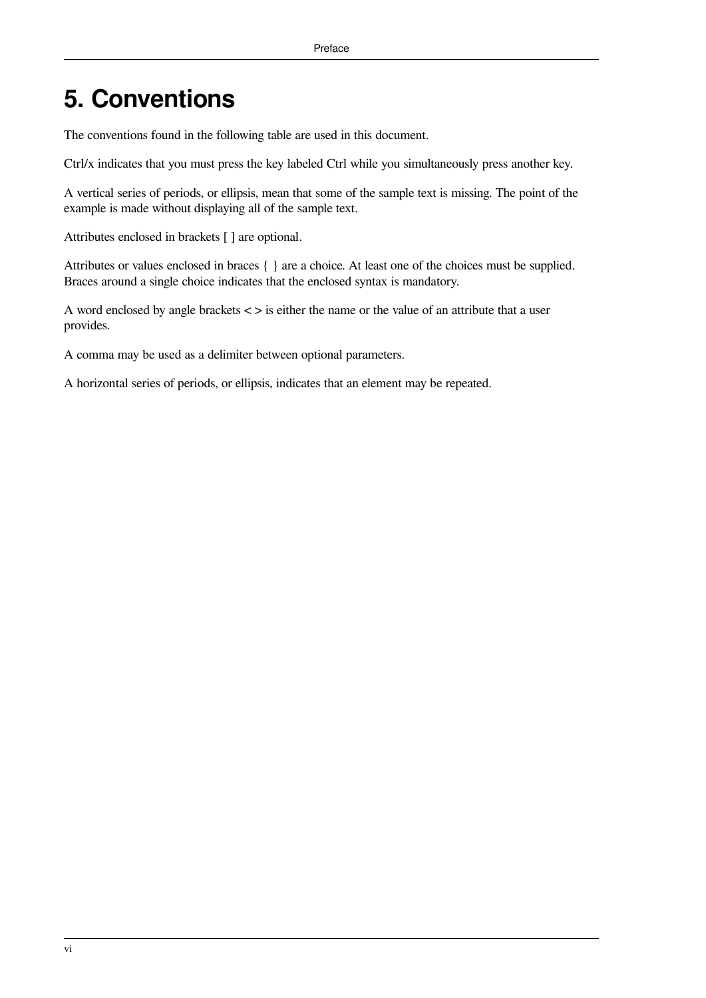# <span id="page-5-0"></span>**5. Conventions**

The conventions found in the following table are used in this document.

Ctrl/x indicates that you must press the key labeled Ctrl while you simultaneously press another key.

A vertical series of periods, or ellipsis, mean that some of the sample text is missing. The point of the example is made without displaying all of the sample text.

Attributes enclosed in brackets [ ] are optional.

Attributes or values enclosed in braces { } are a choice. At least one of the choices must be supplied. Braces around a single choice indicates that the enclosed syntax is mandatory.

A word enclosed by angle brackets < > is either the name or the value of an attribute that a user provides.

A comma may be used as a delimiter between optional parameters.

A horizontal series of periods, or ellipsis, indicates that an element may be repeated.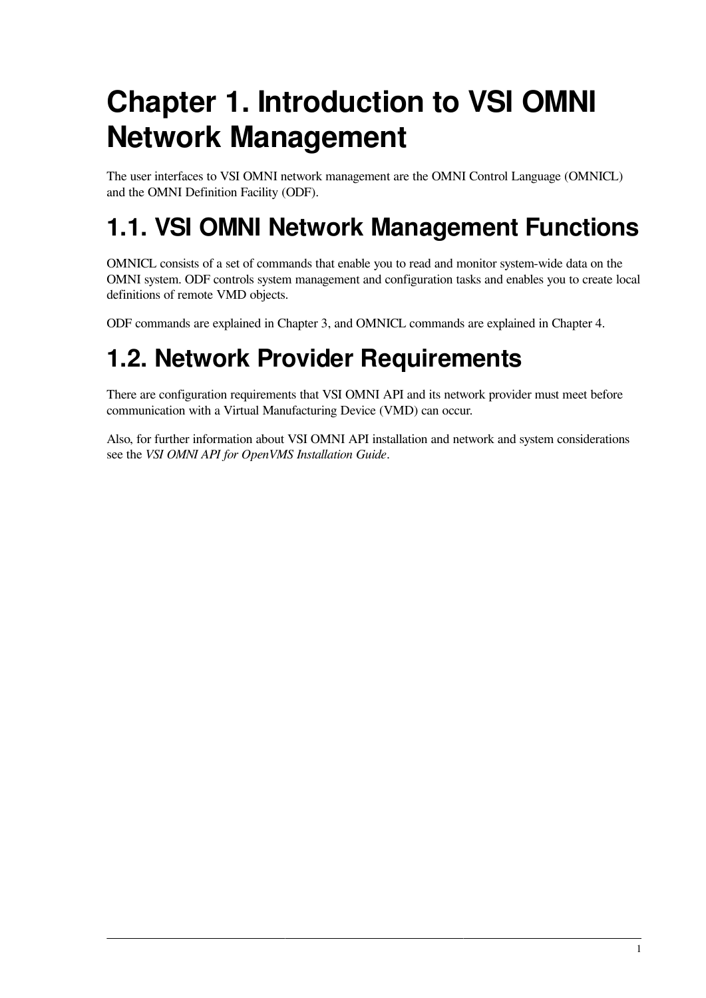# <span id="page-6-0"></span>**Chapter 1. Introduction to VSI OMNI Network Management**

The user interfaces to VSI OMNI network management are the OMNI Control Language (OMNICL) and the OMNI Definition Facility (ODF).

# <span id="page-6-1"></span>**1.1. VSI OMNI Network Management Functions**

OMNICL consists of a set of commands that enable you to read and monitor system-wide data on the OMNI system. ODF controls system management and configuration tasks and enables you to create local definitions of remote VMD objects.

ODF commands are explained in [Chapter](#page-22-0) 3, and OMNICL commands are explained in [Chapter](#page-44-0) 4.

# <span id="page-6-2"></span>**1.2. Network Provider Requirements**

There are configuration requirements that VSI OMNI API and its network provider must meet before communication with a Virtual Manufacturing Device (VMD) can occur.

Also, for further information about VSI OMNI API installation and network and system considerations see the *VSI OMNI API for OpenVMS Installation Guide*.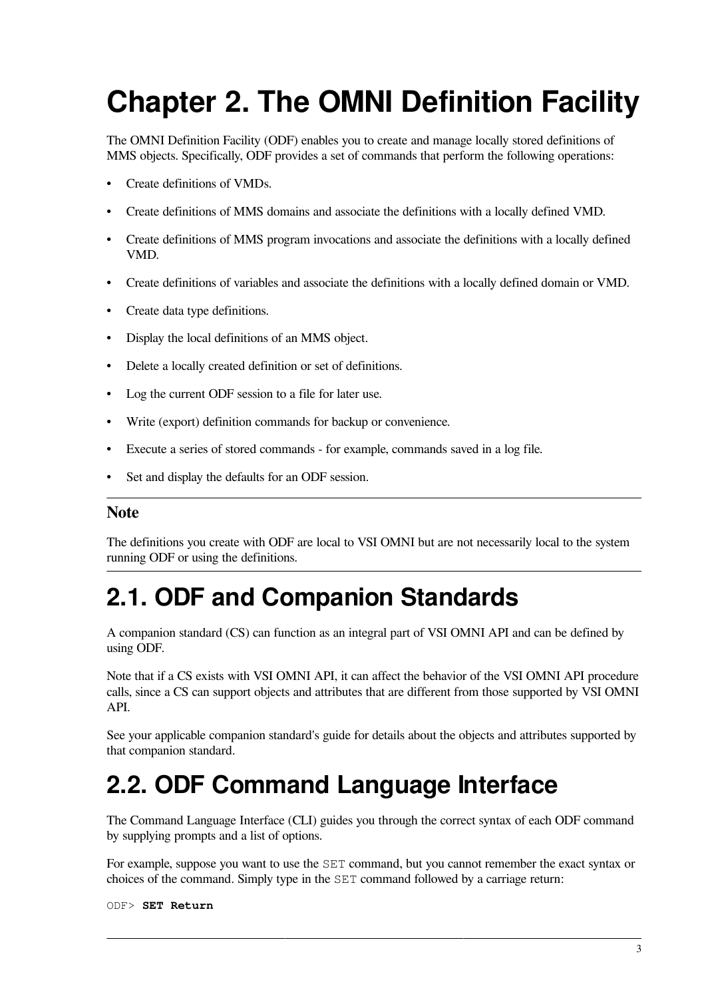# <span id="page-8-0"></span>**Chapter 2. The OMNI Definition Facility**

The OMNI Definition Facility (ODF) enables you to create and manage locally stored definitions of MMS objects. Specifically, ODF provides a set of commands that perform the following operations:

- Create definitions of VMDs.
- Create definitions of MMS domains and associate the definitions with a locally defined VMD.
- Create definitions of MMS program invocations and associate the definitions with a locally defined VMD.
- Create definitions of variables and associate the definitions with a locally defined domain or VMD.
- Create data type definitions.
- Display the local definitions of an MMS object.
- Delete a locally created definition or set of definitions.
- Log the current ODF session to a file for later use.
- Write (export) definition commands for backup or convenience.
- Execute a series of stored commands for example, commands saved in a log file.
- Set and display the defaults for an ODF session.

#### **Note**

The definitions you create with ODF are local to VSI OMNI but are not necessarily local to the system running ODF or using the definitions.

# <span id="page-8-1"></span>**2.1. ODF and Companion Standards**

A companion standard (CS) can function as an integral part of VSI OMNI API and can be defined by using ODF.

Note that if a CS exists with VSI OMNI API, it can affect the behavior of the VSI OMNI API procedure calls, since a CS can support objects and attributes that are different from those supported by VSI OMNI API.

See your applicable companion standard's guide for details about the objects and attributes supported by that companion standard.

# <span id="page-8-2"></span>**2.2. ODF Command Language Interface**

The Command Language Interface (CLI) guides you through the correct syntax of each ODF command by supplying prompts and a list of options.

For example, suppose you want to use the SET command, but you cannot remember the exact syntax or choices of the command. Simply type in the SET command followed by a carriage return:

ODF> **SET Return**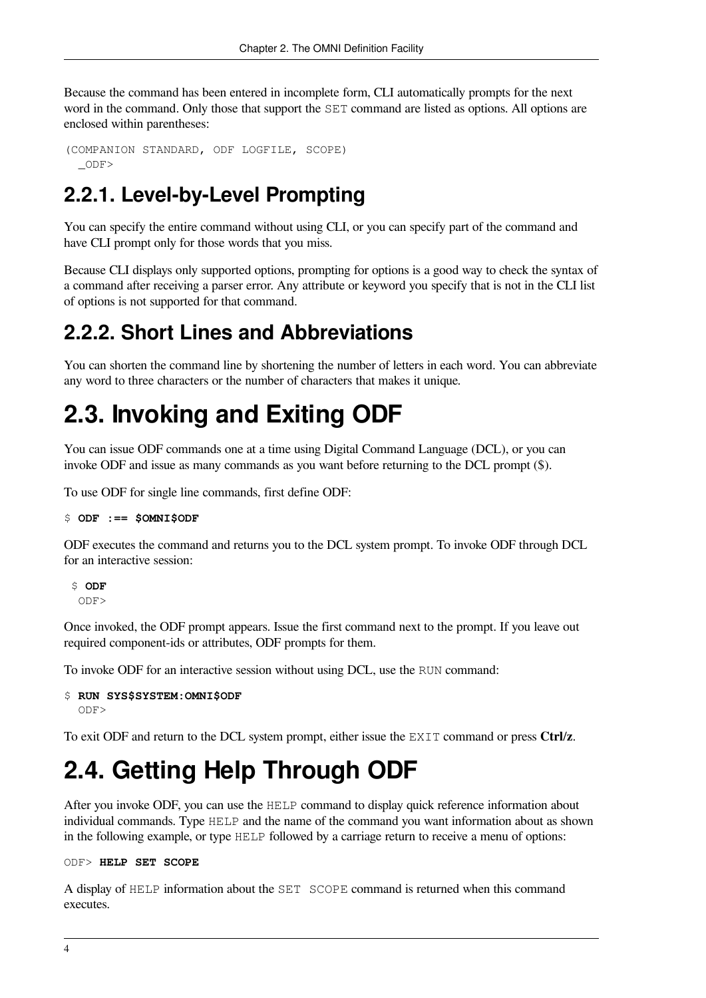Because the command has been entered in incomplete form, CLI automatically prompts for the next word in the command. Only those that support the SET command are listed as options. All options are enclosed within parentheses:

```
(COMPANION STANDARD, ODF LOGFILE, SCOPE)
  _ODF>
```
## <span id="page-9-0"></span>**2.2.1. Level-by-Level Prompting**

You can specify the entire command without using CLI, or you can specify part of the command and have CLI prompt only for those words that you miss.

Because CLI displays only supported options, prompting for options is a good way to check the syntax of a command after receiving a parser error. Any attribute or keyword you specify that is not in the CLI list of options is not supported for that command.

## <span id="page-9-1"></span>**2.2.2. Short Lines and Abbreviations**

You can shorten the command line by shortening the number of letters in each word. You can abbreviate any word to three characters or the number of characters that makes it unique.

# <span id="page-9-2"></span>**2.3. Invoking and Exiting ODF**

You can issue ODF commands one at a time using Digital Command Language (DCL), or you can invoke ODF and issue as many commands as you want before returning to the DCL prompt (\$).

To use ODF for single line commands, first define ODF:

```
$ ODF :== $OMNI$ODF
```
ODF executes the command and returns you to the DCL system prompt. To invoke ODF through DCL for an interactive session:

 \$ **ODF** ODF>

Once invoked, the ODF prompt appears. Issue the first command next to the prompt. If you leave out required component-ids or attributes, ODF prompts for them.

To invoke ODF for an interactive session without using DCL, use the RUN command:

```
$ RUN SYS$SYSTEM:OMNI$ODF
   ODF>
```
To exit ODF and return to the DCL system prompt, either issue the EXIT command or press **Ctrl**/**z**.

# <span id="page-9-3"></span>**2.4. Getting Help Through ODF**

After you invoke ODF, you can use the HELP command to display quick reference information about individual commands. Type HELP and the name of the command you want information about as shown in the following example, or type HELP followed by a carriage return to receive a menu of options:

#### ODF> **HELP SET SCOPE**

A display of HELP information about the SET SCOPE command is returned when this command executes.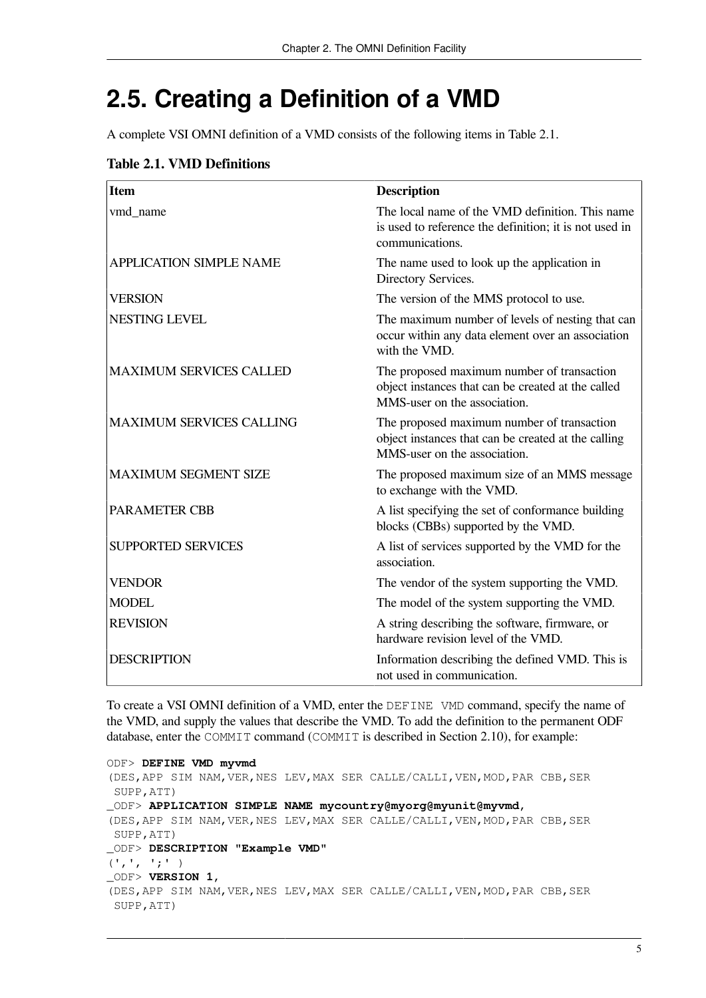# <span id="page-10-0"></span>**2.5. Creating a Definition of a VMD**

A complete VSI OMNI definition of a VMD consists of the following items in [Table](#page-10-1) 2.1.

#### <span id="page-10-1"></span>**Table 2.1. VMD Definitions**

| <b>Item</b>                     | <b>Description</b>                                                                                                                |
|---------------------------------|-----------------------------------------------------------------------------------------------------------------------------------|
| vmd_name                        | The local name of the VMD definition. This name<br>is used to reference the definition; it is not used in<br>communications.      |
| <b>APPLICATION SIMPLE NAME</b>  | The name used to look up the application in<br>Directory Services.                                                                |
| <b>VERSION</b>                  | The version of the MMS protocol to use.                                                                                           |
| <b>NESTING LEVEL</b>            | The maximum number of levels of nesting that can<br>occur within any data element over an association<br>with the VMD.            |
| <b>MAXIMUM SERVICES CALLED</b>  | The proposed maximum number of transaction<br>object instances that can be created at the called<br>MMS-user on the association.  |
| <b>MAXIMUM SERVICES CALLING</b> | The proposed maximum number of transaction<br>object instances that can be created at the calling<br>MMS-user on the association. |
| <b>MAXIMUM SEGMENT SIZE</b>     | The proposed maximum size of an MMS message<br>to exchange with the VMD.                                                          |
| <b>PARAMETER CBB</b>            | A list specifying the set of conformance building<br>blocks (CBBs) supported by the VMD.                                          |
| <b>SUPPORTED SERVICES</b>       | A list of services supported by the VMD for the<br>association.                                                                   |
| <b>VENDOR</b>                   | The vendor of the system supporting the VMD.                                                                                      |
| <b>MODEL</b>                    | The model of the system supporting the VMD.                                                                                       |
| <b>REVISION</b>                 | A string describing the software, firmware, or<br>hardware revision level of the VMD.                                             |
| <b>DESCRIPTION</b>              | Information describing the defined VMD. This is<br>not used in communication.                                                     |

To create a VSI OMNI definition of a VMD, enter the DEFINE VMD command, specify the name of the VMD, and supply the values that describe the VMD. To add the definition to the permanent ODF database, enter the COMMIT command (COMMIT is described in [Section](#page-17-0) 2.10), for example:

```
ODF> DEFINE VMD myvmd
(DES,APP SIM NAM,VER,NES LEV,MAX SER CALLE/CALLI,VEN,MOD,PAR CBB,SER
 SUPP,ATT)
_ODF> APPLICATION SIMPLE NAME mycountry@myorg@myunit@myvmd,
(DES,APP SIM NAM,VER,NES LEV,MAX SER CALLE/CALLI,VEN,MOD,PAR CBB,SER
 SUPP,ATT)
_ODF> DESCRIPTION "Example VMD"
(', ', ';' )_ODF> VERSION 1,
(DES,APP SIM NAM,VER,NES LEV,MAX SER CALLE/CALLI,VEN,MOD,PAR CBB,SER
 SUPP,ATT)
```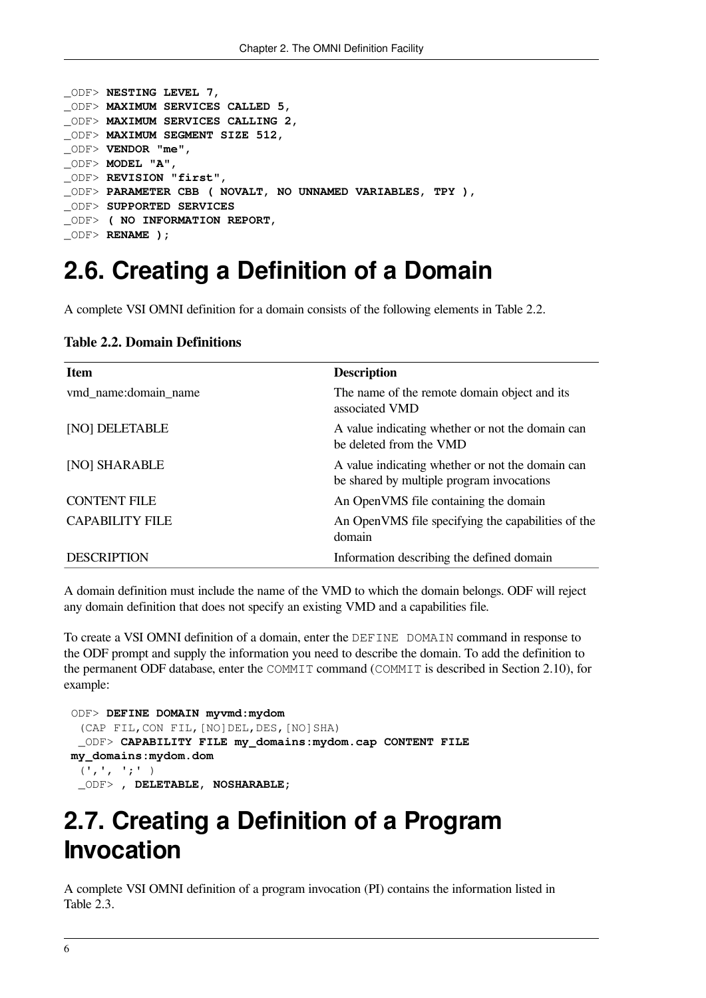```
_ODF> NESTING LEVEL 7,
_ODF> MAXIMUM SERVICES CALLED 5,
_ODF> MAXIMUM SERVICES CALLING 2,
_ODF> MAXIMUM SEGMENT SIZE 512,
_ODF> VENDOR "me",
_ODF> MODEL "A",
_ODF> REVISION "first",
_ODF> PARAMETER CBB ( NOVALT, NO UNNAMED VARIABLES, TPY ),
_ODF> SUPPORTED SERVICES
_ODF> ( NO INFORMATION REPORT,
_ODF> RENAME );
```
## <span id="page-11-0"></span>**2.6. Creating a Definition of a Domain**

<span id="page-11-2"></span>A complete VSI OMNI definition for a domain consists of the following elements in [Table](#page-11-2) 2.2.

| <b>Item</b>            | <b>Description</b>                                                                            |
|------------------------|-----------------------------------------------------------------------------------------------|
| vmd name:domain name   | The name of the remote domain object and its<br>associated VMD                                |
| [NO] DELETABLE         | A value indicating whether or not the domain can<br>be deleted from the VMD                   |
| [NO] SHARABLE          | A value indicating whether or not the domain can<br>be shared by multiple program invocations |
| <b>CONTENT FILE</b>    | An OpenVMS file containing the domain                                                         |
| <b>CAPABILITY FILE</b> | An OpenVMS file specifying the capabilities of the<br>domain                                  |
| <b>DESCRIPTION</b>     | Information describing the defined domain                                                     |

**Table 2.2. Domain Definitions**

A domain definition must include the name of the VMD to which the domain belongs. ODF will reject any domain definition that does not specify an existing VMD and a capabilities file.

To create a VSI OMNI definition of a domain, enter the DEFINE DOMAIN command in response to the ODF prompt and supply the information you need to describe the domain. To add the definition to the permanent ODF database, enter the COMMIT command (COMMIT is described in [Section](#page-17-0) 2.10), for example:

```
 ODF> DEFINE DOMAIN myvmd:mydom
  (CAP FIL,CON FIL,[NO]DEL,DES,[NO]SHA)
  _ODF> CAPABILITY FILE my_domains:mydom.cap CONTENT FILE
 my_domains:mydom.dom
 ( ' , ' , ' ; ' ) _ODF> , DELETABLE, NOSHARABLE;
```
# <span id="page-11-1"></span>**2.7. Creating a Definition of a Program Invocation**

A complete VSI OMNI definition of a program invocation (PI) contains the information listed in [Table](#page-12-2) 2.3.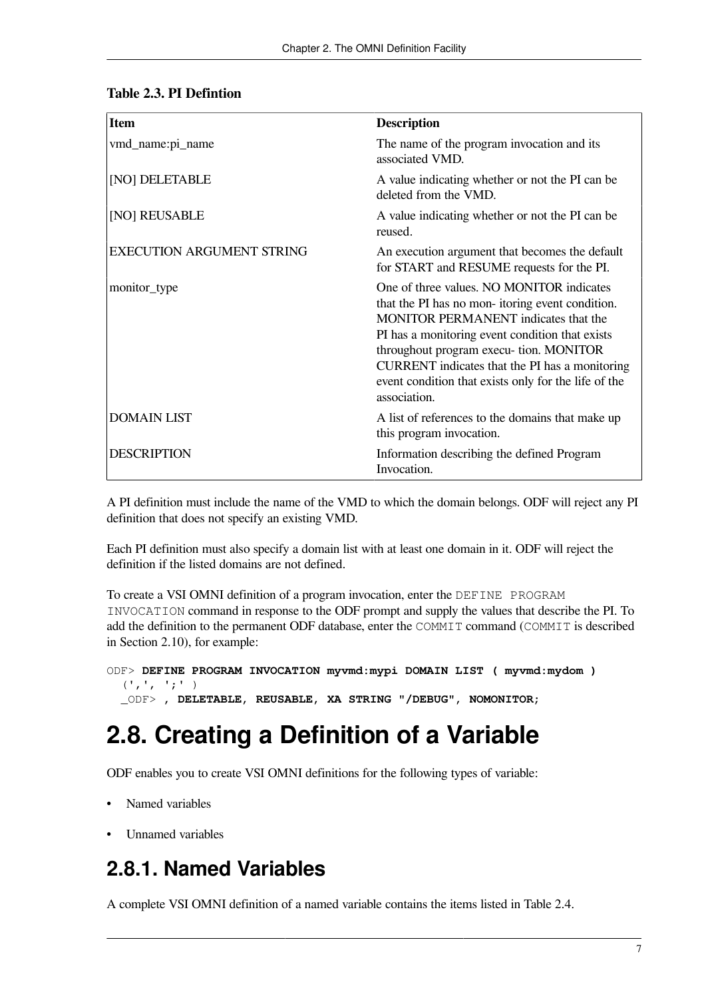| <b>Item</b>                      | <b>Description</b>                                                                                                                                                                                                                                                                                                                                           |
|----------------------------------|--------------------------------------------------------------------------------------------------------------------------------------------------------------------------------------------------------------------------------------------------------------------------------------------------------------------------------------------------------------|
| vmd_name:pi_name                 | The name of the program invocation and its<br>associated VMD.                                                                                                                                                                                                                                                                                                |
| [NO] DELETABLE                   | A value indicating whether or not the PI can be<br>deleted from the VMD.                                                                                                                                                                                                                                                                                     |
| [NO] REUSABLE                    | A value indicating whether or not the PI can be<br>reused.                                                                                                                                                                                                                                                                                                   |
| <b>EXECUTION ARGUMENT STRING</b> | An execution argument that becomes the default<br>for START and RESUME requests for the PI.                                                                                                                                                                                                                                                                  |
| monitor_type                     | One of three values. NO MONITOR indicates<br>that the PI has no mon-itoring event condition.<br>MONITOR PERMANENT indicates that the<br>PI has a monitoring event condition that exists<br>throughout program execu- tion. MONITOR<br>CURRENT indicates that the PI has a monitoring<br>event condition that exists only for the life of the<br>association. |
| <b>DOMAIN LIST</b>               | A list of references to the domains that make up<br>this program invocation.                                                                                                                                                                                                                                                                                 |
| <b>DESCRIPTION</b>               | Information describing the defined Program<br>Invocation.                                                                                                                                                                                                                                                                                                    |

#### <span id="page-12-2"></span>**Table 2.3. PI Defintion**

A PI definition must include the name of the VMD to which the domain belongs. ODF will reject any PI definition that does not specify an existing VMD.

Each PI definition must also specify a domain list with at least one domain in it. ODF will reject the definition if the listed domains are not defined.

To create a VSI OMNI definition of a program invocation, enter the DEFINE PROGRAM INVOCATION command in response to the ODF prompt and supply the values that describe the PI. To add the definition to the permanent ODF database, enter the COMMIT command (COMMIT is described in [Section](#page-17-0) 2.10), for example:

```
ODF> DEFINE PROGRAM INVOCATION myvmd:mypi DOMAIN LIST ( myvmd:mydom )
  (', ', ';' ) _ODF> , DELETABLE, REUSABLE, XA STRING "/DEBUG", NOMONITOR;
```
# <span id="page-12-0"></span>**2.8. Creating a Definition of a Variable**

ODF enables you to create VSI OMNI definitions for the following types of variable:

- Named variables
- <span id="page-12-1"></span>• Unnamed variables

## **2.8.1. Named Variables**

A complete VSI OMNI definition of a named variable contains the items listed in [Table](#page-13-1) 2.4.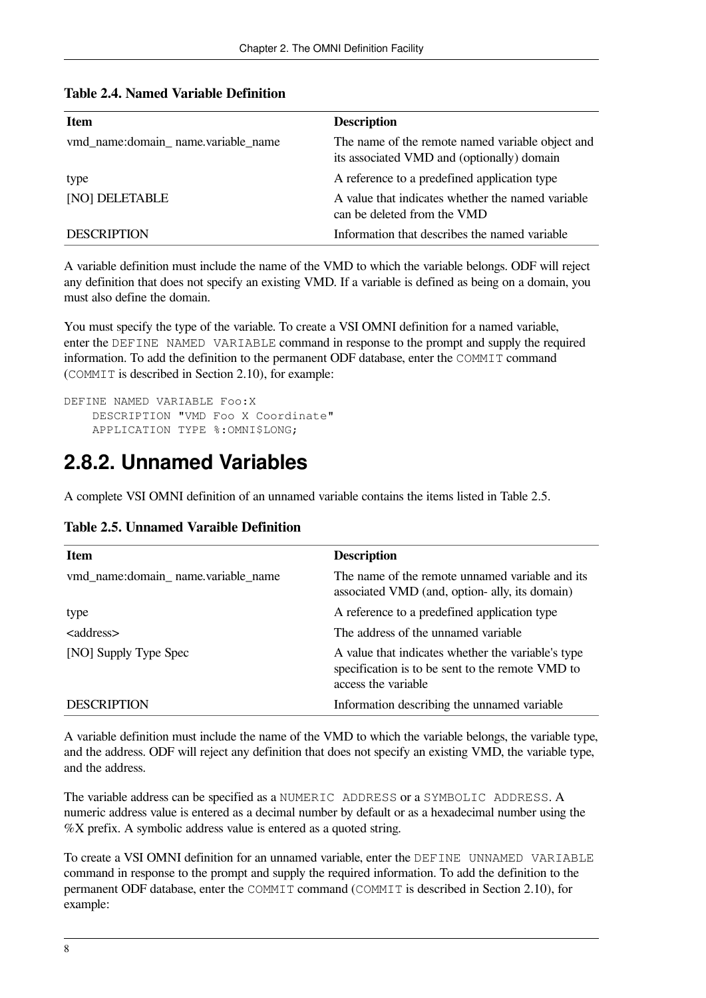| Item                               | <b>Description</b>                                                                             |
|------------------------------------|------------------------------------------------------------------------------------------------|
| wmd name:domain name.variable name | The name of the remote named variable object and<br>its associated VMD and (optionally) domain |
| type                               | A reference to a predefined application type                                                   |
| <b>NOI DELETABLE</b>               | A value that indicates whether the named variable<br>can be deleted from the VMD               |
| <b>DESCRIPTION</b>                 | Information that describes the named variable                                                  |

<span id="page-13-1"></span>

|  | Table 2.4. Named Variable Definition |
|--|--------------------------------------|
|--|--------------------------------------|

A variable definition must include the name of the VMD to which the variable belongs. ODF will reject any definition that does not specify an existing VMD. If a variable is defined as being on a domain, you must also define the domain.

You must specify the type of the variable. To create a VSI OMNI definition for a named variable, enter the DEFINE NAMED VARIABLE command in response to the prompt and supply the required information. To add the definition to the permanent ODF database, enter the COMMIT command (COMMIT is described in [Section](#page-17-0) 2.10), for example:

```
DEFINE NAMED VARIABLE Foo:X
     DESCRIPTION "VMD Foo X Coordinate"
     APPLICATION TYPE %:OMNI$LONG;
```
## <span id="page-13-0"></span>**2.8.2. Unnamed Variables**

A complete VSI OMNI definition of an unnamed variable contains the items listed in [Table](#page-13-2) 2.5.

| Item                               | <b>Description</b>                                                                                                            |
|------------------------------------|-------------------------------------------------------------------------------------------------------------------------------|
| vmd_name:domain_name.variable_name | The name of the remote unnamed variable and its<br>associated VMD (and, option- ally, its domain)                             |
| type                               | A reference to a predefined application type                                                                                  |
| <address></address>                | The address of the unnamed variable                                                                                           |
| [NO] Supply Type Spec              | A value that indicates whether the variable's type<br>specification is to be sent to the remote VMD to<br>access the variable |
| <b>DESCRIPTION</b>                 | Information describing the unnamed variable                                                                                   |

<span id="page-13-2"></span>

A variable definition must include the name of the VMD to which the variable belongs, the variable type, and the address. ODF will reject any definition that does not specify an existing VMD, the variable type, and the address.

The variable address can be specified as a NUMERIC ADDRESS or a SYMBOLIC ADDRESS. A numeric address value is entered as a decimal number by default or as a hexadecimal number using the %X prefix. A symbolic address value is entered as a quoted string.

To create a VSI OMNI definition for an unnamed variable, enter the DEFINE UNNAMED VARIABLE command in response to the prompt and supply the required information. To add the definition to the permanent ODF database, enter the COMMIT command (COMMIT is described in [Section](#page-17-0) 2.10), for example: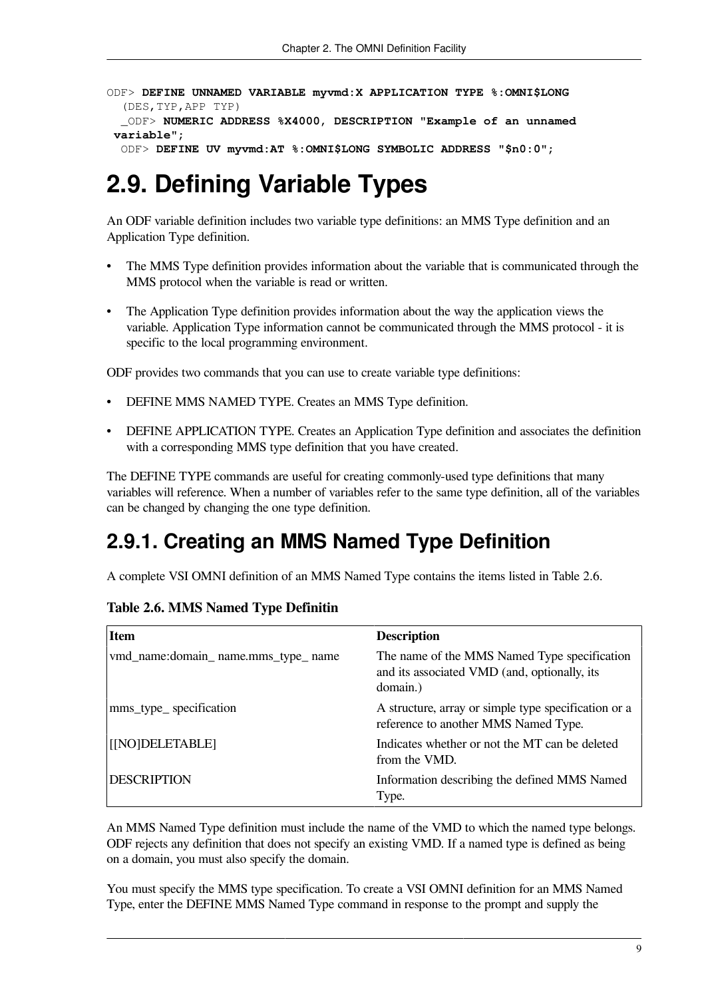ODF> **DEFINE UNNAMED VARIABLE myvmd:X APPLICATION TYPE %:OMNI\$LONG** (DES,TYP,APP TYP) \_ODF> **NUMERIC ADDRESS %X4000, DESCRIPTION "Example of an unnamed variable";** ODF> **DEFINE UV myvmd:AT %:OMNI\$LONG SYMBOLIC ADDRESS "\$n0:0";**

# <span id="page-14-0"></span>**2.9. Defining Variable Types**

An ODF variable definition includes two variable type definitions: an MMS Type definition and an Application Type definition.

- The MMS Type definition provides information about the variable that is communicated through the MMS protocol when the variable is read or written.
- The Application Type definition provides information about the way the application views the variable. Application Type information cannot be communicated through the MMS protocol - it is specific to the local programming environment.

ODF provides two commands that you can use to create variable type definitions:

- DEFINE MMS NAMED TYPE. Creates an MMS Type definition.
- DEFINE APPLICATION TYPE. Creates an Application Type definition and associates the definition with a corresponding MMS type definition that you have created.

The DEFINE TYPE commands are useful for creating commonly-used type definitions that many variables will reference. When a number of variables refer to the same type definition, all of the variables can be changed by changing the one type definition.

## <span id="page-14-1"></span>**2.9.1. Creating an MMS Named Type Definition**

<span id="page-14-2"></span>A complete VSI OMNI definition of an MMS Named Type contains the items listed in [Table](#page-14-2) 2.6.

#### **Table 2.6. MMS Named Type Definitin**

| <b>Item</b>                        | <b>Description</b>                                                                                       |
|------------------------------------|----------------------------------------------------------------------------------------------------------|
| vmd_name:domain_name.mms_type_name | The name of the MMS Named Type specification<br>and its associated VMD (and, optionally, its<br>domain.) |
| mms_type_specification             | A structure, array or simple type specification or a<br>reference to another MMS Named Type.             |
| [[NO]DELETABLE]                    | Indicates whether or not the MT can be deleted<br>from the VMD.                                          |
| <b>DESCRIPTION</b>                 | Information describing the defined MMS Named<br>Type.                                                    |

An MMS Named Type definition must include the name of the VMD to which the named type belongs. ODF rejects any definition that does not specify an existing VMD. If a named type is defined as being on a domain, you must also specify the domain.

You must specify the MMS type specification. To create a VSI OMNI definition for an MMS Named Type, enter the DEFINE MMS Named Type command in response to the prompt and supply the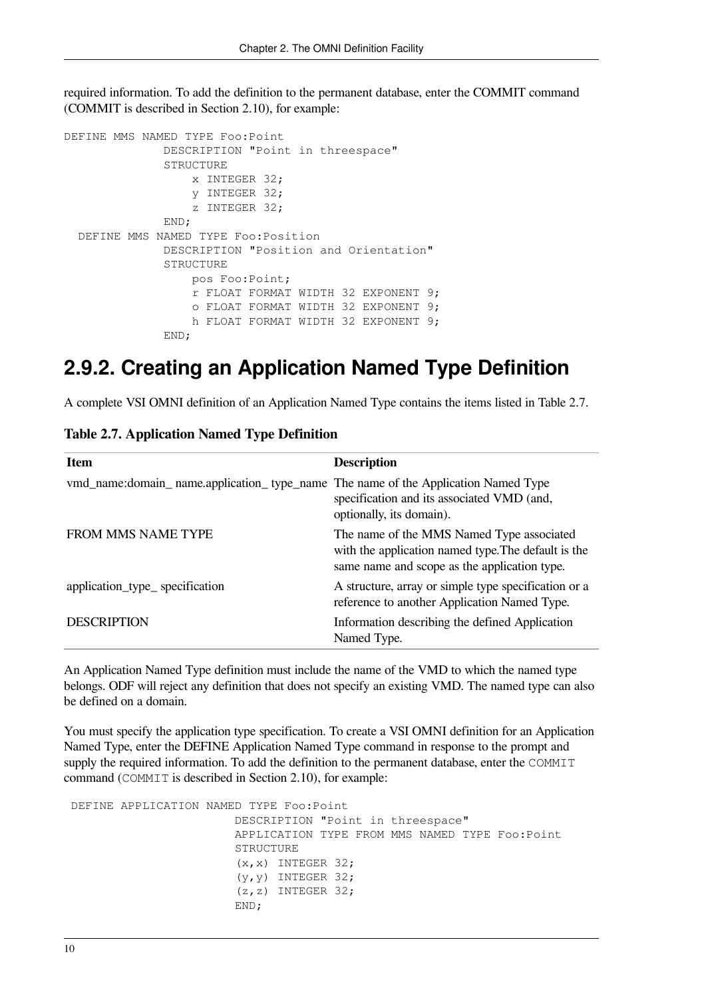required information. To add the definition to the permanent database, enter the COMMIT command (COMMIT is described in [Section](#page-17-0) 2.10), for example:

```
DEFINE MMS NAMED TYPE Foo:Point
               DESCRIPTION "Point in threespace"
               STRUCTURE
                    x INTEGER 32;
                    y INTEGER 32;
                    z INTEGER 32;
               END;
   DEFINE MMS NAMED TYPE Foo:Position
               DESCRIPTION "Position and Orientation"
               STRUCTURE
                    pos Foo:Point;
                    r FLOAT FORMAT WIDTH 32 EXPONENT 9;
                    o FLOAT FORMAT WIDTH 32 EXPONENT 9;
                    h FLOAT FORMAT WIDTH 32 EXPONENT 9;
               END;
```
## <span id="page-15-0"></span>**2.9.2. Creating an Application Named Type Definition**

<span id="page-15-1"></span>A complete VSI OMNI definition of an Application Named Type contains the items listed in [Table](#page-15-1) 2.7.

|  | <b>Table 2.7. Application Named Type Definition</b> |  |  |  |
|--|-----------------------------------------------------|--|--|--|
|--|-----------------------------------------------------|--|--|--|

| <b>Item</b>                                                                       | <b>Description</b>                                                                                                                               |
|-----------------------------------------------------------------------------------|--------------------------------------------------------------------------------------------------------------------------------------------------|
| vmd_name:domain_name.application_type_name The name of the Application Named Type | specification and its associated VMD (and,<br>optionally, its domain).                                                                           |
| <b>FROM MMS NAME TYPE</b>                                                         | The name of the MMS Named Type associated<br>with the application named type. The default is the<br>same name and scope as the application type. |
| application_type_ specification                                                   | A structure, array or simple type specification or a<br>reference to another Application Named Type.                                             |
| <b>DESCRIPTION</b>                                                                | Information describing the defined Application<br>Named Type.                                                                                    |

An Application Named Type definition must include the name of the VMD to which the named type belongs. ODF will reject any definition that does not specify an existing VMD. The named type can also be defined on a domain.

You must specify the application type specification. To create a VSI OMNI definition for an Application Named Type, enter the DEFINE Application Named Type command in response to the prompt and supply the required information. To add the definition to the permanent database, enter the COMMIT command (COMMIT is described in [Section](#page-17-0) 2.10), for example:

```
 DEFINE APPLICATION NAMED TYPE Foo:Point
                         DESCRIPTION "Point in threespace"
                         APPLICATION TYPE FROM MMS NAMED TYPE Foo:Point
                         STRUCTURE
                        (x, x) INTEGER 32;
                         (y,y) INTEGER 32;
                          (z,z) INTEGER 32;
                         END;
```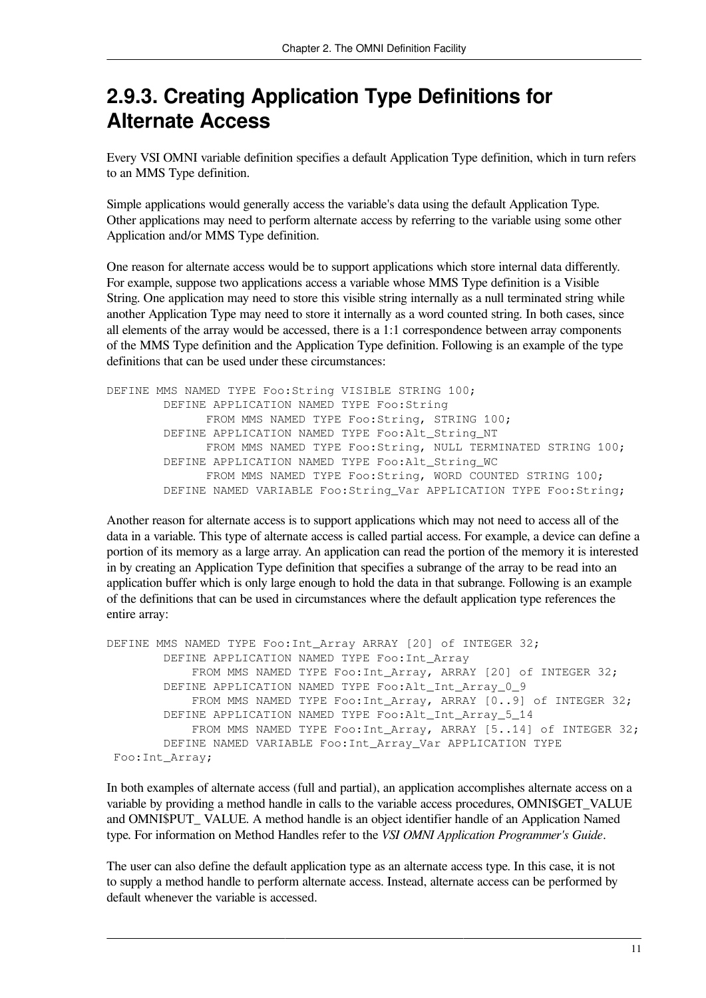## <span id="page-16-0"></span>**2.9.3. Creating Application Type Definitions for Alternate Access**

Every VSI OMNI variable definition specifies a default Application Type definition, which in turn refers to an MMS Type definition.

Simple applications would generally access the variable's data using the default Application Type. Other applications may need to perform alternate access by referring to the variable using some other Application and/or MMS Type definition.

One reason for alternate access would be to support applications which store internal data differently. For example, suppose two applications access a variable whose MMS Type definition is a Visible String. One application may need to store this visible string internally as a null terminated string while another Application Type may need to store it internally as a word counted string. In both cases, since all elements of the array would be accessed, there is a 1:1 correspondence between array components of the MMS Type definition and the Application Type definition. Following is an example of the type definitions that can be used under these circumstances:

DEFINE MMS NAMED TYPE Foo:String VISIBLE STRING 100; DEFINE APPLICATION NAMED TYPE Foo:String FROM MMS NAMED TYPE Foo:String, STRING 100; DEFINE APPLICATION NAMED TYPE Foo:Alt\_String\_NT FROM MMS NAMED TYPE Foo:String, NULL TERMINATED STRING 100; DEFINE APPLICATION NAMED TYPE Foo:Alt\_String\_WC FROM MMS NAMED TYPE Foo: String, WORD COUNTED STRING 100; DEFINE NAMED VARIABLE Foo:String\_Var APPLICATION TYPE Foo:String;

Another reason for alternate access is to support applications which may not need to access all of the data in a variable. This type of alternate access is called partial access. For example, a device can define a portion of its memory as a large array. An application can read the portion of the memory it is interested in by creating an Application Type definition that specifies a subrange of the array to be read into an application buffer which is only large enough to hold the data in that subrange. Following is an example of the definitions that can be used in circumstances where the default application type references the entire array:

```
DEFINE MMS NAMED TYPE Foo:Int_Array ARRAY [20] of INTEGER 32;
         DEFINE APPLICATION NAMED TYPE Foo:Int_Array
            FROM MMS NAMED TYPE Foo: Int Array, ARRAY [20] of INTEGER 32;
         DEFINE APPLICATION NAMED TYPE Foo:Alt_Int_Array_0_9
            FROM MMS NAMED TYPE Foo: Int Array, ARRAY [0..9] of INTEGER 32;
        DEFINE APPLICATION NAMED TYPE Foo:Alt Int Array 5 14
             FROM MMS NAMED TYPE Foo:Int_Array, ARRAY [5..14] of INTEGER 32;
         DEFINE NAMED VARIABLE Foo:Int_Array_Var APPLICATION TYPE
  Foo:Int_Array;
```
In both examples of alternate access (full and partial), an application accomplishes alternate access on a variable by providing a method handle in calls to the variable access procedures, OMNI\$GET\_VALUE and OMNI\$PUT\_ VALUE. A method handle is an object identifier handle of an Application Named type. For information on Method Handles refer to the *VSI OMNI Application Programmer's Guide*.

The user can also define the default application type as an alternate access type. In this case, it is not to supply a method handle to perform alternate access. Instead, alternate access can be performed by default whenever the variable is accessed.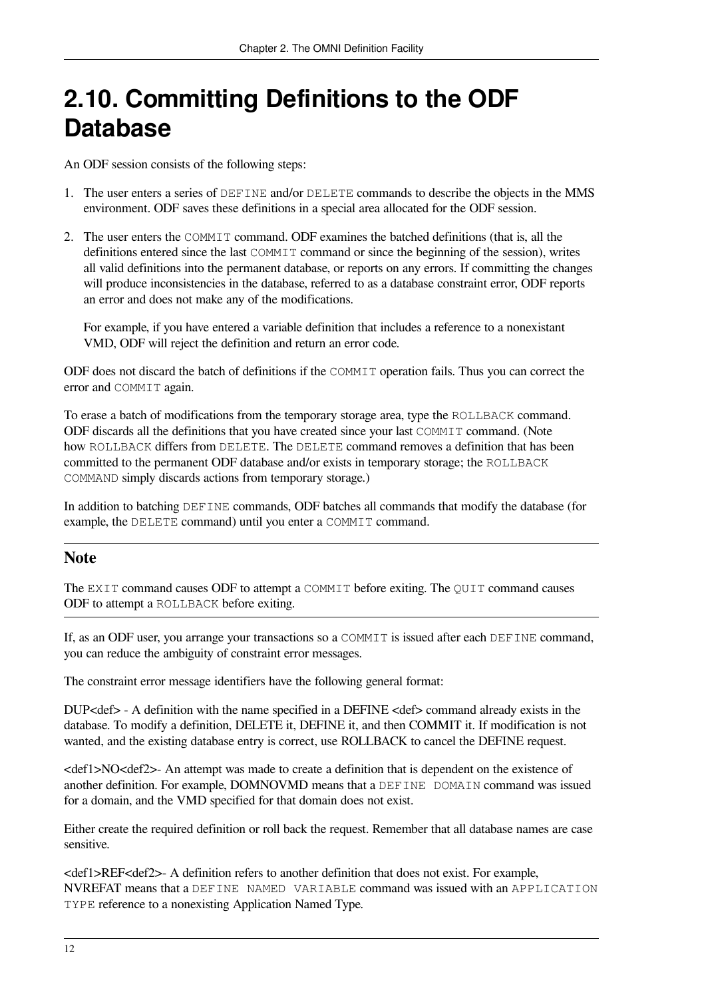# <span id="page-17-0"></span>**2.10. Committing Definitions to the ODF Database**

An ODF session consists of the following steps:

- 1. The user enters a series of DEFINE and/or DELETE commands to describe the objects in the MMS environment. ODF saves these definitions in a special area allocated for the ODF session.
- 2. The user enters the COMMIT command. ODF examines the batched definitions (that is, all the definitions entered since the last COMMIT command or since the beginning of the session), writes all valid definitions into the permanent database, or reports on any errors. If committing the changes will produce inconsistencies in the database, referred to as a database constraint error, ODF reports an error and does not make any of the modifications.

For example, if you have entered a variable definition that includes a reference to a nonexistant VMD, ODF will reject the definition and return an error code.

ODF does not discard the batch of definitions if the COMMIT operation fails. Thus you can correct the error and COMMIT again.

To erase a batch of modifications from the temporary storage area, type the ROLLBACK command. ODF discards all the definitions that you have created since your last COMMIT command. (Note how ROLLBACK differs from DELETE. The DELETE command removes a definition that has been committed to the permanent ODF database and/or exists in temporary storage; the ROLLBACK COMMAND simply discards actions from temporary storage.)

In addition to batching DEFINE commands, ODF batches all commands that modify the database (for example, the DELETE command) until you enter a COMMIT command.

#### **Note**

The EXIT command causes ODF to attempt a COMMIT before exiting. The QUIT command causes ODF to attempt a ROLLBACK before exiting.

If, as an ODF user, you arrange your transactions so a COMMIT is issued after each DEFINE command, you can reduce the ambiguity of constraint error messages.

The constraint error message identifiers have the following general format:

DUP<def> - A definition with the name specified in a DEFINE <def> command already exists in the database. To modify a definition, DELETE it, DEFINE it, and then COMMIT it. If modification is not wanted, and the existing database entry is correct, use ROLLBACK to cancel the DEFINE request.

<def1>NO<def2>- An attempt was made to create a definition that is dependent on the existence of another definition. For example, DOMNOVMD means that a DEFINE DOMAIN command was issued for a domain, and the VMD specified for that domain does not exist.

Either create the required definition or roll back the request. Remember that all database names are case sensitive.

<def1>REF<def2>- A definition refers to another definition that does not exist. For example, NVREFAT means that a DEFINE NAMED VARIABLE command was issued with an APPLICATION TYPE reference to a nonexisting Application Named Type.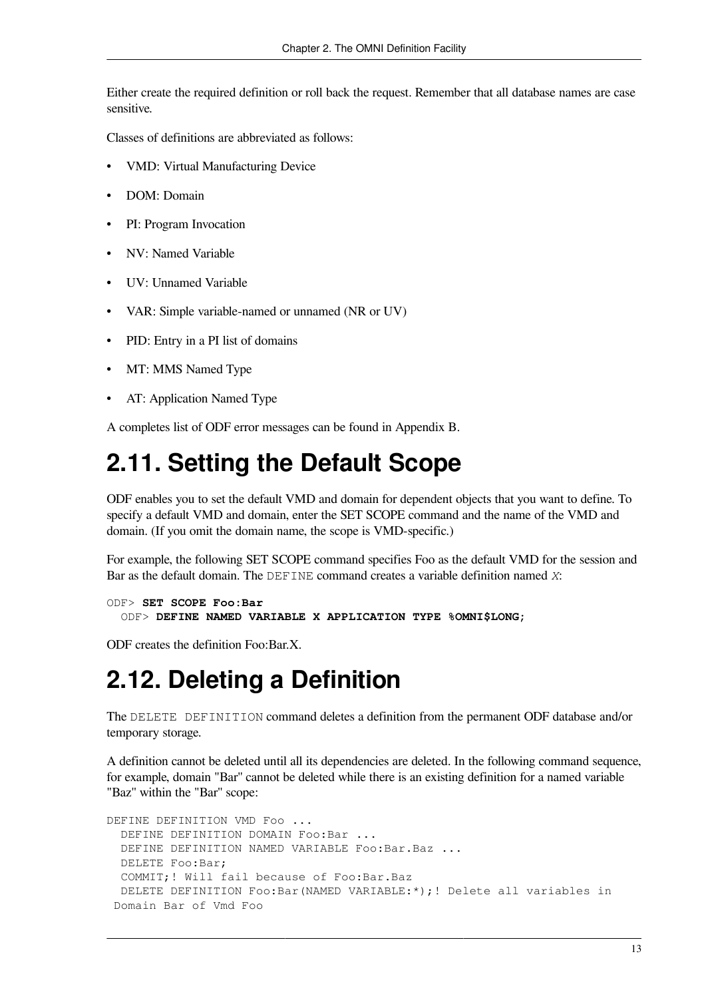Either create the required definition or roll back the request. Remember that all database names are case sensitive.

Classes of definitions are abbreviated as follows:

- VMD: Virtual Manufacturing Device
- DOM: Domain
- PI: Program Invocation
- NV: Named Variable
- UV: Unnamed Variable
- VAR: Simple variable-named or unnamed (NR or UV)
- PID: Entry in a PI list of domains
- MT: MMS Named Type
- AT: Application Named Type

A completes list of ODF error messages can be found in [Appendix](#page-56-0) B.

# <span id="page-18-0"></span>**2.11. Setting the Default Scope**

ODF enables you to set the default VMD and domain for dependent objects that you want to define. To specify a default VMD and domain, enter the SET SCOPE command and the name of the VMD and domain. (If you omit the domain name, the scope is VMD-specific.)

For example, the following SET SCOPE command specifies Foo as the default VMD for the session and Bar as the default domain. The DEFINE command creates a variable definition named *X*:

```
ODF> SET SCOPE Foo:Bar
   ODF> DEFINE NAMED VARIABLE X APPLICATION TYPE %OMNI$LONG;
```
<span id="page-18-1"></span>ODF creates the definition Foo:Bar.X.

# **2.12. Deleting a Definition**

The DELETE DEFINITION command deletes a definition from the permanent ODF database and/or temporary storage.

A definition cannot be deleted until all its dependencies are deleted. In the following command sequence, for example, domain "Bar'' cannot be deleted while there is an existing definition for a named variable "Baz'' within the "Bar'' scope:

```
DEFINE DEFINITION VMD Foo ...
   DEFINE DEFINITION DOMAIN Foo:Bar ...
   DEFINE DEFINITION NAMED VARIABLE Foo:Bar.Baz ...
   DELETE Foo:Bar;
   COMMIT;! Will fail because of Foo:Bar.Baz
   DELETE DEFINITION Foo:Bar(NAMED VARIABLE:*);! Delete all variables in
  Domain Bar of Vmd Foo
```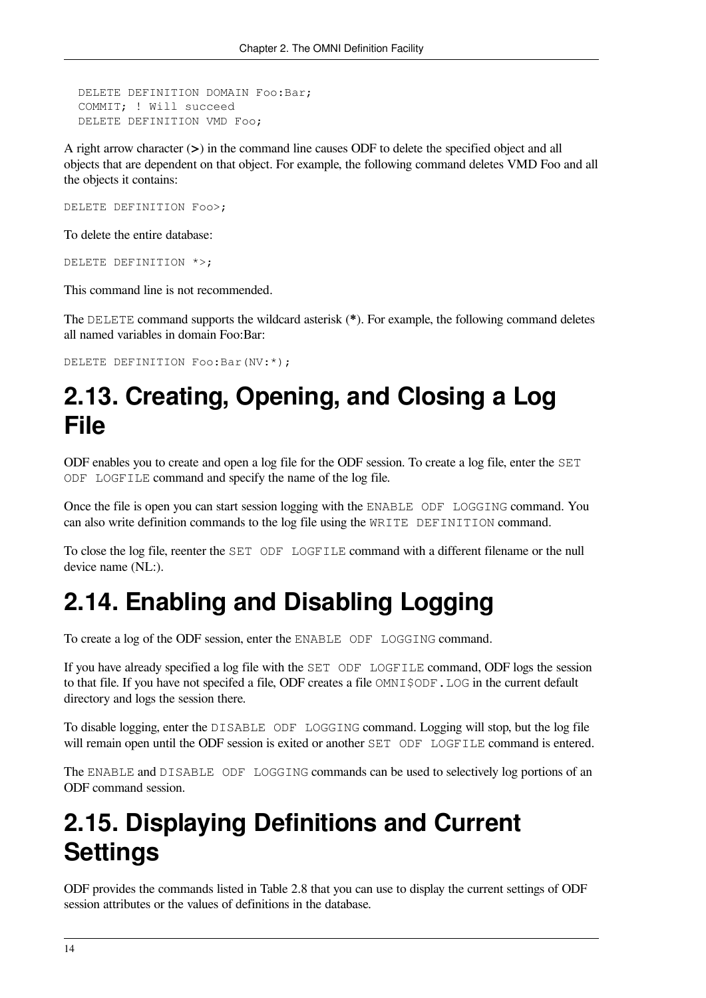```
 DELETE DEFINITION DOMAIN Foo:Bar;
 COMMIT; ! Will succeed
 DELETE DEFINITION VMD Foo;
```
A right arrow character (**>**) in the command line causes ODF to delete the specified object and all objects that are dependent on that object. For example, the following command deletes VMD Foo and all the objects it contains:

DELETE DEFINITION Foo>;

To delete the entire database:

```
DELETE DEFINITION *>;
```
This command line is not recommended.

The DELETE command supports the wildcard asterisk (**\***). For example, the following command deletes all named variables in domain Foo:Bar:

DELETE DEFINITION Foo:Bar(NV:\*);

# <span id="page-19-0"></span>**2.13. Creating, Opening, and Closing a Log File**

ODF enables you to create and open a log file for the ODF session. To create a log file, enter the SET ODF LOGFILE command and specify the name of the log file.

Once the file is open you can start session logging with the ENABLE ODF LOGGING command. You can also write definition commands to the log file using the WRITE DEFINITION command.

To close the log file, reenter the SET ODF LOGFILE command with a different filename or the null device name (NL:).

# <span id="page-19-1"></span>**2.14. Enabling and Disabling Logging**

To create a log of the ODF session, enter the ENABLE ODF LOGGING command.

If you have already specified a log file with the SET ODF LOGFILE command, ODF logs the session to that file. If you have not specifed a file, ODF creates a file  $OMNISODF$ . LOG in the current default directory and logs the session there.

To disable logging, enter the DISABLE ODF LOGGING command. Logging will stop, but the log file will remain open until the ODF session is exited or another SET ODF LOGFILE command is entered.

The ENABLE and DISABLE ODF LOGGING commands can be used to selectively log portions of an ODF command session.

# <span id="page-19-2"></span>**2.15. Displaying Definitions and Current Settings**

ODF provides the commands listed in [Table](#page-20-1) 2.8 that you can use to display the current settings of ODF session attributes or the values of definitions in the database.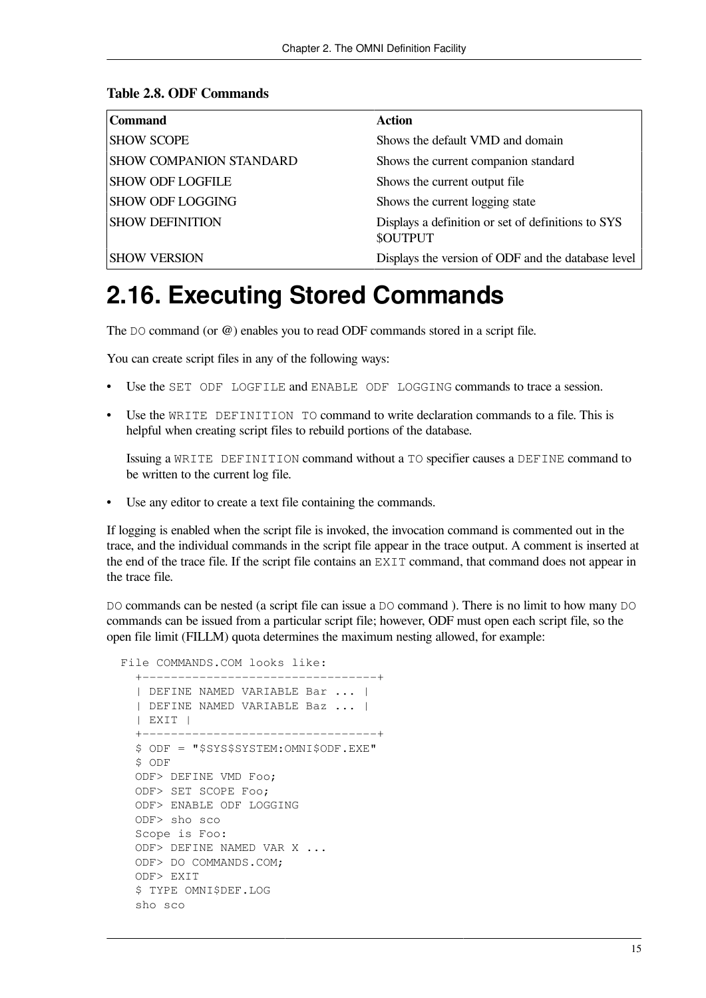#### <span id="page-20-1"></span>**Table 2.8. ODF Commands**

| <b>Command</b>                 | <b>Action</b>                                                         |
|--------------------------------|-----------------------------------------------------------------------|
| <b>SHOW SCOPE</b>              | Shows the default VMD and domain                                      |
| <b>SHOW COMPANION STANDARD</b> | Shows the current companion standard                                  |
| <b>SHOW ODF LOGFILE</b>        | Shows the current output file                                         |
| <b>SHOW ODF LOGGING</b>        | Shows the current logging state                                       |
| <b>SHOW DEFINITION</b>         | Displays a definition or set of definitions to SYS<br><b>\$OUTPUT</b> |
| <b>SHOW VERSION</b>            | Displays the version of ODF and the database level                    |

# <span id="page-20-0"></span>**2.16. Executing Stored Commands**

The DO command (or **@**) enables you to read ODF commands stored in a script file.

You can create script files in any of the following ways:

- Use the SET ODF LOGFILE and ENABLE ODF LOGGING commands to trace a session.
- Use the WRITE DEFINITION TO command to write declaration commands to a file. This is helpful when creating script files to rebuild portions of the database.

Issuing a WRITE DEFINITION command without a TO specifier causes a DEFINE command to be written to the current log file.

• Use any editor to create a text file containing the commands.

If logging is enabled when the script file is invoked, the invocation command is commented out in the trace, and the individual commands in the script file appear in the trace output. A comment is inserted at the end of the trace file. If the script file contains an EXIT command, that command does not appear in the trace file.

DO commands can be nested (a script file can issue a DO command). There is no limit to how many DO commands can be issued from a particular script file; however, ODF must open each script file, so the open file limit (FILLM) quota determines the maximum nesting allowed, for example:

 File COMMANDS.COM looks like: +---------------------------------+ | DEFINE NAMED VARIABLE Bar ... | | DEFINE NAMED VARIABLE Baz ... | | EXIT | +---------------------------------+ \$ ODF = "\$SYS\$SYSTEM:OMNI\$ODF.EXE" \$ ODF ODF> DEFINE VMD Foo; ODF> SET SCOPE Foo; ODF> ENABLE ODF LOGGING ODF> sho sco Scope is Foo: ODF> DEFINE NAMED VAR X ... ODF> DO COMMANDS.COM; ODF> EXIT \$ TYPE OMNI\$DEF.LOG sho sco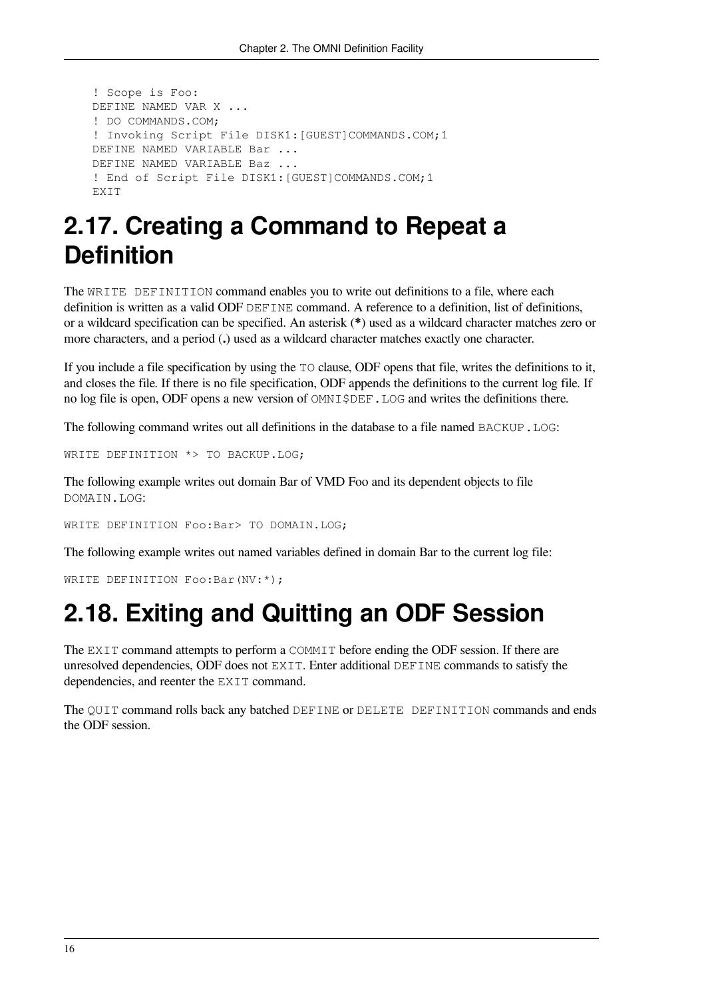```
 ! Scope is Foo:
 DEFINE NAMED VAR X ...
 ! DO COMMANDS.COM;
! Invoking Script File DISK1: [GUEST] COMMANDS. COM; 1
 DEFINE NAMED VARIABLE Bar ...
 DEFINE NAMED VARIABLE Baz ...
 ! End of Script File DISK1:[GUEST]COMMANDS.COM;1
 EXIT
```
# <span id="page-21-0"></span>**2.17. Creating a Command to Repeat a Definition**

The WRITE DEFINITION command enables you to write out definitions to a file, where each definition is written as a valid ODF DEFINE command. A reference to a definition, list of definitions, or a wildcard specification can be specified. An asterisk (**\***) used as a wildcard character matches zero or more characters, and a period (**.**) used as a wildcard character matches exactly one character.

If you include a file specification by using the TO clause, ODF opens that file, writes the definitions to it, and closes the file. If there is no file specification, ODF appends the definitions to the current log file. If no log file is open, ODF opens a new version of  $OMNISDEF$ . LOG and writes the definitions there.

The following command writes out all definitions in the database to a file named BACKUP. LOG:

```
WRITE DEFINITION *> TO BACKUP.LOG;
```
The following example writes out domain Bar of VMD Foo and its dependent objects to file DOMAIN.LOG:

WRITE DEFINITION Foo:Bar> TO DOMAIN.LOG;

The following example writes out named variables defined in domain Bar to the current log file:

<span id="page-21-1"></span>WRITE DEFINITION Foo:Bar(NV:\*);

## **2.18. Exiting and Quitting an ODF Session**

The EXIT command attempts to perform a COMMIT before ending the ODF session. If there are unresolved dependencies, ODF does not EXIT. Enter additional DEFINE commands to satisfy the dependencies, and reenter the EXIT command.

The QUIT command rolls back any batched DEFINE or DELETE DEFINITION commands and ends the ODF session.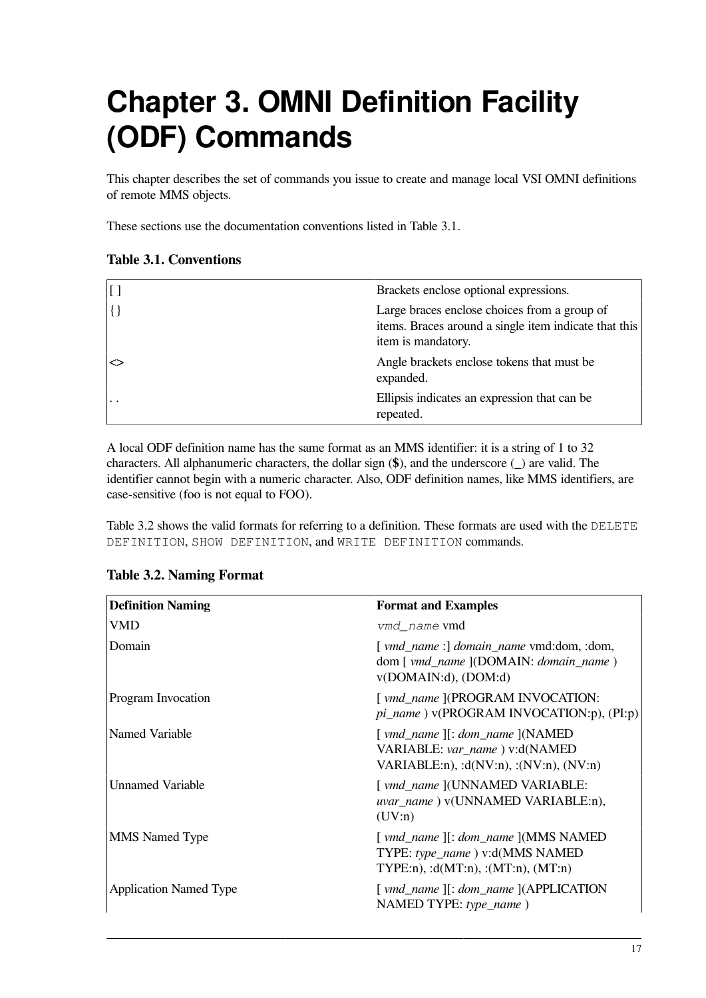# <span id="page-22-0"></span>**Chapter 3. OMNI Definition Facility (ODF) Commands**

This chapter describes the set of commands you issue to create and manage local VSI OMNI definitions of remote MMS objects.

<span id="page-22-1"></span>These sections use the documentation conventions listed in [Table](#page-22-1) 3.1.

#### **Table 3.1. Conventions**

| $\vert$ [ ]   | Brackets enclose optional expressions.                                                                                      |
|---------------|-----------------------------------------------------------------------------------------------------------------------------|
| $\vert \{ \}$ | Large braces enclose choices from a group of<br>items. Braces around a single item indicate that this<br>item is mandatory. |
|               | Angle brackets enclose tokens that must be<br>expanded.                                                                     |
| . .           | Ellipsis indicates an expression that can be<br>repeated.                                                                   |

A local ODF definition name has the same format as an MMS identifier: it is a string of 1 to 32 characters. All alphanumeric characters, the dollar sign (**\$**), and the underscore (**\_**) are valid. The identifier cannot begin with a numeric character. Also, ODF definition names, like MMS identifiers, are case-sensitive (foo is not equal to FOO).

[Table](#page-22-2) 3.2 shows the valid formats for referring to a definition. These formats are used with the DELETE DEFINITION, SHOW DEFINITION, and WRITE DEFINITION commands.

| <b>Definition Naming</b>      | <b>Format and Examples</b>                                                                                                                        |
|-------------------------------|---------------------------------------------------------------------------------------------------------------------------------------------------|
| <b>VMD</b>                    | <i>vmd name</i> vmd                                                                                                                               |
| Domain                        | [ vmd_name :] domain_name vmd:dom, :dom,<br>dom [ vmd_name ](DOMAIN: domain_name )<br>v(DOMAIN:d), (DOM:d)                                        |
| <b>Program Invocation</b>     | [ vmd_name ](PROGRAM INVOCATION:<br>pi_name) v(PROGRAM INVOCATION:p), (PI:p)                                                                      |
| Named Variable                | $\lceil vmd\_name \rceil$ : dom_name $\lceil (NAMED \rceil)$<br>VARIABLE: var_name) v:d(NAMED<br>VARIABLE:n), : $d(NV:n)$ , : $(NV:n)$ , $(NV:n)$ |
| <b>Unnamed Variable</b>       | [ vmd_name ](UNNAMED VARIABLE:<br>uvar_name) v(UNNAMED VARIABLE:n),<br>(UV:n)                                                                     |
| <b>MMS</b> Named Type         | TYPE: type_name) v:d(MMS NAMED<br>TYPE:n), : $d(MT:n)$ , : $(MT:n)$ , $(MT:n)$                                                                    |
| <b>Application Named Type</b> | [ vmd_name ][: dom_name ](APPLICATION<br>NAMED TYPE: type_name)                                                                                   |

#### <span id="page-22-2"></span>**Table 3.2. Naming Format**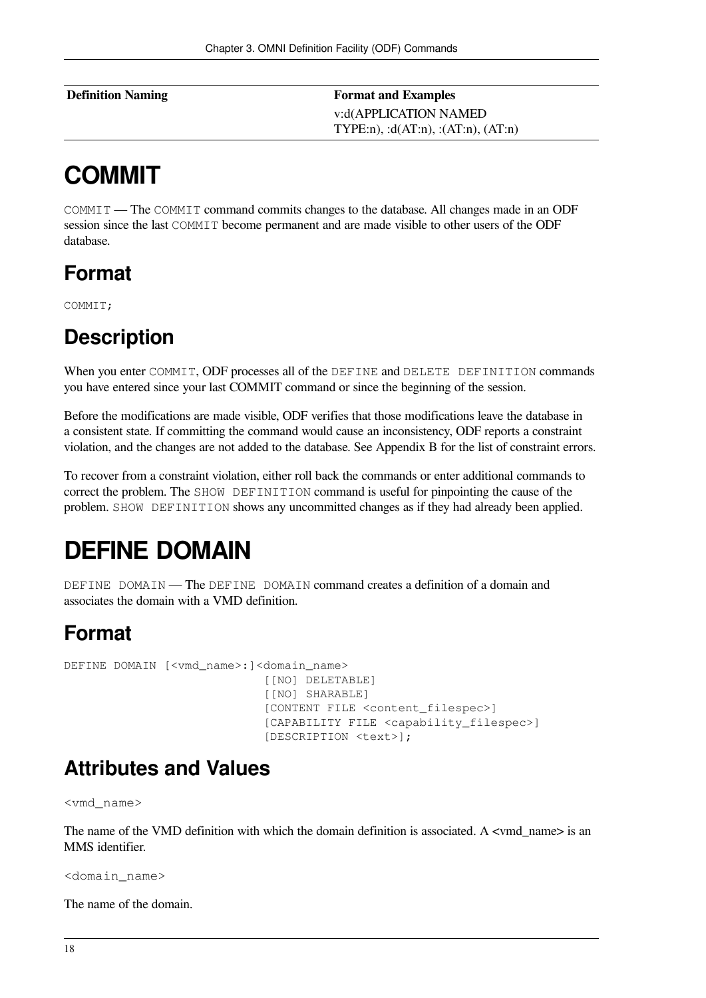| Definition Naming | <b>Format and Examples</b>                   |
|-------------------|----------------------------------------------|
|                   | v:d(APPLICATION NAMED                        |
|                   | TYPE:n), : $d(AT:n)$ , : $(AT:n)$ , $(AT:n)$ |

# <span id="page-23-0"></span>**COMMIT**

COMMIT — The COMMIT command commits changes to the database. All changes made in an ODF session since the last COMMIT become permanent and are made visible to other users of the ODF database.

## **Format**

COMMIT;

## **Description**

When you enter COMMIT, ODF processes all of the DEFINE and DELETE DEFINITION commands you have entered since your last COMMIT command or since the beginning of the session.

Before the modifications are made visible, ODF verifies that those modifications leave the database in a consistent state. If committing the command would cause an inconsistency, ODF reports a constraint violation, and the changes are not added to the database. See [Appendix](#page-56-0) B for the list of constraint errors.

To recover from a constraint violation, either roll back the commands or enter additional commands to correct the problem. The SHOW DEFINITION command is useful for pinpointing the cause of the problem. SHOW DEFINITION shows any uncommitted changes as if they had already been applied.

# <span id="page-23-1"></span>**DEFINE DOMAIN**

DEFINE DOMAIN — The DEFINE DOMAIN command creates a definition of a domain and associates the domain with a VMD definition.

## **Format**

DEFINE DOMAIN [<vmd\_name>:]<domain\_name> [[NO] DELETABLE] [[NO] SHARABLE] [CONTENT FILE <content\_filespec>] [CAPABILITY FILE <capability\_filespec>] [DESCRIPTION <text>];

## **Attributes and Values**

<vmd\_name>

The name of the VMD definition with which the domain definition is associated. A  $\lt$  vmd name> is an MMS identifier.

<domain\_name>

The name of the domain.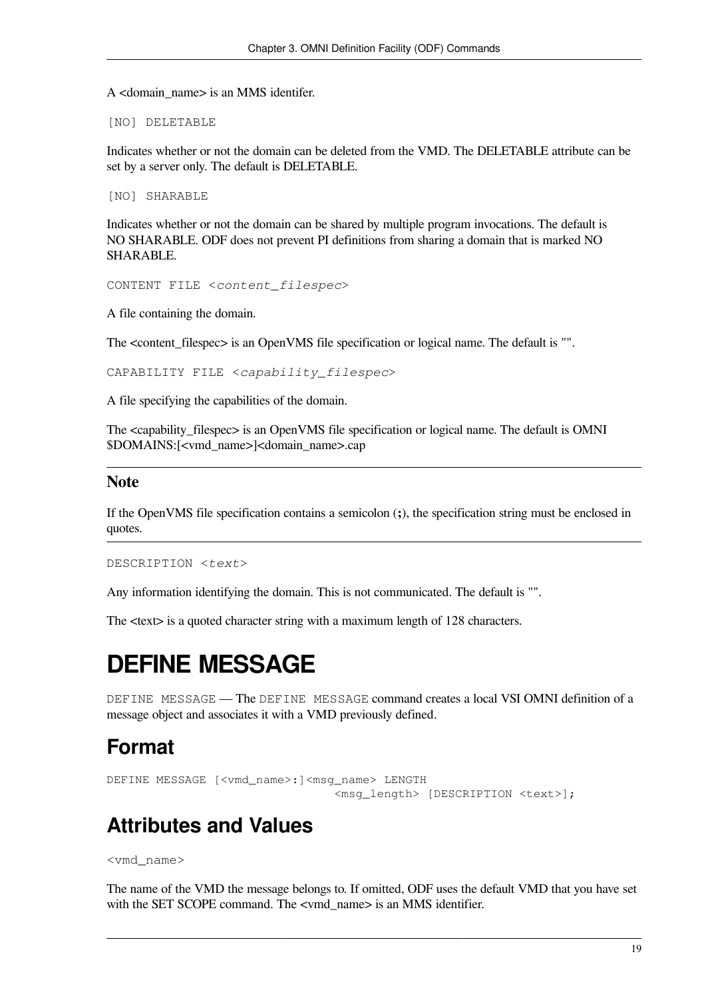A <domain\_name> is an MMS identifer.

[NO] DELETABLE

Indicates whether or not the domain can be deleted from the VMD. The DELETABLE attribute can be set by a server only. The default is DELETABLE.

[NO] SHARABLE

Indicates whether or not the domain can be shared by multiple program invocations. The default is NO SHARABLE. ODF does not prevent PI definitions from sharing a domain that is marked NO SHARABLE.

CONTENT FILE <*content\_filespec*>

A file containing the domain.

The <content\_filespec> is an OpenVMS file specification or logical name. The default is "".

CAPABILITY FILE <*capability\_filespec*>

A file specifying the capabilities of the domain.

The <capability filespec> is an OpenVMS file specification or logical name. The default is OMNI \$DOMAINS:[<vmd\_name>]<domain\_name>.cap

#### **Note**

If the OpenVMS file specification contains a semicolon (**;**), the specification string must be enclosed in quotes.

DESCRIPTION <*text*>

Any information identifying the domain. This is not communicated. The default is "".

<span id="page-24-0"></span>The  $\lt$ text is a quoted character string with a maximum length of 128 characters.

# **DEFINE MESSAGE**

DEFINE MESSAGE — The DEFINE MESSAGE command creates a local VSI OMNI definition of a message object and associates it with a VMD previously defined.

### **Format**

```
DEFINE MESSAGE [<vmd_name>:]<msg_name> LENGTH
                                  <msg_length> [DESCRIPTION <text>];
```
## **Attributes and Values**

<vmd\_name>

The name of the VMD the message belongs to. If omitted, ODF uses the default VMD that you have set with the SET SCOPE command. The <vmd\_name> is an MMS identifier.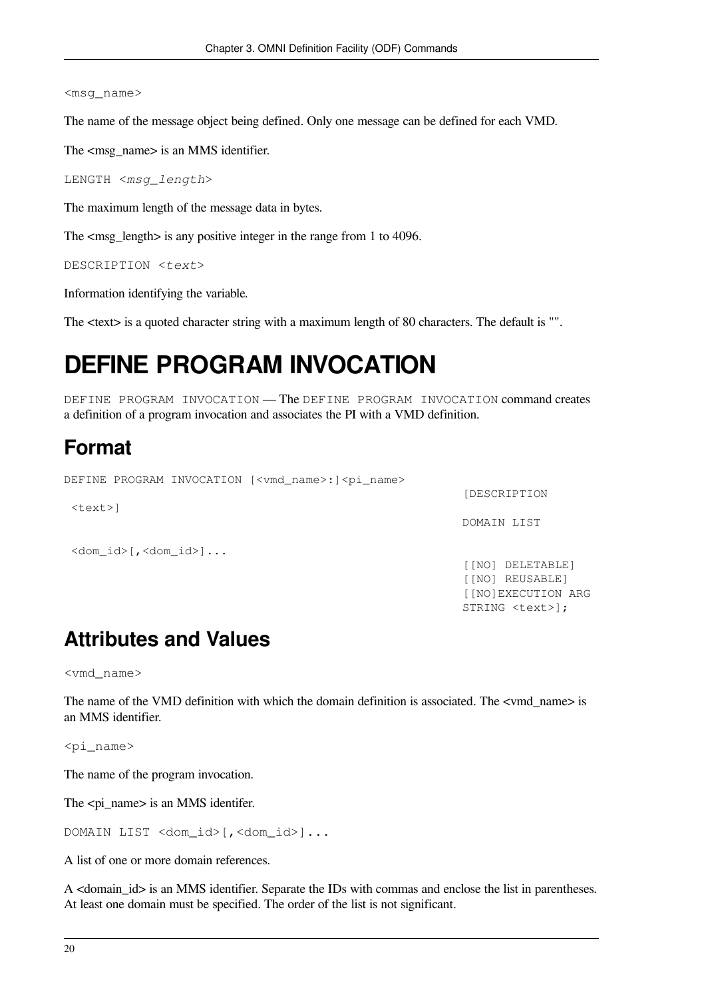#### <msg\_name>

The name of the message object being defined. Only one message can be defined for each VMD.

The  $\langle \text{msg name} \rangle$  is an MMS identifier.

```
LENGTH <msg_length>
```
The maximum length of the message data in bytes.

The  $\langle \text{msg length}\rangle$  is any positive integer in the range from 1 to 4096.

```
DESCRIPTION <text>
```
Information identifying the variable.

<span id="page-25-0"></span>The  $\langle \text{text} \rangle$  is a quoted character string with a maximum length of 80 characters. The default is "".

# **DEFINE PROGRAM INVOCATION**

DEFINE PROGRAM INVOCATION — The DEFINE PROGRAM INVOCATION command creates a definition of a program invocation and associates the PI with a VMD definition.

## **Format**

```
DEFINE PROGRAM INVOCATION [<vmd_name>:]<pi_name>
                                                              [DESCRIPTION
  <text>]
                                                              DOMAIN LIST
  <dom_id>[,<dom_id>]...
                                                              [[NO] DELETABLE]
                                                              [[NO] REUSABLE]
                                                              [[NO]EXECUTION ARG
                                                              STRING <text>];
```
## **Attributes and Values**

<vmd\_name>

The name of the VMD definition with which the domain definition is associated. The <vmd name> is an MMS identifier.

<pi\_name>

The name of the program invocation.

The  $\langle$ pi name $\rangle$  is an MMS identifer.

DOMAIN LIST <dom\_id>[,<dom\_id>]...

A list of one or more domain references.

A <domain\_id> is an MMS identifier. Separate the IDs with commas and enclose the list in parentheses. At least one domain must be specified. The order of the list is not significant.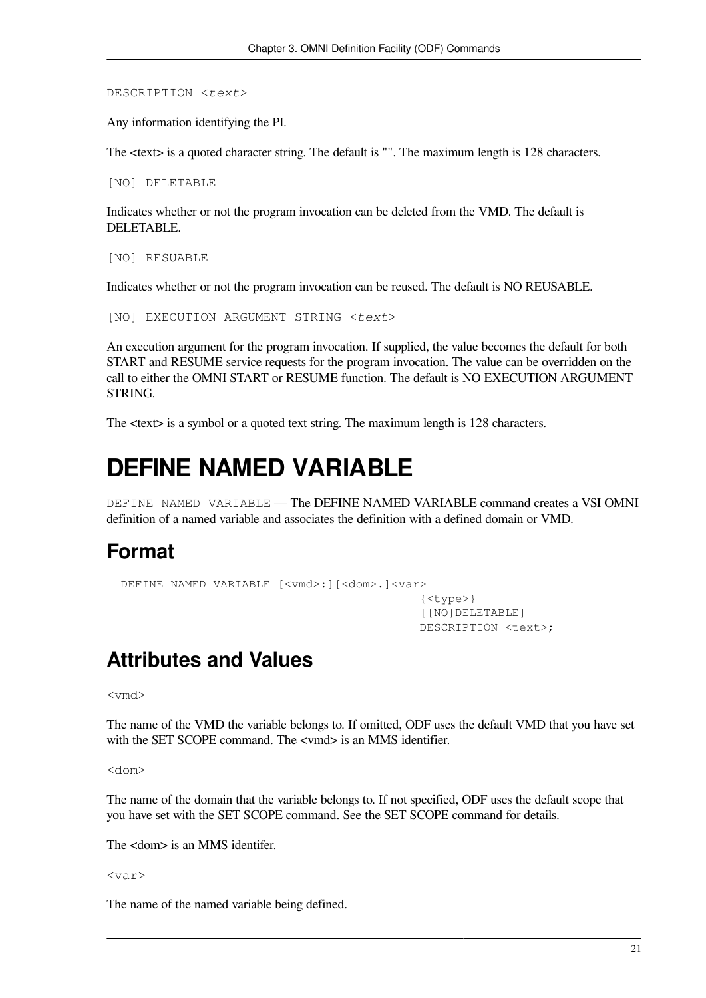DESCRIPTION <*text*>

Any information identifying the PI.

The  $\langle \text{text} \rangle$  is a quoted character string. The default is "". The maximum length is 128 characters.

[NO] DELETABLE

Indicates whether or not the program invocation can be deleted from the VMD. The default is DELETABLE.

[NO] RESUABLE

Indicates whether or not the program invocation can be reused. The default is NO REUSABLE.

[NO] EXECUTION ARGUMENT STRING <*text*>

An execution argument for the program invocation. If supplied, the value becomes the default for both START and RESUME service requests for the program invocation. The value can be overridden on the call to either the OMNI START or RESUME function. The default is NO EXECUTION ARGUMENT STRING.

<span id="page-26-0"></span>The  $\langle \text{text} \rangle$  is a symbol or a quoted text string. The maximum length is 128 characters.

## **DEFINE NAMED VARIABLE**

DEFINE NAMED VARIABLE — The DEFINE NAMED VARIABLE command creates a VSI OMNI definition of a named variable and associates the definition with a defined domain or VMD.

### **Format**

```
DEFINE NAMED VARIABLE [<vmd>:][<dom>.]<var>
                                              {<type>}
                                              [[NO]DELETABLE]
                                              DESCRIPTION <text>;
```
## **Attributes and Values**

<vmd>

The name of the VMD the variable belongs to. If omitted, ODF uses the default VMD that you have set with the SET SCOPE command. The  $\lt$  vmd> is an MMS identifier.

<dom>

The name of the domain that the variable belongs to. If not specified, ODF uses the default scope that you have set with the SET SCOPE command. See the SET SCOPE command for details.

The <dom> is an MMS identifer.

<var>

The name of the named variable being defined.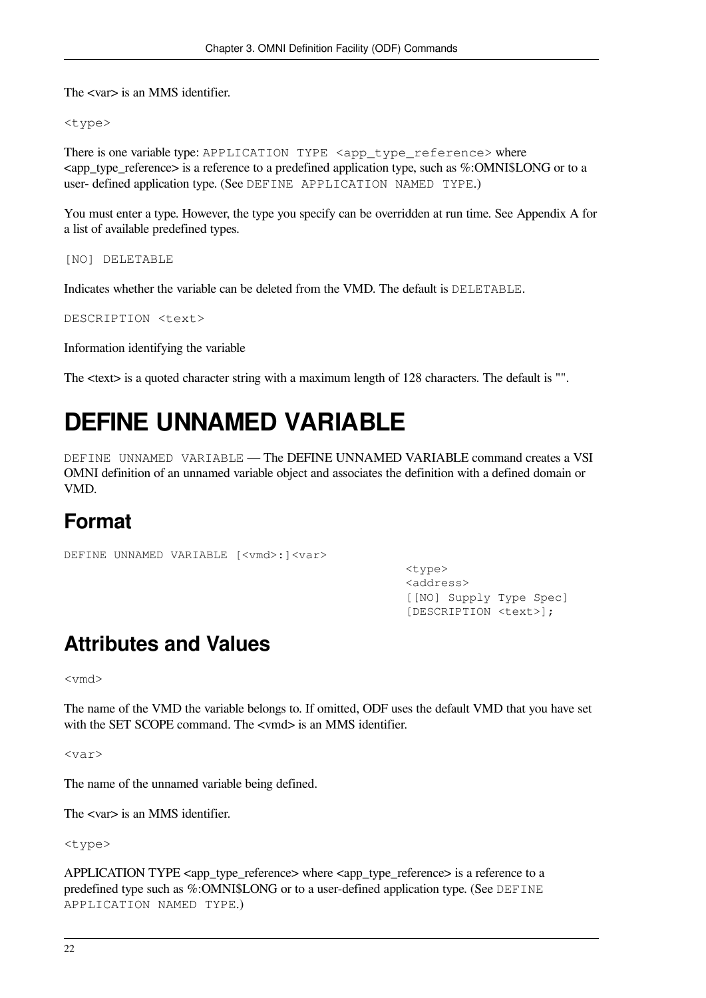The <var> is an MMS identifier.

<type>

There is one variable type: APPLICATION TYPE <app\_type\_reference> where <app\_type\_reference> is a reference to a predefined application type, such as %:OMNI\$LONG or to a user- defined application type. (See [DEFINE APPLICATION NAMED TYPE](#page-30-0).)

You must enter a type. However, the type you specify can be overridden at run time. See [Appendix](#page-54-0) A for a list of available predefined types.

[NO] DELETABLE

Indicates whether the variable can be deleted from the VMD. The default is DELETABLE.

DESCRIPTION <text>

Information identifying the variable

<span id="page-27-0"></span>The <text> is a quoted character string with a maximum length of 128 characters. The default is "".

# **DEFINE UNNAMED VARIABLE**

DEFINE UNNAMED VARIABLE — The DEFINE UNNAMED VARIABLE command creates a VSI OMNI definition of an unnamed variable object and associates the definition with a defined domain or VMD.

## **Format**

```
DEFINE UNNAMED VARIABLE [<vmd>: ]<var>
```
 <type> <address> [[NO] Supply Type Spec] [DESCRIPTION <text>];

## **Attributes and Values**

<vmd>

The name of the VMD the variable belongs to. If omitted, ODF uses the default VMD that you have set with the SET SCOPE command. The  $\lt$  vmd> is an MMS identifier.

<var>

The name of the unnamed variable being defined.

The <var> is an MMS identifier.

<type>

```
APPLICATION TYPE \langleapp_type_reference\rangle where \langleapp_type_reference\rangle is a reference to a
predefined type such as %:OMNI$LONG or to a user-defined application type. (See DEFINE
APPLICATION NAMED TYPE.)
```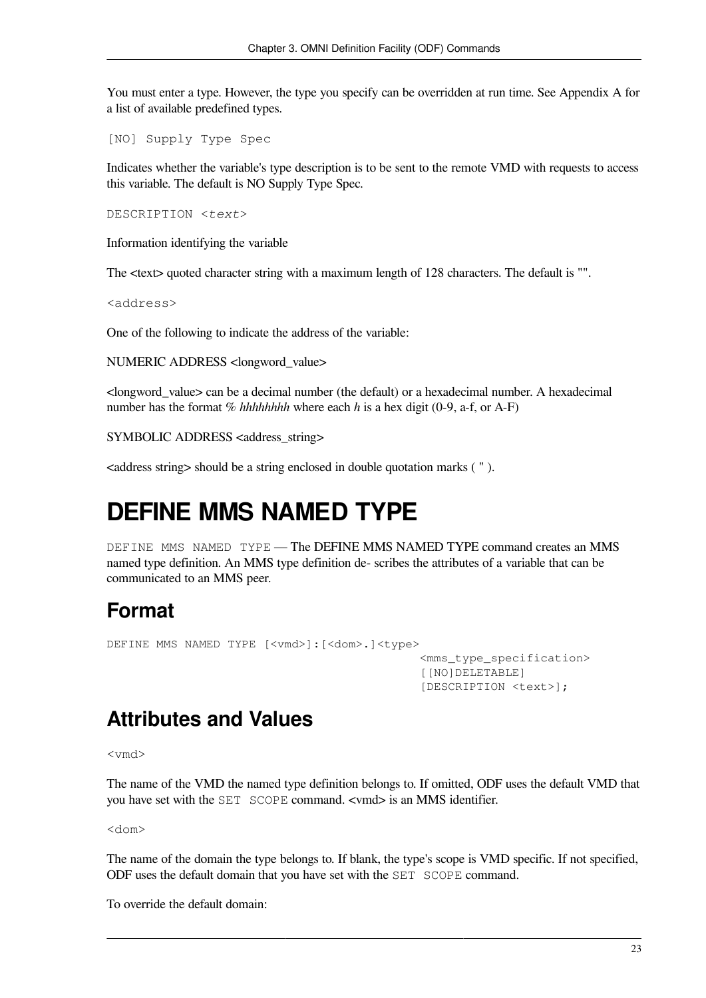You must enter a type. However, the type you specify can be overridden at run time. See [Appendix](#page-54-0) A for a list of available predefined types.

[NO] Supply Type Spec

Indicates whether the variable's type description is to be sent to the remote VMD with requests to access this variable. The default is NO Supply Type Spec.

DESCRIPTION <*text*>

Information identifying the variable

The <text> quoted character string with a maximum length of 128 characters. The default is "".

<address>

One of the following to indicate the address of the variable:

NUMERIC ADDRESS <longword\_value>

<longword\_value> can be a decimal number (the default) or a hexadecimal number. A hexadecimal number has the format % *hhhhhhhh* where each *h* is a hex digit (0-9, a-f, or A-F)

SYMBOLIC ADDRESS <address\_string>

<span id="page-28-0"></span><address string> should be a string enclosed in double quotation marks ( " ).

# **DEFINE MMS NAMED TYPE**

DEFINE MMS NAMED TYPE - The DEFINE MMS NAMED TYPE command creates an MMS named type definition. An MMS type definition de- scribes the attributes of a variable that can be communicated to an MMS peer.

## **Format**

```
DEFINE MMS NAMED TYPE [<vmd>]:[<dom>.]<type>
                                               <mms_type_specification>
                                                [[NO]DELETABLE]
                                                [DESCRIPTION <text>];
```
## **Attributes and Values**

<vmd>

The name of the VMD the named type definition belongs to. If omitted, ODF uses the default VMD that you have set with the SET SCOPE command. <vmd> is an MMS identifier.

<dom>

The name of the domain the type belongs to. If blank, the type's scope is VMD specific. If not specified, ODF uses the default domain that you have set with the SET SCOPE command.

To override the default domain: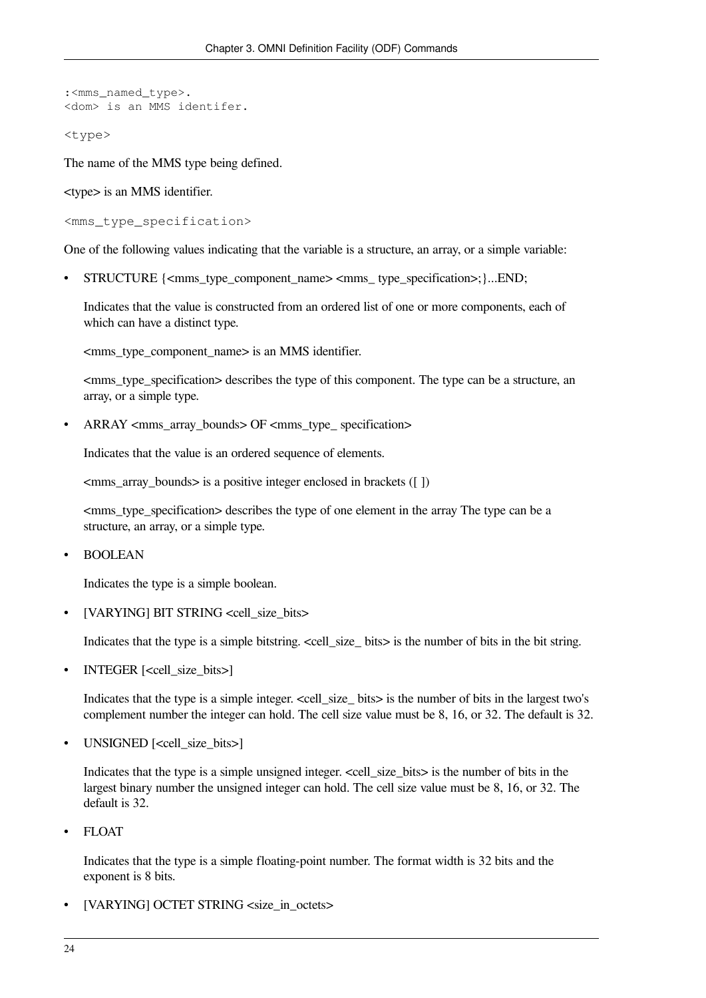```
:<mms_named_type>.
<dom> is an MMS identifer.
```
<type>

The name of the MMS type being defined.

<type> is an MMS identifier.

<mms\_type\_specification>

One of the following values indicating that the variable is a structure, an array, or a simple variable:

• STRUCTURE {<mms\_type\_component\_name> <mms\_ type\_specification>;}...END;

Indicates that the value is constructed from an ordered list of one or more components, each of which can have a distinct type.

<mms\_type\_component\_name> is an MMS identifier.

<mms\_type\_specification> describes the type of this component. The type can be a structure, an array, or a simple type.

 $ARRAY \leq mms$  array bounds  $\geq$  OF  $\leq mms$  type specification

Indicates that the value is an ordered sequence of elements.

<mms\_array\_bounds> is a positive integer enclosed in brackets ([ ])

<mms\_type\_specification> describes the type of one element in the array The type can be a structure, an array, or a simple type.

• BOOLEAN

Indicates the type is a simple boolean.

• [VARYING] BIT STRING <cell\_size\_bits>

Indicates that the type is a simple bitstring.  $\ll$ cell size bits is the number of bits in the bit string.

• INTEGER [<cell\_size\_bits>]

Indicates that the type is a simple integer. <cell\_size\_ bits> is the number of bits in the largest two's complement number the integer can hold. The cell size value must be 8, 16, or 32. The default is 32.

• UNSIGNED [<cell\_size\_bits>]

Indicates that the type is a simple unsigned integer.  $\le$ cell size bits> is the number of bits in the largest binary number the unsigned integer can hold. The cell size value must be 8, 16, or 32. The default is 32.

• FLOAT

Indicates that the type is a simple floating-point number. The format width is 32 bits and the exponent is 8 bits.

[VARYING] OCTET STRING <size\_in\_octets>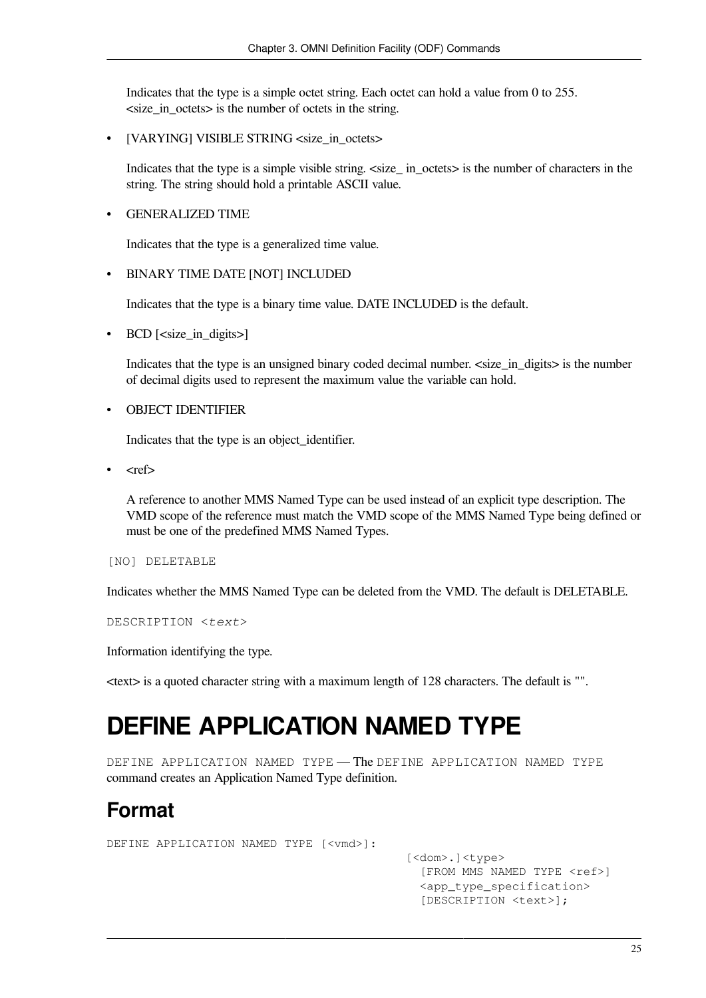Indicates that the type is a simple octet string. Each octet can hold a value from 0 to 255. <size\_in\_octets> is the number of octets in the string.

• [VARYING] VISIBLE STRING <size\_in\_octets>

Indicates that the type is a simple visible string.  $\langle$ size\_ in\_octets> is the number of characters in the string. The string should hold a printable ASCII value.

• GENERALIZED TIME

Indicates that the type is a generalized time value.

#### • BINARY TIME DATE [NOT] INCLUDED

Indicates that the type is a binary time value. DATE INCLUDED is the default.

• BCD [<size\_in\_digits>]

Indicates that the type is an unsigned binary coded decimal number. <size\_in\_digits> is the number of decimal digits used to represent the maximum value the variable can hold.

#### • OBJECT IDENTIFIER

Indicates that the type is an object\_identifier.

• <ref>

A reference to another MMS Named Type can be used instead of an explicit type description. The VMD scope of the reference must match the VMD scope of the MMS Named Type being defined or must be one of the predefined MMS Named Types.

[NO] DELETABLE

Indicates whether the MMS Named Type can be deleted from the VMD. The default is DELETABLE.

DESCRIPTION <*text*>

Information identifying the type.

<span id="page-30-0"></span><text> is a quoted character string with a maximum length of 128 characters. The default is "".

# **DEFINE APPLICATION NAMED TYPE**

DEFINE APPLICATION NAMED TYPE - The DEFINE APPLICATION NAMED TYPE command creates an Application Named Type definition.

## **Format**

DEFINE APPLICATION NAMED TYPE [<vmd>]:

 [<dom>.]<type> [FROM MMS NAMED TYPE <ref>] <app\_type\_specification> [DESCRIPTION <text>];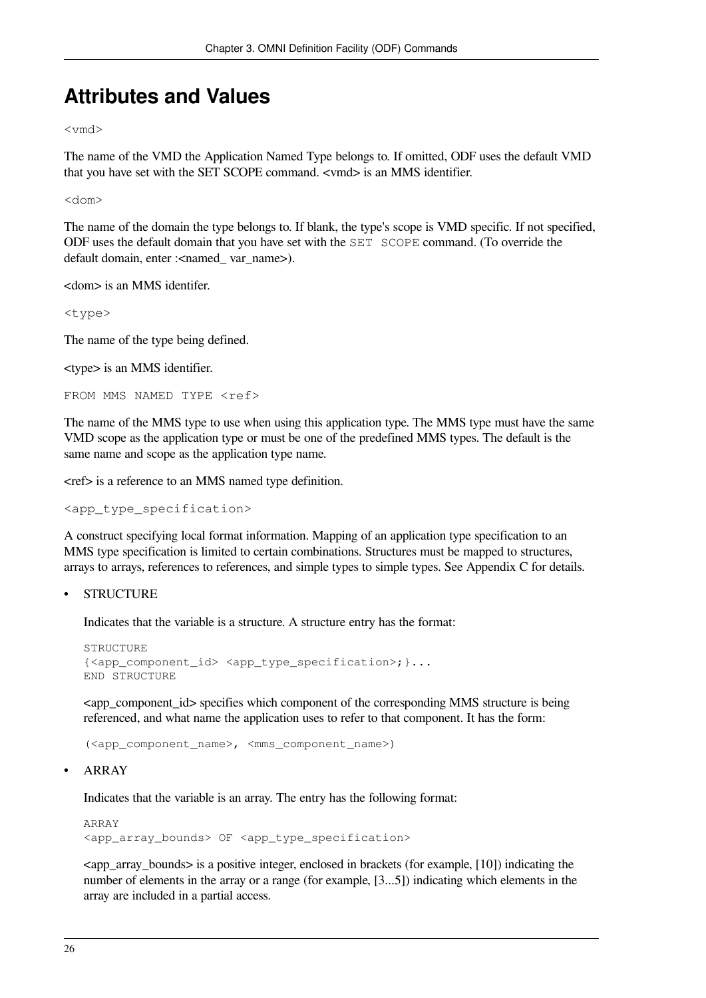## **Attributes and Values**

<vmd>

The name of the VMD the Application Named Type belongs to. If omitted, ODF uses the default VMD that you have set with the SET SCOPE command. <vmd> is an MMS identifier.

<dom>

The name of the domain the type belongs to. If blank, the type's scope is VMD specific. If not specified, ODF uses the default domain that you have set with the SET SCOPE command. (To override the default domain, enter :<named\_ var\_name>).

<dom> is an MMS identifer.

<type>

The name of the type being defined.

<type> is an MMS identifier.

```
FROM MMS NAMED TYPE <ref>
```
The name of the MMS type to use when using this application type. The MMS type must have the same VMD scope as the application type or must be one of the predefined MMS types. The default is the same name and scope as the application type name.

<ref> is a reference to an MMS named type definition.

<app\_type\_specification>

A construct specifying local format information. Mapping of an application type specification to an MMS type specification is limited to certain combinations. Structures must be mapped to structures, arrays to arrays, references to references, and simple types to simple types. See [Appendix](#page-60-0) C for details.

**STRUCTURE** 

Indicates that the variable is a structure. A structure entry has the format:

```
STRUCTURE
{<app_component_id> <app_type_specification>;}...
END STRUCTURE
```
<app\_component\_id> specifies which component of the corresponding MMS structure is being referenced, and what name the application uses to refer to that component. It has the form:

(<app\_component\_name>, <mms\_component\_name>)

• ARRAY

Indicates that the variable is an array. The entry has the following format:

ARRAY <app\_array\_bounds> OF <app\_type\_specification>

 $\leq$ app array bounds $\geq$  is a positive integer, enclosed in brackets (for example, [10]) indicating the number of elements in the array or a range (for example, [3...5]) indicating which elements in the array are included in a partial access.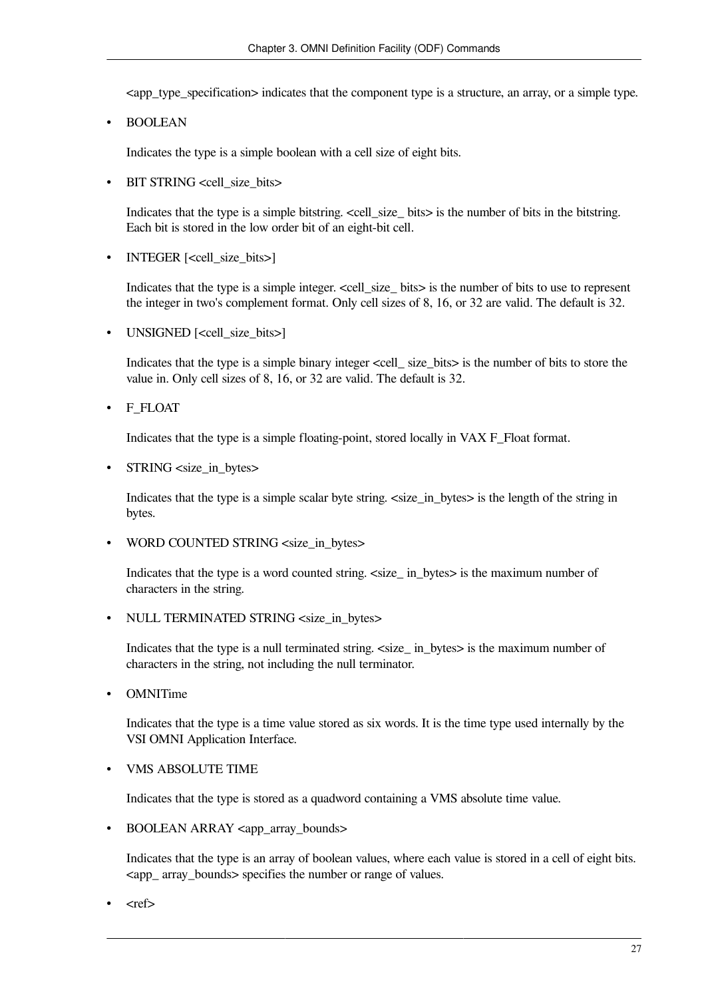<app\_type\_specification> indicates that the component type is a structure, an array, or a simple type.

• BOOLEAN

Indicates the type is a simple boolean with a cell size of eight bits.

• BIT STRING <cell\_size\_bits>

Indicates that the type is a simple bitstring. <cell\_size\_ bits> is the number of bits in the bitstring. Each bit is stored in the low order bit of an eight-bit cell.

• INTEGER [<cell\_size\_bits>]

Indicates that the type is a simple integer.  $\le$  cell\_size\_ bits> is the number of bits to use to represent the integer in two's complement format. Only cell sizes of 8, 16, or 32 are valid. The default is 32.

UNSIGNED [<cell\_size\_bits>]

Indicates that the type is a simple binary integer <cell\_ size\_bits> is the number of bits to store the value in. Only cell sizes of 8, 16, or 32 are valid. The default is 32.

• F\_FLOAT

Indicates that the type is a simple floating-point, stored locally in VAX F\_Float format.

• STRING <size\_in\_bytes>

Indicates that the type is a simple scalar byte string. <size\_in\_bytes> is the length of the string in bytes.

• WORD COUNTED STRING <size\_in\_bytes>

Indicates that the type is a word counted string.  $\langle$ size\_ in\_bytes> is the maximum number of characters in the string.

• NULL TERMINATED STRING <size in bytes>

Indicates that the type is a null terminated string.  $\langle$ size in bytes $\rangle$  is the maximum number of characters in the string, not including the null terminator.

• OMNITime

Indicates that the type is a time value stored as six words. It is the time type used internally by the VSI OMNI Application Interface.

• VMS ABSOLUTE TIME

Indicates that the type is stored as a quadword containing a VMS absolute time value.

• BOOLEAN ARRAY <app\_array\_bounds>

Indicates that the type is an array of boolean values, where each value is stored in a cell of eight bits. <app\_ array\_bounds> specifies the number or range of values.

 $<$ ref $>$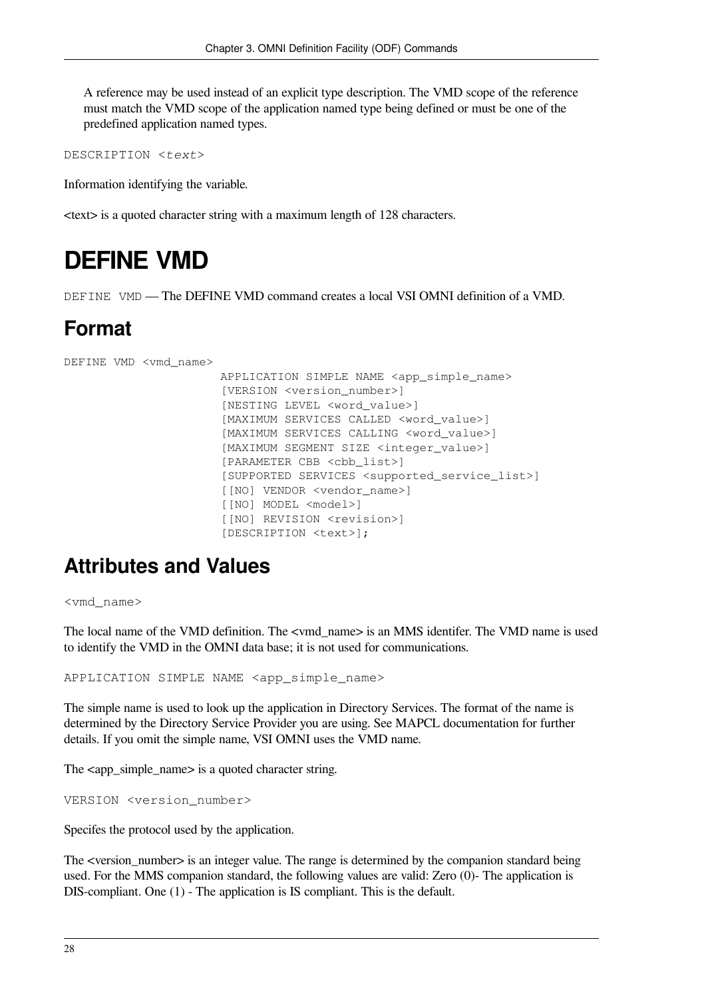A reference may be used instead of an explicit type description. The VMD scope of the reference must match the VMD scope of the application named type being defined or must be one of the predefined application named types.

DESCRIPTION <*text*>

Information identifying the variable.

<span id="page-33-0"></span><text> is a quoted character string with a maximum length of 128 characters.

## **DEFINE VMD**

DEFINE VMD — The DEFINE VMD command creates a local VSI OMNI definition of a VMD.

## **Format**

```
DEFINE VMD <vmd_name>
```

```
 APPLICATION SIMPLE NAME <app_simple_name>
 [VERSION <version_number>]
 [NESTING LEVEL <word_value>]
 [MAXIMUM SERVICES CALLED <word_value>]
 [MAXIMUM SERVICES CALLING <word_value>]
 [MAXIMUM SEGMENT SIZE <integer_value>]
 [PARAMETER CBB <cbb_list>]
 [SUPPORTED SERVICES <supported_service_list>]
 [[NO] VENDOR <vendor_name>]
 [[NO] MODEL <model>]
 [[NO] REVISION <revision>]
 [DESCRIPTION <text>];
```
## **Attributes and Values**

<vmd\_name>

The local name of the VMD definition. The <vmd\_name> is an MMS identifer. The VMD name is used to identify the VMD in the OMNI data base; it is not used for communications.

APPLICATION SIMPLE NAME <app\_simple\_name>

The simple name is used to look up the application in Directory Services. The format of the name is determined by the Directory Service Provider you are using. See MAPCL documentation for further details. If you omit the simple name, VSI OMNI uses the VMD name.

The <app\_simple\_name> is a quoted character string.

```
VERSION <version_number>
```
Specifes the protocol used by the application.

The <version\_number> is an integer value. The range is determined by the companion standard being used. For the MMS companion standard, the following values are valid: Zero (0)- The application is DIS-compliant. One (1) - The application is IS compliant. This is the default.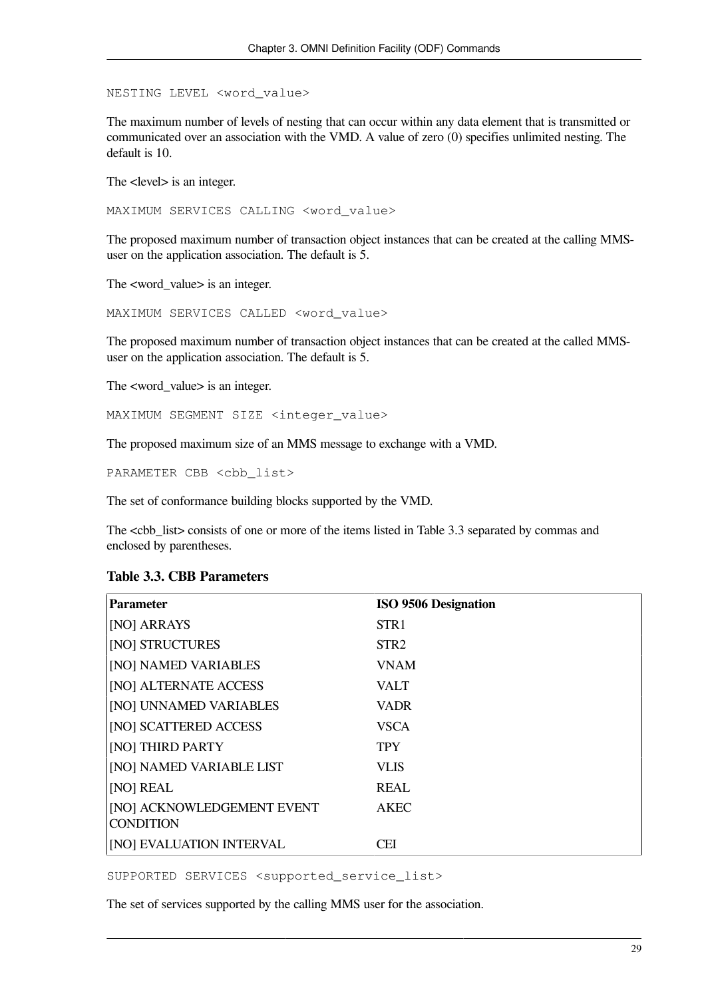NESTING LEVEL <word\_value>

The maximum number of levels of nesting that can occur within any data element that is transmitted or communicated over an association with the VMD. A value of zero (0) specifies unlimited nesting. The default is 10.

The <level> is an integer.

MAXIMUM SERVICES CALLING <word\_value>

The proposed maximum number of transaction object instances that can be created at the calling MMSuser on the application association. The default is 5.

The <word\_value> is an integer.

MAXIMUM SERVICES CALLED <word\_value>

The proposed maximum number of transaction object instances that can be created at the called MMSuser on the application association. The default is 5.

The <word\_value> is an integer.

MAXIMUM SEGMENT SIZE <integer\_value>

The proposed maximum size of an MMS message to exchange with a VMD.

PARAMETER CBB <cbb list>

The set of conformance building blocks supported by the VMD.

The <cbb\_list> consists of one or more of the items listed in [Table](#page-34-0) 3.3 separated by commas and enclosed by parentheses.

#### <span id="page-34-0"></span>**Table 3.3. CBB Parameters**

| <b>Parameter</b>                               | <b>ISO 9506 Designation</b> |
|------------------------------------------------|-----------------------------|
| [NO] ARRAYS                                    | STR <sub>1</sub>            |
| [NO] STRUCTURES                                | STR <sub>2</sub>            |
| [NO] NAMED VARIABLES                           | <b>VNAM</b>                 |
| [NO] ALTERNATE ACCESS                          | VALT                        |
| [NO] UNNAMED VARIABLES                         | <b>VADR</b>                 |
| [NO] SCATTERED ACCESS                          | <b>VSCA</b>                 |
| [NO] THIRD PARTY                               | <b>TPY</b>                  |
| [NO] NAMED VARIABLE LIST                       | <b>VLIS</b>                 |
| [NO] REAL                                      | <b>REAL</b>                 |
| [NO] ACKNOWLEDGEMENT EVENT<br><b>CONDITION</b> | <b>AKEC</b>                 |
| [NO] EVALUATION INTERVAL                       | CEI                         |

SUPPORTED SERVICES <supported\_service\_list>

The set of services supported by the calling MMS user for the association.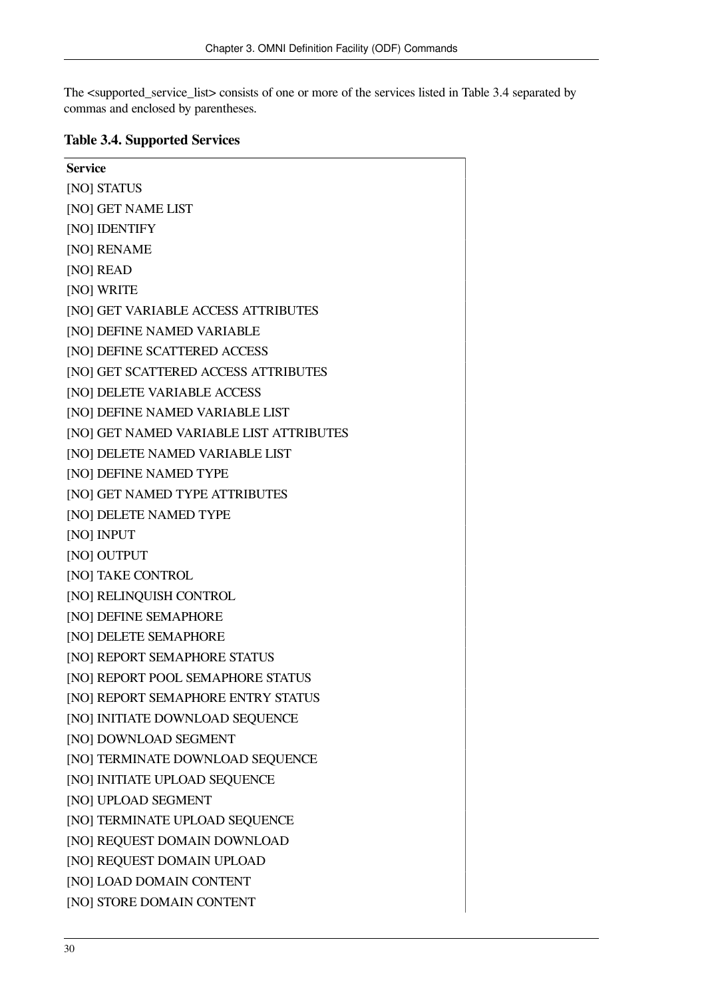The <supported\_service\_list> consists of one or more of the services listed in [Table](#page-35-0) 3.4 separated by commas and enclosed by parentheses.

#### <span id="page-35-0"></span>**Table 3.4. Supported Services**

| <b>Service</b>                          |
|-----------------------------------------|
| [NO] STATUS                             |
| [NO] GET NAME LIST                      |
| [NO] IDENTIFY                           |
| [NO] RENAME                             |
| [NO] READ                               |
| [NO] WRITE                              |
| [NO] GET VARIABLE ACCESS ATTRIBUTES     |
| [NO] DEFINE NAMED VARIABLE              |
| [NO] DEFINE SCATTERED ACCESS            |
| [NO] GET SCATTERED ACCESS ATTRIBUTES    |
| [NO] DELETE VARIABLE ACCESS             |
| [NO] DEFINE NAMED VARIABLE LIST         |
| [NO] GET NAMED VARIABLE LIST ATTRIBUTES |
| [NO] DELETE NAMED VARIABLE LIST         |
| [NO] DEFINE NAMED TYPE                  |
| [NO] GET NAMED TYPE ATTRIBUTES          |
| [NO] DELETE NAMED TYPE                  |
| [NO] INPUT                              |
| [NO] OUTPUT                             |
| [NO] TAKE CONTROL                       |
| [NO] RELINQUISH CONTROL                 |
| [NO] DEFINE SEMAPHORE                   |
| [NO] DELETE SEMAPHORE                   |
| [NO] REPORT SEMAPHORE STATUS            |
| [NO] REPORT POOL SEMAPHORE STATUS       |
| [NO] REPORT SEMAPHORE ENTRY STATUS      |
| [NO] INITIATE DOWNLOAD SEQUENCE         |
| [NO] DOWNLOAD SEGMENT                   |
| [NO] TERMINATE DOWNLOAD SEQUENCE        |
| [NO] INITIATE UPLOAD SEQUENCE           |
| [NO] UPLOAD SEGMENT                     |
| [NO] TERMINATE UPLOAD SEQUENCE          |
| [NO] REQUEST DOMAIN DOWNLOAD            |
| [NO] REQUEST DOMAIN UPLOAD              |
| [NO] LOAD DOMAIN CONTENT                |
| [NO] STORE DOMAIN CONTENT               |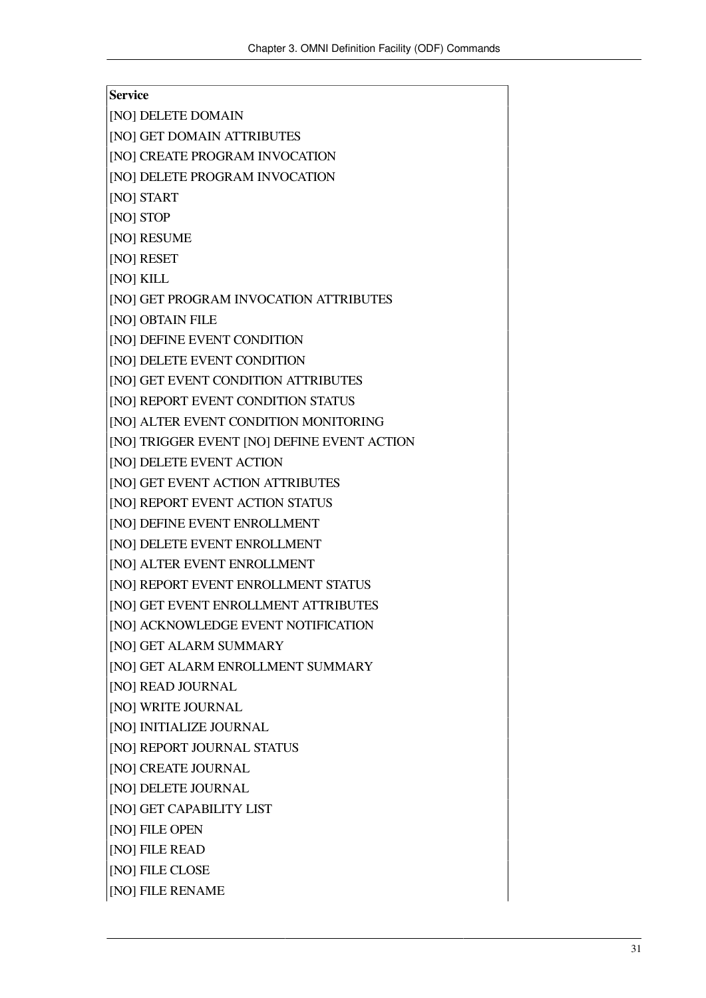| Service                                     |
|---------------------------------------------|
| [NO] DELETE DOMAIN                          |
| [NO] GET DOMAIN ATTRIBUTES                  |
| [NO] CREATE PROGRAM INVOCATION              |
| [NO] DELETE PROGRAM INVOCATION              |
| [NO] START                                  |
| [NO] STOP                                   |
| [NO] RESUME                                 |
| [NO] RESET                                  |
| [NO] KILL                                   |
| [NO] GET PROGRAM INVOCATION ATTRIBUTES      |
| [NO] OBTAIN FILE                            |
| [NO] DEFINE EVENT CONDITION                 |
| [NO] DELETE EVENT CONDITION                 |
| [NO] GET EVENT CONDITION ATTRIBUTES         |
| [NO] REPORT EVENT CONDITION STATUS          |
| [NO] ALTER EVENT CONDITION MONITORING       |
| [NO] TRIGGER EVENT [NO] DEFINE EVENT ACTION |
| [NO] DELETE EVENT ACTION                    |
| [NO] GET EVENT ACTION ATTRIBUTES            |
| [NO] REPORT EVENT ACTION STATUS             |
| [NO] DEFINE EVENT ENROLLMENT                |
| [NO] DELETE EVENT ENROLLMENT                |
| [NO] ALTER EVENT ENROLLMENT                 |
| [NO] REPORT EVENT ENROLLMENT STATUS         |
| [NO] GET EVENT ENROLLMENT ATTRIBUTES        |
| [NO] ACKNOWLEDGE EVENT NOTIFICATION         |
| [NO] GET ALARM SUMMARY                      |
| [NO] GET ALARM ENROLLMENT SUMMARY           |
| [NO] READ JOURNAL                           |
| [NO] WRITE JOURNAL                          |
| [NO] INITIALIZE JOURNAL                     |
| [NO] REPORT JOURNAL STATUS                  |
| [NO] CREATE JOURNAL                         |
| [NO] DELETE JOURNAL                         |
| [NO] GET CAPABILITY LIST                    |
| [NO] FILE OPEN                              |
| [NO] FILE READ                              |
| [NO] FILE CLOSE                             |
| [NO] FILE RENAME                            |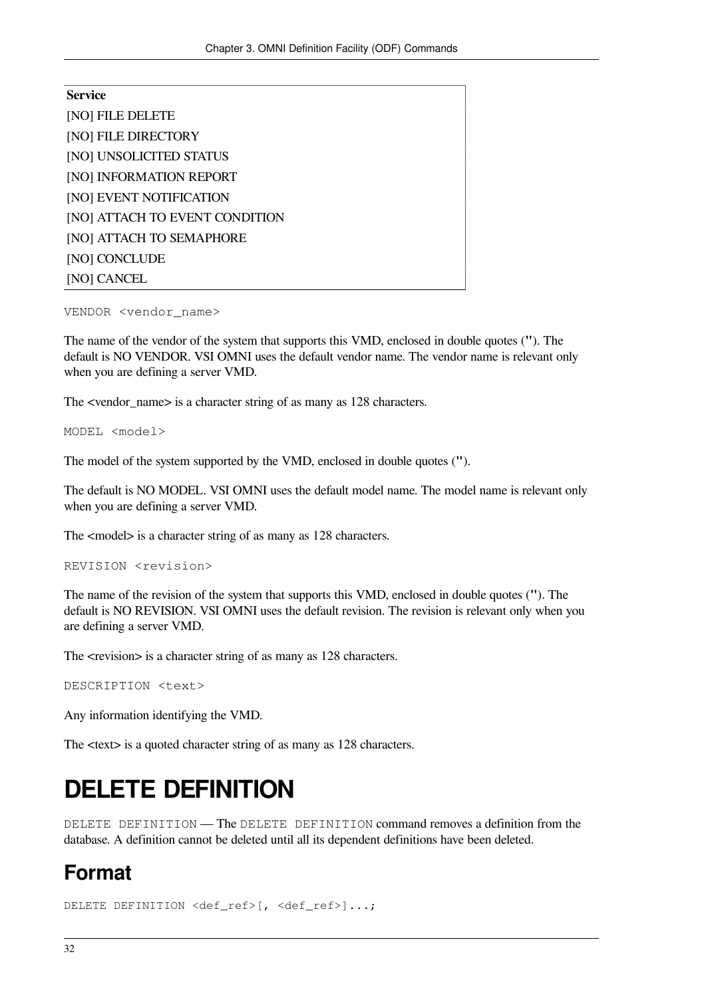| <b>Service</b>                 |
|--------------------------------|
| [NO] FILE DELETE               |
| [NO] FILE DIRECTORY            |
| [NO] UNSOLICITED STATUS        |
| [NO] INFORMATION REPORT        |
| [NO] EVENT NOTIFICATION        |
| [NO] ATTACH TO EVENT CONDITION |
| [NO] ATTACH TO SEMAPHORE       |
| [NO] CONCLUDE                  |
| [NO] CANCEL                    |

#### VENDOR <vendor\_name>

The name of the vendor of the system that supports this VMD, enclosed in double quotes (**"**). The default is NO VENDOR. VSI OMNI uses the default vendor name. The vendor name is relevant only when you are defining a server VMD.

The <vendor\_name> is a character string of as many as 128 characters.

MODEL <model>

The model of the system supported by the VMD, enclosed in double quotes (**"**).

The default is NO MODEL. VSI OMNI uses the default model name. The model name is relevant only when you are defining a server VMD.

The <model> is a character string of as many as 128 characters.

```
REVISION <revision>
```
The name of the revision of the system that supports this VMD, enclosed in double quotes (**"**). The default is NO REVISION. VSI OMNI uses the default revision. The revision is relevant only when you are defining a server VMD.

The  $\le$ revision $\ge$  is a character string of as many as 128 characters.

DESCRIPTION <text>

Any information identifying the VMD.

<span id="page-37-0"></span>The <text> is a quoted character string of as many as 128 characters.

## **DELETE DEFINITION**

DELETE DEFINITION — The DELETE DEFINITION command removes a definition from the database. A definition cannot be deleted until all its dependent definitions have been deleted.

## **Format**

DELETE DEFINITION <def\_ref>[, <def\_ref>]...;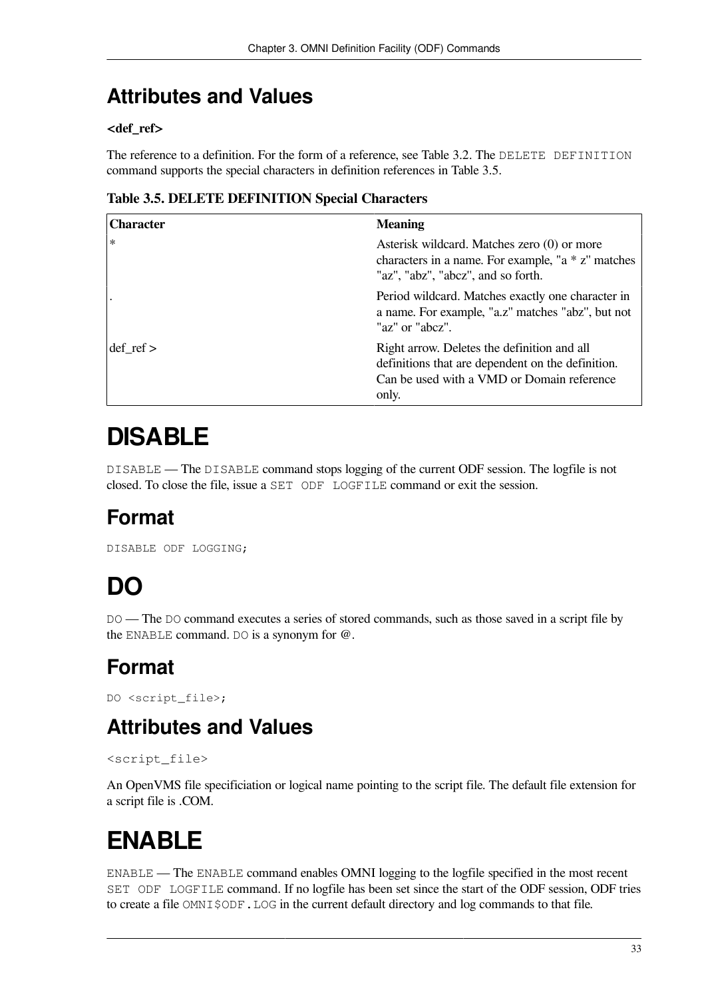## **Attributes and Values**

### **<def\_ref>**

The reference to a definition. For the form of a reference, see [Table](#page-22-2) 3.2. The DELETE DEFINITION command supports the special characters in definition references in [Table](#page-38-3) 3.5.

### <span id="page-38-3"></span>**Table 3.5. DELETE DEFINITION Special Characters**

| <b>Character</b>     | <b>Meaning</b>                                                                                                                                          |
|----------------------|---------------------------------------------------------------------------------------------------------------------------------------------------------|
| $\ast$               | Asterisk wildcard. Matches zero (0) or more<br>characters in a name. For example, "a $*$ z" matches<br>"az", "abz", "abcz", and so forth.               |
|                      | Period wildcard. Matches exactly one character in<br>a name. For example, "a.z" matches "abz", but not<br>"az" or "abcz".                               |
| $\text{def}$ ref $>$ | Right arrow. Deletes the definition and all<br>definitions that are dependent on the definition.<br>Can be used with a VMD or Domain reference<br>only. |

# <span id="page-38-0"></span>**DISABLE**

DISABLE — The DISABLE command stops logging of the current ODF session. The logfile is not closed. To close the file, issue a SET ODF LOGFILE command or exit the session.

## **Format**

<span id="page-38-1"></span>DISABLE ODF LOGGING;

# **DO**

DO — The DO command executes a series of stored commands, such as those saved in a script file by the ENABLE command. DO is a synonym for @.

# **Format**

DO <script\_file>;

## **Attributes and Values**

#### <script\_file>

An OpenVMS file specificiation or logical name pointing to the script file. The default file extension for a script file is .COM.

# <span id="page-38-2"></span>**ENABLE**

ENABLE — The ENABLE command enables OMNI logging to the logfile specified in the most recent SET ODF LOGFILE command. If no logfile has been set since the start of the ODF session, ODF tries to create a file OMNI\$ODF. LOG in the current default directory and log commands to that file.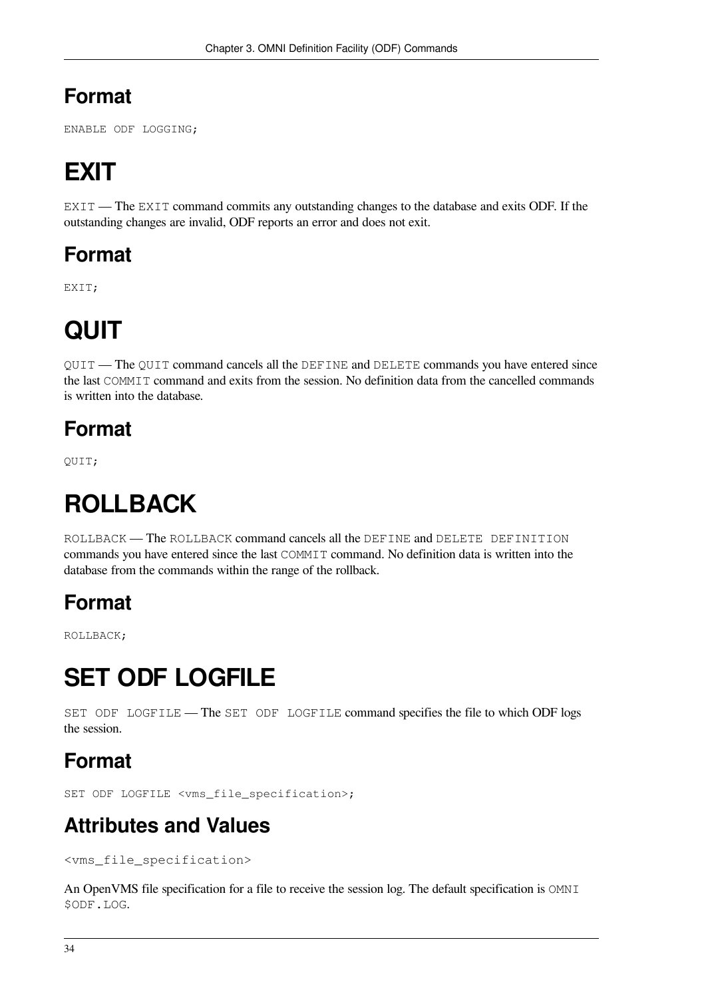## **Format**

<span id="page-39-0"></span>ENABLE ODF LOGGING;

# **EXIT**

EXIT — The EXIT command commits any outstanding changes to the database and exits ODF. If the outstanding changes are invalid, ODF reports an error and does not exit.

## **Format**

<span id="page-39-1"></span>EXIT;

# **QUIT**

QUIT — The QUIT command cancels all the DEFINE and DELETE commands you have entered since the last COMMIT command and exits from the session. No definition data from the cancelled commands is written into the database.

## **Format**

<span id="page-39-2"></span>QUIT;

# **ROLLBACK**

ROLLBACK — The ROLLBACK command cancels all the DEFINE and DELETE DEFINITION commands you have entered since the last COMMIT command. No definition data is written into the database from the commands within the range of the rollback.

## **Format**

<span id="page-39-3"></span>ROLLBACK;

# **SET ODF LOGFILE**

SET ODF LOGFILE — The SET ODF LOGFILE command specifies the file to which ODF logs the session.

## **Format**

SET ODF LOGFILE <vms\_file\_specification>;

## **Attributes and Values**

<vms\_file\_specification>

An OpenVMS file specification for a file to receive the session log. The default specification is OMNI \$ODF.LOG.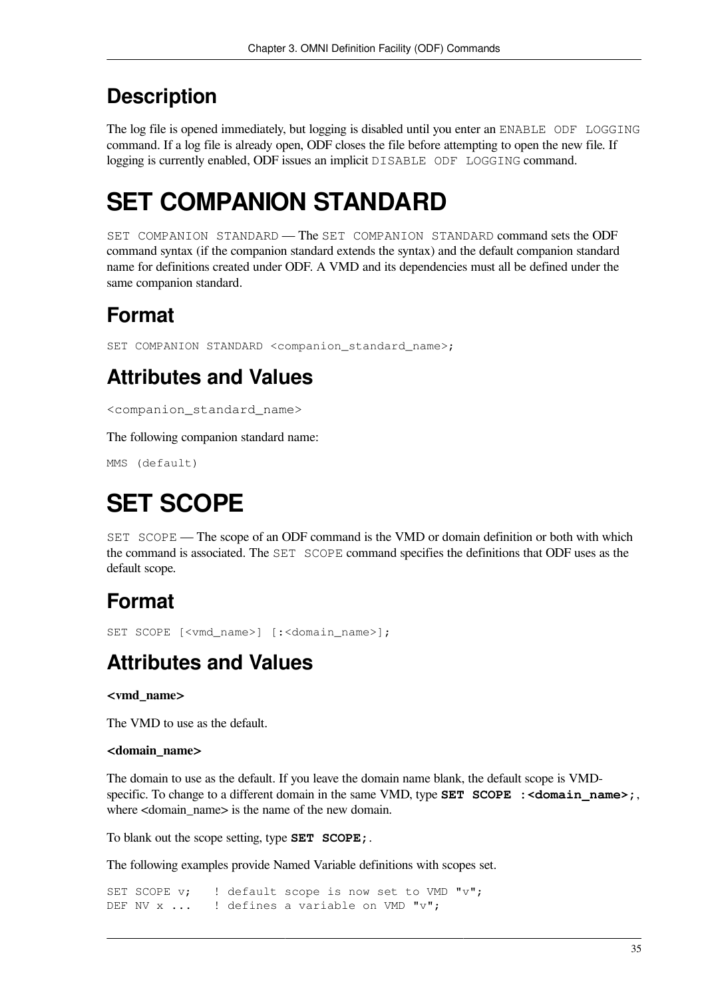## **Description**

The log file is opened immediately, but logging is disabled until you enter an ENABLE ODF LOGGING command. If a log file is already open, ODF closes the file before attempting to open the new file. If logging is currently enabled, ODF issues an implicit DISABLE ODF LOGGING command.

# <span id="page-40-0"></span>**SET COMPANION STANDARD**

SET COMPANION STANDARD — The SET COMPANION STANDARD command sets the ODF command syntax (if the companion standard extends the syntax) and the default companion standard name for definitions created under ODF. A VMD and its dependencies must all be defined under the same companion standard.

## **Format**

SET COMPANION STANDARD <companion standard name>;

## **Attributes and Values**

<companion\_standard\_name>

The following companion standard name:

<span id="page-40-1"></span>MMS (default)

# **SET SCOPE**

SET SCOPE — The scope of an ODF command is the VMD or domain definition or both with which the command is associated. The SET SCOPE command specifies the definitions that ODF uses as the default scope.

## **Format**

SET SCOPE [<vmd\_name>] [:<domain\_name>];

## **Attributes and Values**

#### **<vmd\_name>**

The VMD to use as the default.

#### **<domain\_name>**

The domain to use as the default. If you leave the domain name blank, the default scope is VMDspecific. To change to a different domain in the same VMD, type **SET SCOPE** : <**domain name>**; where <domain\_name> is the name of the new domain.

To blank out the scope setting, type **SET SCOPE;**.

The following examples provide Named Variable definitions with scopes set.

SET SCOPE v; ! default scope is now set to VMD "v"; DEF NV x ... ! defines a variable on VMD "v";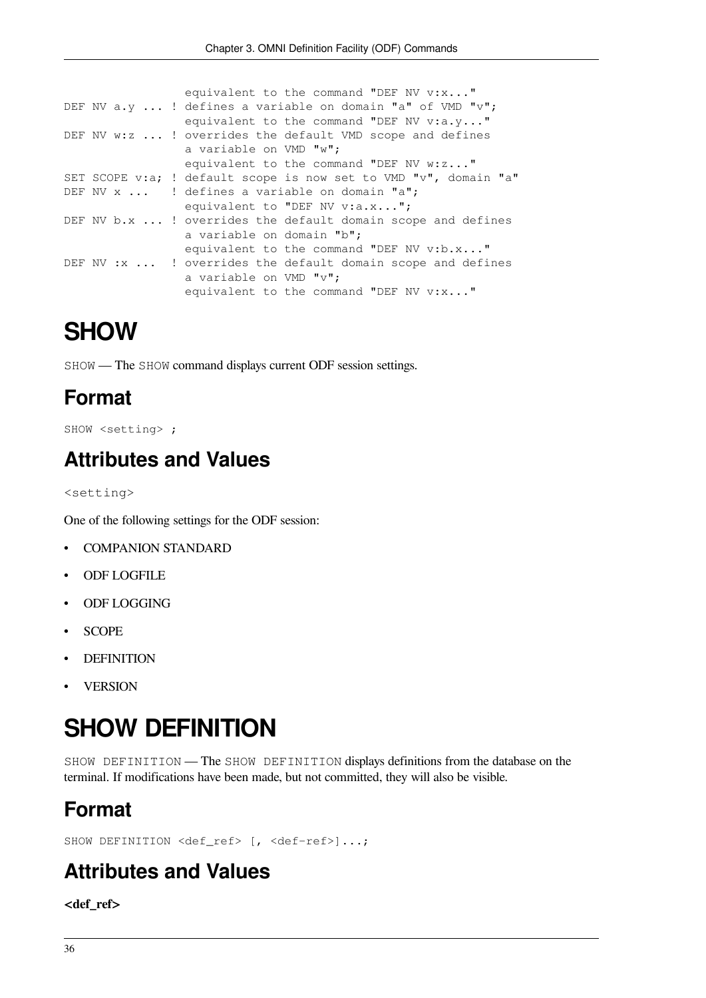```
equivalent to the command "DEF NV v:x..."
DEF NV a.y \ldots ! defines a variable on domain "a" of VMD "v";
                 equivalent to the command "DEF NV v:a.y..."
DEF NV w:z ... ! overrides the default VMD scope and defines
                  a variable on VMD "w";
                 equivalent to the command "DEF NV w:z..."
SET SCOPE v:a; ! default scope is now set to VMD "v", domain "a"
DEF NV x ... ! defines a variable on domain "a";
                 equivalent to "DEF NV v:a.x...";
DEF NV b.x ... ! overrides the default domain scope and defines
                  a variable on domain "b";
                  equivalent to the command "DEF NV v:b.x..."
DEF NV : x ... ! overrides the default domain scope and defines
                  a variable on VMD "v";
                 equivalent to the command "DEF NV v:x..."
```
# <span id="page-41-0"></span>**SHOW**

SHOW — The SHOW command displays current ODF session settings.

## **Format**

SHOW <setting> ;

## **Attributes and Values**

<setting>

One of the following settings for the ODF session:

- COMPANION STANDARD
- ODF LOGFILE
- ODF LOGGING
- SCOPE
- **DEFINITION**
- <span id="page-41-1"></span>**VERSION**

# **SHOW DEFINITION**

SHOW DEFINITION — The SHOW DEFINITION displays definitions from the database on the terminal. If modifications have been made, but not committed, they will also be visible.

## **Format**

SHOW DEFINITION <def ref> [, <def-ref>]...;

## **Attributes and Values**

**<def\_ref>**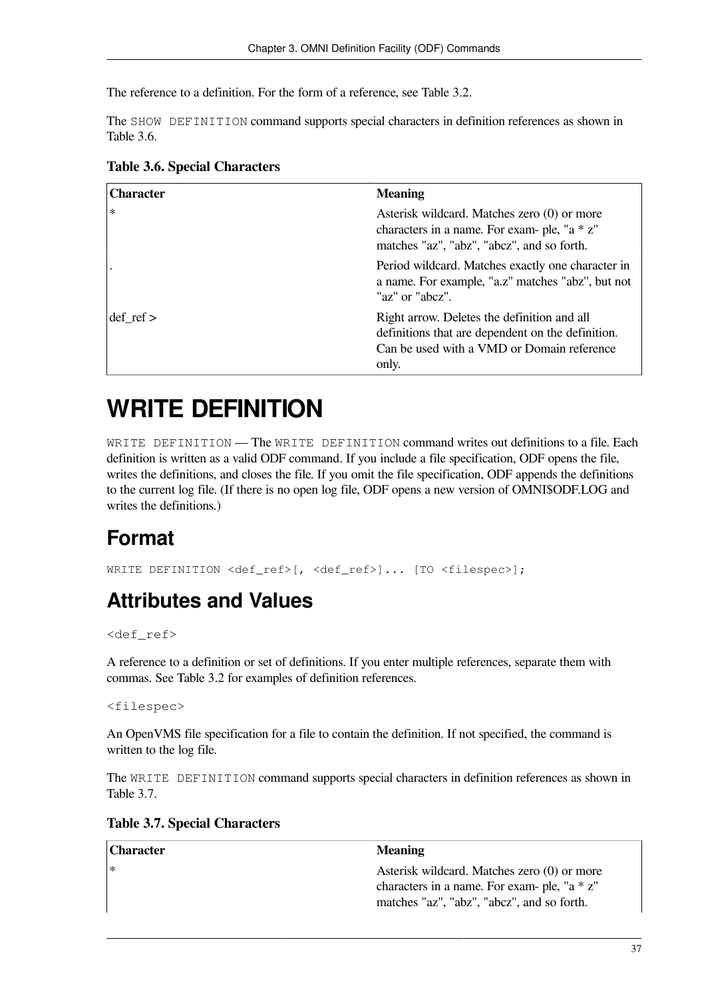The reference to a definition. For the form of a reference, see [Table](#page-22-2) 3.2.

The SHOW DEFINITION command supports special characters in definition references as shown in [Table](#page-42-1) 3.6.

| <b>Character</b>     | <b>Meaning</b>                                                                                                                                          |
|----------------------|---------------------------------------------------------------------------------------------------------------------------------------------------------|
| $\ast$               | Asterisk wildcard. Matches zero (0) or more<br>characters in a name. For exam- ple, "a * z"<br>matches "az", "abz", "abcz", and so forth.               |
|                      | Period wildcard. Matches exactly one character in<br>a name. For example, "a.z" matches "abz", but not<br>"az" or "abcz".                               |
| $\text{def}$ ref $>$ | Right arrow. Deletes the definition and all<br>definitions that are dependent on the definition.<br>Can be used with a VMD or Domain reference<br>only. |

#### <span id="page-42-1"></span>**Table 3.6. Special Characters**

# <span id="page-42-0"></span>**WRITE DEFINITION**

WRITE DEFINITION — The WRITE DEFINITION command writes out definitions to a file. Each definition is written as a valid ODF command. If you include a file specification, ODF opens the file, writes the definitions, and closes the file. If you omit the file specification, ODF appends the definitions to the current log file. (If there is no open log file, ODF opens a new version of OMNI\$ODF.LOG and writes the definitions.)

## **Format**

WRITE DEFINITION <def ref>[, <def ref>]... [TO <filespec>];

## **Attributes and Values**

#### <def\_ref>

A reference to a definition or set of definitions. If you enter multiple references, separate them with commas. See [Table](#page-22-2) 3.2 for examples of definition references.

<filespec>

An OpenVMS file specification for a file to contain the definition. If not specified, the command is written to the log file.

The WRITE DEFINITION command supports special characters in definition references as shown in [Table](#page-42-2) 3.7.

#### <span id="page-42-2"></span>**Table 3.7. Special Characters**

| <b>Character</b> | <b>Meaning</b>                                                                                                                                |
|------------------|-----------------------------------------------------------------------------------------------------------------------------------------------|
| $\ast$           | Asterisk wildcard. Matches zero (0) or more<br>characters in a name. For exam- ple, " $a * z$ "<br>matches "az", "abz", "abcz", and so forth. |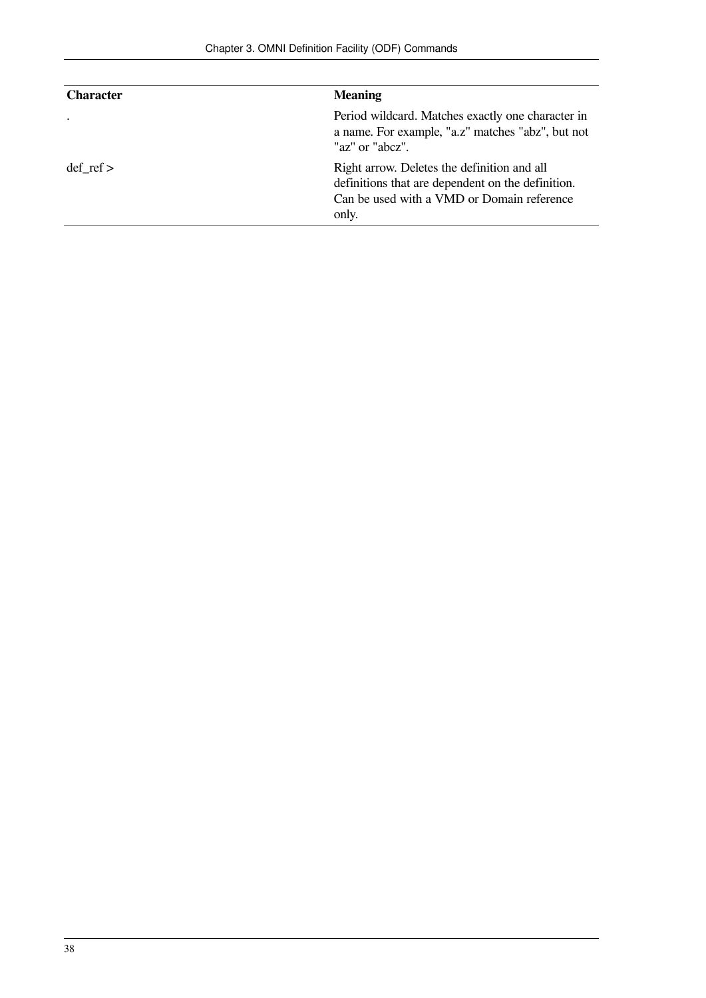| <b>Character</b> | <b>Meaning</b>                                                                                                                                          |
|------------------|---------------------------------------------------------------------------------------------------------------------------------------------------------|
|                  | Period wildcard. Matches exactly one character in<br>a name. For example, "a.z" matches "abz", but not<br>"az" or "abcz".                               |
| $def$ ref $>$    | Right arrow. Deletes the definition and all<br>definitions that are dependent on the definition.<br>Can be used with a VMD or Domain reference<br>only. |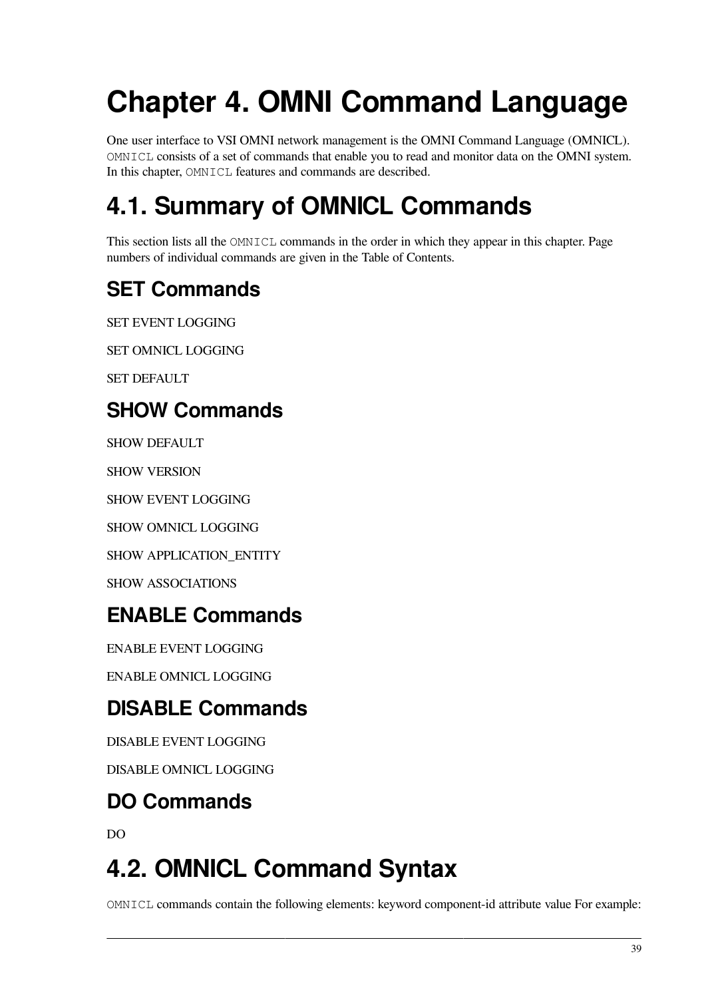# <span id="page-44-0"></span>**Chapter 4. OMNI Command Language**

One user interface to VSI OMNI network management is the OMNI Command Language (OMNICL). OMNICL consists of a set of commands that enable you to read and monitor data on the OMNI system. In this chapter, OMNICL features and commands are described.

# <span id="page-44-1"></span>**4.1. Summary of OMNICL Commands**

This section lists all the OMNICL commands in the order in which they appear in this chapter. Page numbers of individual commands are given in the Table of Contents.

## **SET Commands**

SET EVENT LOGGING

SET OMNICL LOGGING

SET DEFAULT

## **SHOW Commands**

SHOW DEFAULT

SHOW VERSION

SHOW EVENT LOGGING

SHOW OMNICL LOGGING

SHOW APPLICATION\_ENTITY

SHOW ASSOCIATIONS

## **ENABLE Commands**

ENABLE EVENT LOGGING

ENABLE OMNICL LOGGING

## **DISABLE Commands**

DISABLE EVENT LOGGING

DISABLE OMNICL LOGGING

## **DO Commands**

DO

# <span id="page-44-2"></span>**4.2. OMNICL Command Syntax**

OMNICL commands contain the following elements: keyword component-id attribute value For example: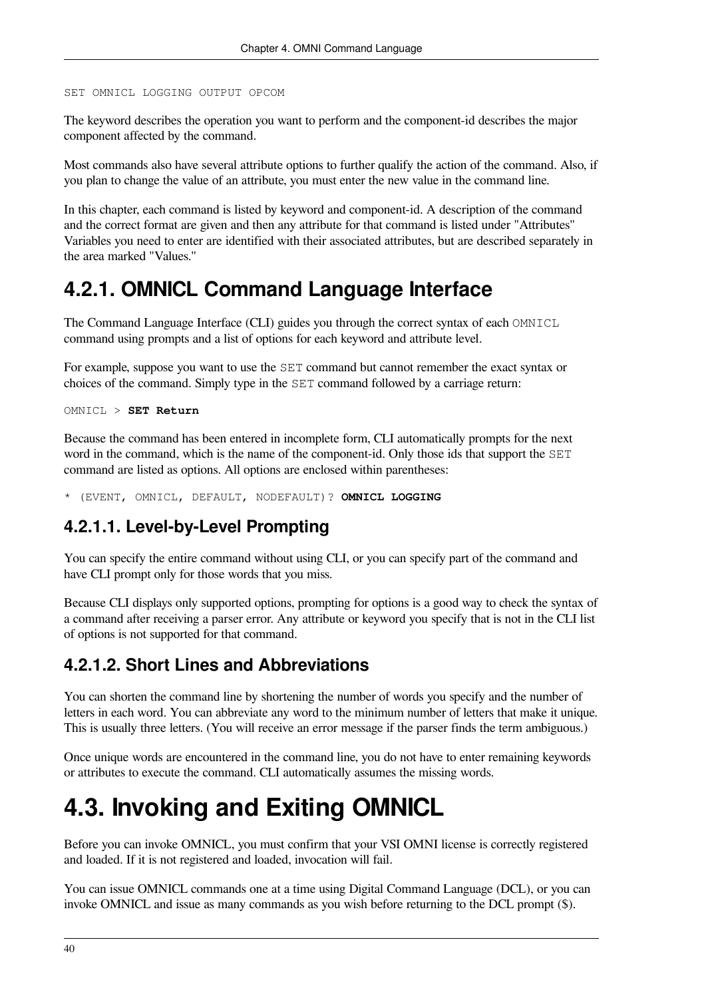```
SET OMNICL LOGGING OUTPUT OPCOM
```
The keyword describes the operation you want to perform and the component-id describes the major component affected by the command.

Most commands also have several attribute options to further qualify the action of the command. Also, if you plan to change the value of an attribute, you must enter the new value in the command line.

In this chapter, each command is listed by keyword and component-id. A description of the command and the correct format are given and then any attribute for that command is listed under "Attributes'' Variables you need to enter are identified with their associated attributes, but are described separately in the area marked "Values.''

## <span id="page-45-0"></span>**4.2.1. OMNICL Command Language Interface**

The Command Language Interface (CLI) guides you through the correct syntax of each OMNICL command using prompts and a list of options for each keyword and attribute level.

For example, suppose you want to use the SET command but cannot remember the exact syntax or choices of the command. Simply type in the SET command followed by a carriage return:

```
OMNICL > SET Return
```
Because the command has been entered in incomplete form, CLI automatically prompts for the next word in the command, which is the name of the component-id. Only those ids that support the SET command are listed as options. All options are enclosed within parentheses:

<span id="page-45-1"></span>\* (EVENT, OMNICL, DEFAULT, NODEFAULT)? **OMNICL LOGGING**

### **4.2.1.1. Level-by-Level Prompting**

You can specify the entire command without using CLI, or you can specify part of the command and have CLI prompt only for those words that you miss.

Because CLI displays only supported options, prompting for options is a good way to check the syntax of a command after receiving a parser error. Any attribute or keyword you specify that is not in the CLI list of options is not supported for that command.

### <span id="page-45-2"></span>**4.2.1.2. Short Lines and Abbreviations**

You can shorten the command line by shortening the number of words you specify and the number of letters in each word. You can abbreviate any word to the minimum number of letters that make it unique. This is usually three letters. (You will receive an error message if the parser finds the term ambiguous.)

Once unique words are encountered in the command line, you do not have to enter remaining keywords or attributes to execute the command. CLI automatically assumes the missing words.

# <span id="page-45-3"></span>**4.3. Invoking and Exiting OMNICL**

Before you can invoke OMNICL, you must confirm that your VSI OMNI license is correctly registered and loaded. If it is not registered and loaded, invocation will fail.

You can issue OMNICL commands one at a time using Digital Command Language (DCL), or you can invoke OMNICL and issue as many commands as you wish before returning to the DCL prompt (\$).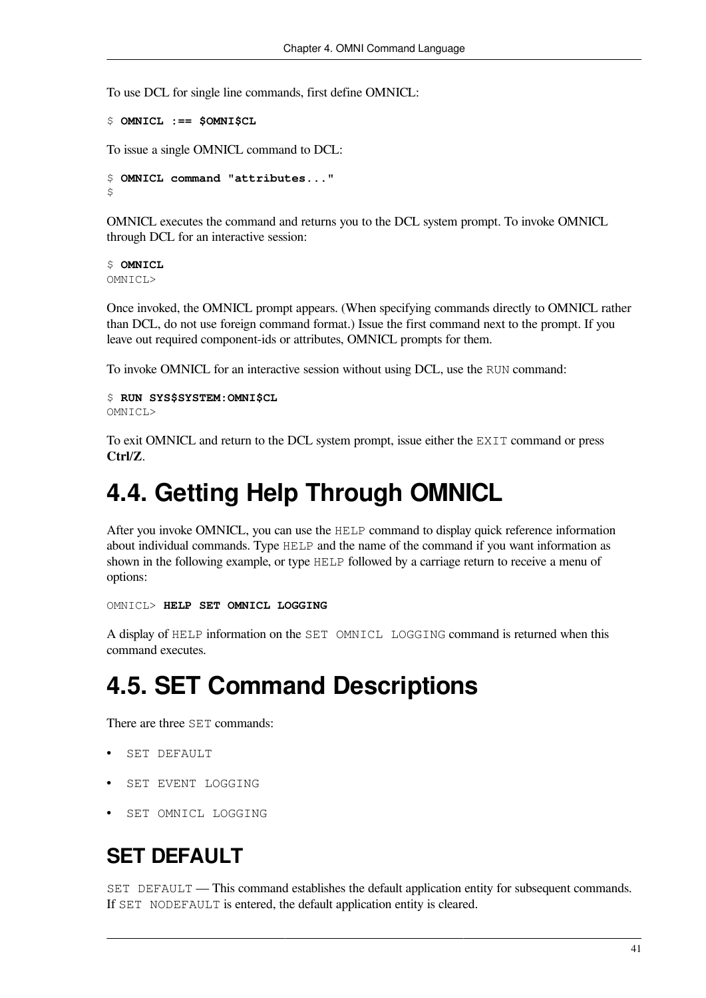To use DCL for single line commands, first define OMNICL:

```
$ OMNICL :== $OMNI$CL
```
To issue a single OMNICL command to DCL:

```
$ OMNICL command "attributes..."
\ddot{\varsigma}
```
OMNICL executes the command and returns you to the DCL system prompt. To invoke OMNICL through DCL for an interactive session:

```
$ OMNICL
OMNICL>
```
Once invoked, the OMNICL prompt appears. (When specifying commands directly to OMNICL rather than DCL, do not use foreign command format.) Issue the first command next to the prompt. If you leave out required component-ids or attributes, OMNICL prompts for them.

To invoke OMNICL for an interactive session without using DCL, use the RUN command:

```
$ RUN SYS$SYSTEM:OMNI$CL
OMNICL>
```
To exit OMNICL and return to the DCL system prompt, issue either the EXIT command or press **Ctrl**/**Z**.

## <span id="page-46-0"></span>**4.4. Getting Help Through OMNICL**

After you invoke OMNICL, you can use the HELP command to display quick reference information about individual commands. Type HELP and the name of the command if you want information as shown in the following example, or type HELP followed by a carriage return to receive a menu of options:

OMNICL> **HELP SET OMNICL LOGGING**

A display of HELP information on the SET OMNICL LOGGING command is returned when this command executes.

## <span id="page-46-1"></span>**4.5. SET Command Descriptions**

There are three SET commands:

- SET DEFAULT
- SET EVENT LOGGING
- SET OMNICL LOGGING

## **SET DEFAULT**

SET DEFAULT — This command establishes the default application entity for subsequent commands. If SET NODEFAULT is entered, the default application entity is cleared.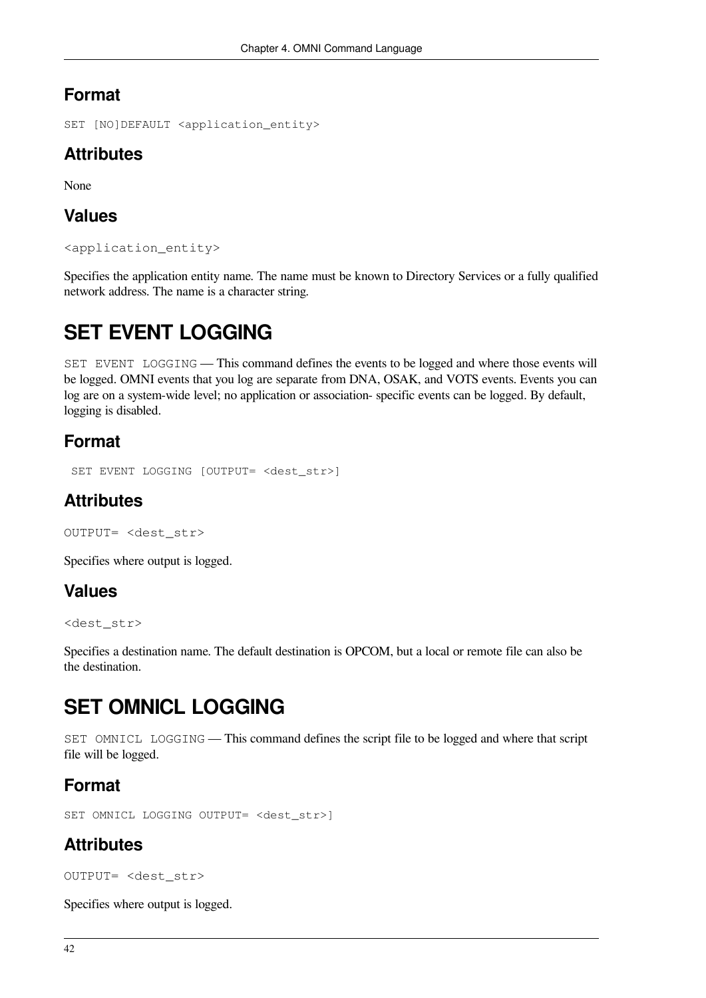### **Format**

SET [NO]DEFAULT <application entity>

### **Attributes**

None

### **Values**

<application\_entity>

Specifies the application entity name. The name must be known to Directory Services or a fully qualified network address. The name is a character string.

## **SET EVENT LOGGING**

SET EVENT LOGGING — This command defines the events to be logged and where those events will be logged. OMNI events that you log are separate from DNA, OSAK, and VOTS events. Events you can log are on a system-wide level; no application or association- specific events can be logged. By default, logging is disabled.

### **Format**

```
 SET EVENT LOGGING [OUTPUT= <dest_str>]
```
### **Attributes**

```
OUTPUT= <dest_str>
```
Specifies where output is logged.

### **Values**

<dest\_str>

Specifies a destination name. The default destination is OPCOM, but a local or remote file can also be the destination.

## **SET OMNICL LOGGING**

SET OMNICL LOGGING — This command defines the script file to be logged and where that script file will be logged.

### **Format**

SET OMNICL LOGGING OUTPUT= <dest\_str>]

### **Attributes**

OUTPUT= <dest\_str>

Specifies where output is logged.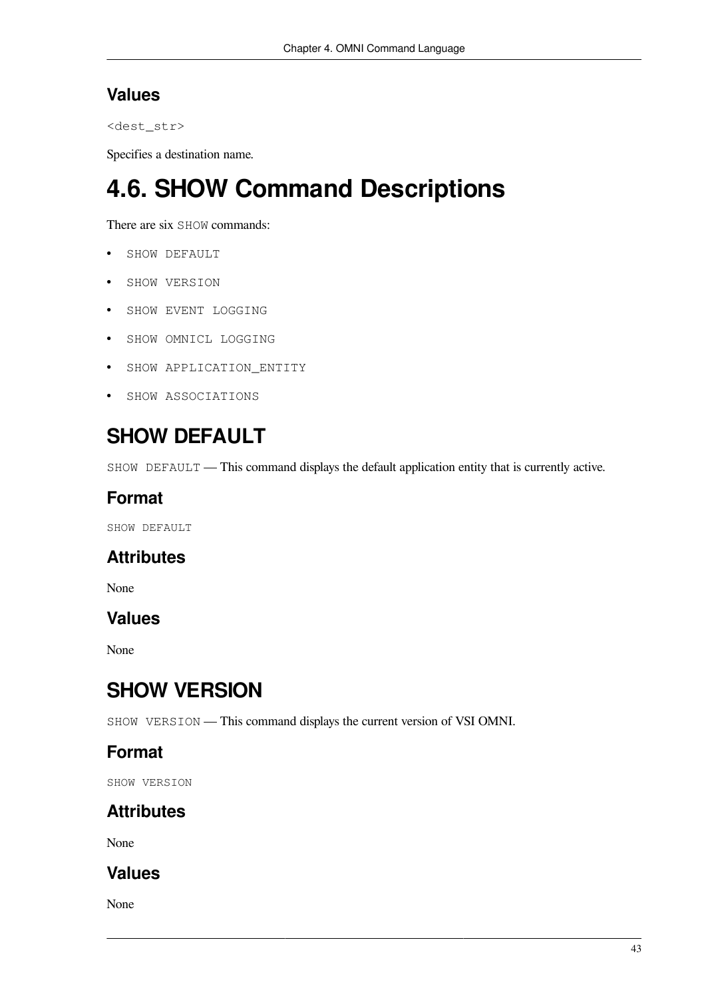### **Values**

```
<dest_str>
```
Specifies a destination name.

# <span id="page-48-0"></span>**4.6. SHOW Command Descriptions**

There are six SHOW commands:

- SHOW DEFAULT
- SHOW VERSION
- SHOW EVENT LOGGING
- SHOW OMNICL LOGGING
- SHOW APPLICATION\_ENTITY
- SHOW ASSOCIATIONS

## **SHOW DEFAULT**

SHOW DEFAULT — This command displays the default application entity that is currently active.

### **Format**

SHOW DEFAULT

### **Attributes**

None

### **Values**

None

## **SHOW VERSION**

SHOW VERSION — This command displays the current version of VSI OMNI.

### **Format**

SHOW VERSION

## **Attributes**

None

### **Values**

None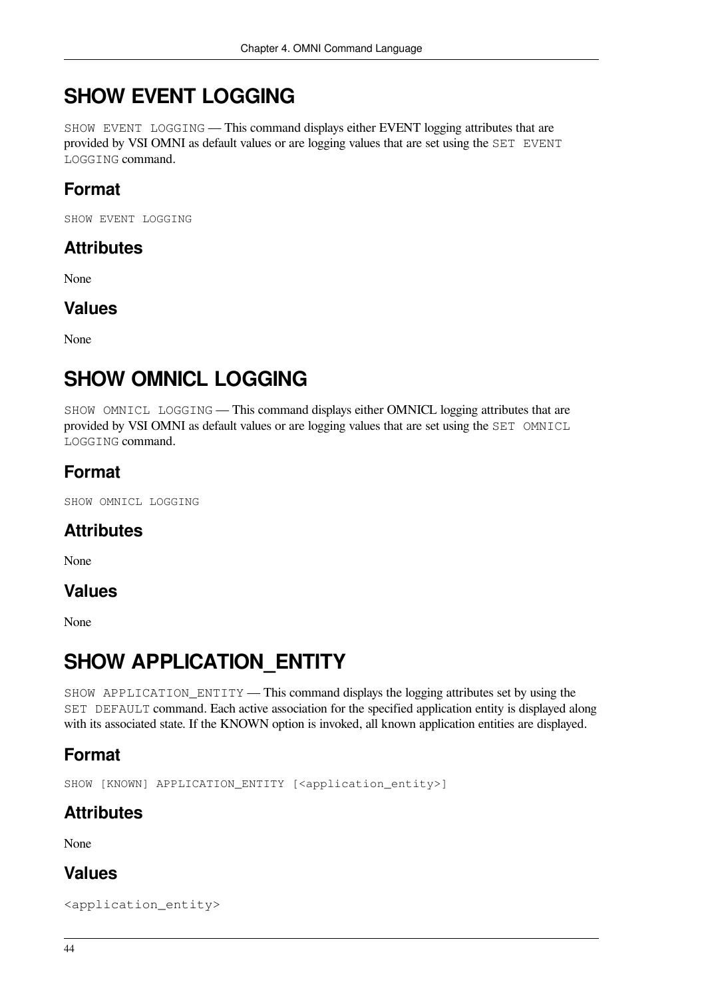## **SHOW EVENT LOGGING**

SHOW EVENT LOGGING — This command displays either EVENT logging attributes that are provided by VSI OMNI as default values or are logging values that are set using the SET EVENT LOGGING command.

## **Format**

SHOW EVENT LOGGING

### **Attributes**

None

### **Values**

None

## **SHOW OMNICL LOGGING**

SHOW OMNICL LOGGING — This command displays either OMNICL logging attributes that are provided by VSI OMNI as default values or are logging values that are set using the SET OMNICL LOGGING command.

### **Format**

SHOW OMNICL LOGGING

### **Attributes**

None

### **Values**

None

## **SHOW APPLICATION\_ENTITY**

SHOW APPLICATION\_ENTITY — This command displays the logging attributes set by using the SET DEFAULT command. Each active association for the specified application entity is displayed along with its associated state. If the KNOWN option is invoked, all known application entities are displayed.

### **Format**

SHOW [KNOWN] APPLICATION\_ENTITY [<application\_entity>]

## **Attributes**

None

### **Values**

<application\_entity>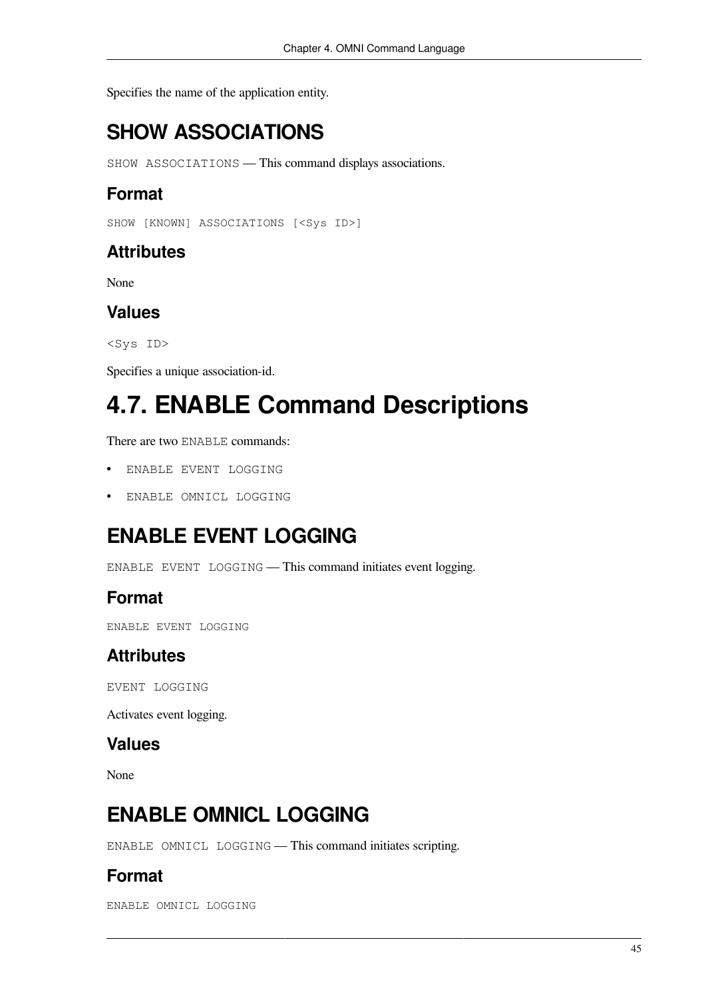Specifies the name of the application entity.

## **SHOW ASSOCIATIONS**

SHOW ASSOCIATIONS — This command displays associations.

### **Format**

SHOW [KNOWN] ASSOCIATIONS [<Sys ID>]

### **Attributes**

None

### **Values**

<Sys ID>

Specifies a unique association-id.

# <span id="page-50-0"></span>**4.7. ENABLE Command Descriptions**

There are two ENABLE commands:

- ENABLE EVENT LOGGING
- ENABLE OMNICL LOGGING

## **ENABLE EVENT LOGGING**

ENABLE EVENT LOGGING — This command initiates event logging.

### **Format**

ENABLE EVENT LOGGING

### **Attributes**

EVENT LOGGING

Activates event logging.

#### **Values**

None

## **ENABLE OMNICL LOGGING**

ENABLE OMNICL LOGGING — This command initiates scripting.

### **Format**

ENABLE OMNICL LOGGING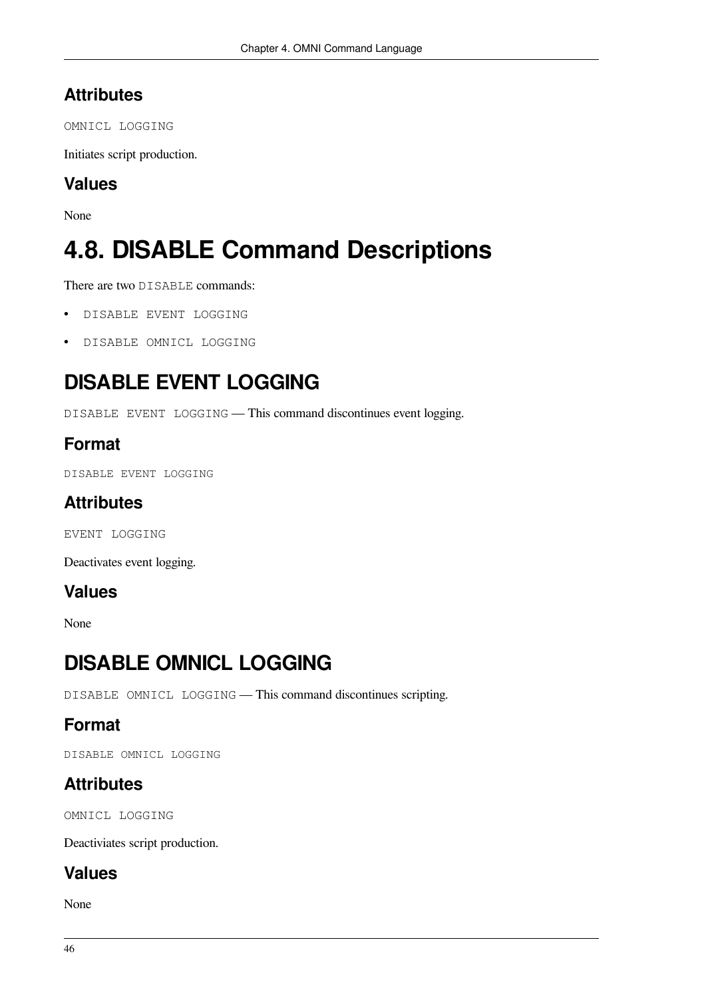### **Attributes**

OMNICL LOGGING

Initiates script production.

### **Values**

None

# <span id="page-51-0"></span>**4.8. DISABLE Command Descriptions**

There are two DISABLE commands:

- DISABLE EVENT LOGGING
- DISABLE OMNICL LOGGING

## **DISABLE EVENT LOGGING**

DISABLE EVENT LOGGING — This command discontinues event logging.

### **Format**

DISABLE EVENT LOGGING

### **Attributes**

EVENT LOGGING

Deactivates event logging.

### **Values**

None

## **DISABLE OMNICL LOGGING**

DISABLE OMNICL LOGGING — This command discontinues scripting.

### **Format**

DISABLE OMNICL LOGGING

### **Attributes**

OMNICL LOGGING

Deactiviates script production.

### **Values**

None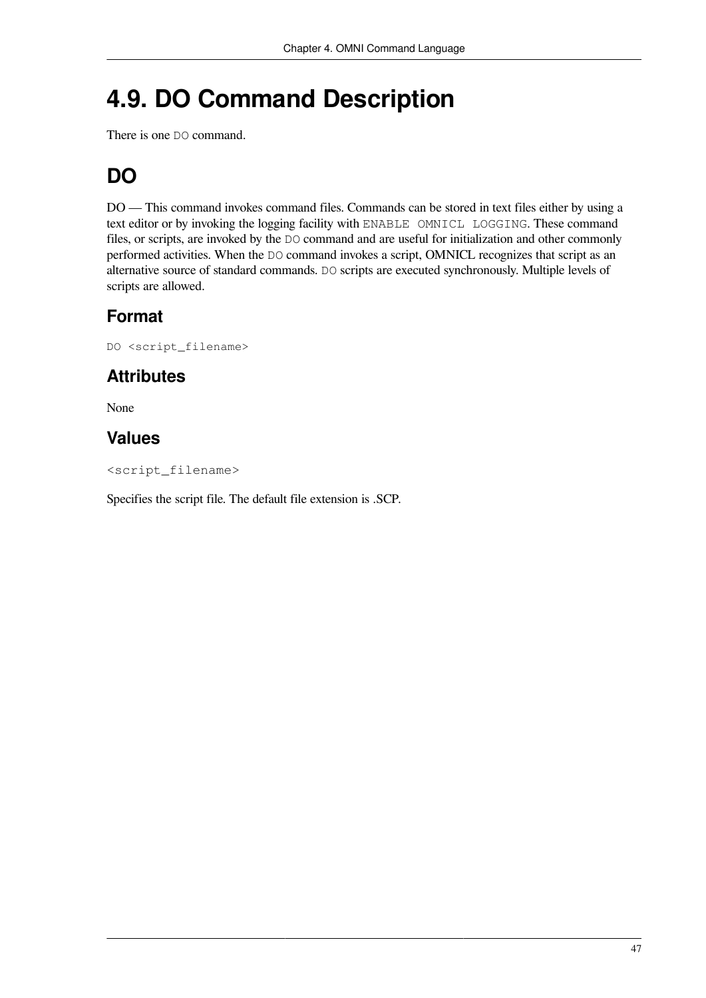# <span id="page-52-0"></span>**4.9. DO Command Description**

There is one DO command.

## **DO**

DO — This command invokes command files. Commands can be stored in text files either by using a text editor or by invoking the logging facility with ENABLE OMNICL LOGGING. These command files, or scripts, are invoked by the DO command and are useful for initialization and other commonly performed activities. When the DO command invokes a script, OMNICL recognizes that script as an alternative source of standard commands. DO scripts are executed synchronously. Multiple levels of scripts are allowed.

### **Format**

DO <script\_filename>

### **Attributes**

None

### **Values**

<script\_filename>

Specifies the script file. The default file extension is .SCP.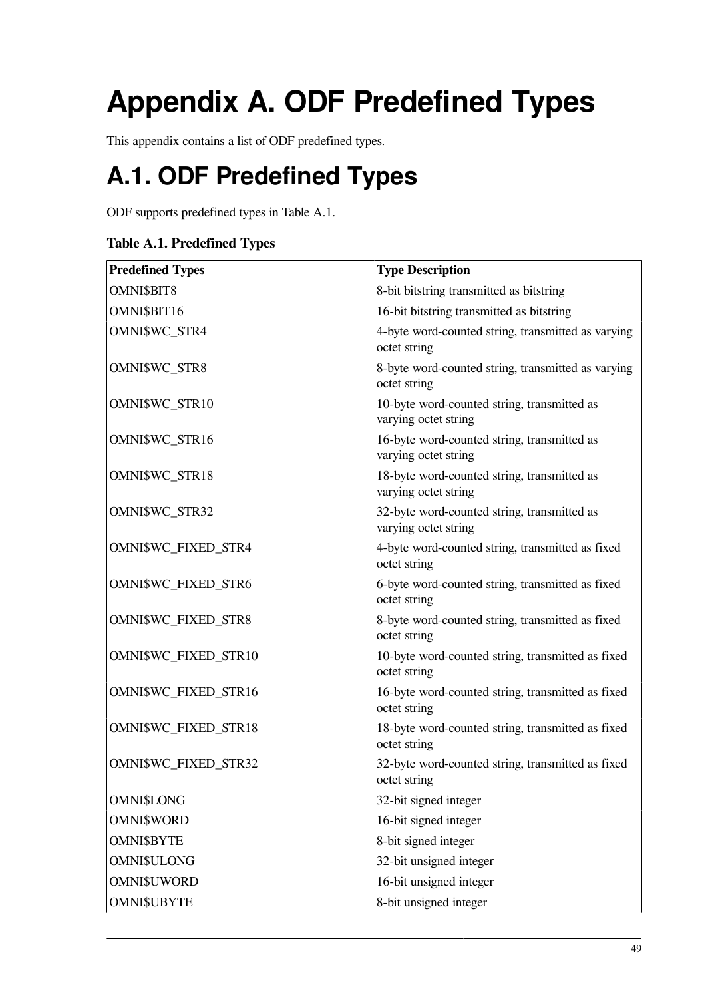# <span id="page-54-0"></span>**Appendix A. ODF Predefined Types**

This appendix contains a list of ODF predefined types.

# <span id="page-54-1"></span>**A.1. ODF Predefined Types**

ODF supports predefined types in [Table](#page-54-2) A.1.

#### <span id="page-54-2"></span>**Table A.1. Predefined Types**

| <b>Predefined Types</b> | <b>Type Description</b>                                             |
|-------------------------|---------------------------------------------------------------------|
| <b>OMNI\$BIT8</b>       | 8-bit bitstring transmitted as bitstring                            |
| OMNI\$BIT16             | 16-bit bitstring transmitted as bitstring                           |
| <b>OMNI\$WC STR4</b>    | 4-byte word-counted string, transmitted as varying<br>octet string  |
| OMNI\$WC_STR8           | 8-byte word-counted string, transmitted as varying<br>octet string  |
| OMNI\$WC_STR10          | 10-byte word-counted string, transmitted as<br>varying octet string |
| OMNI\$WC_STR16          | 16-byte word-counted string, transmitted as<br>varying octet string |
| OMNI\$WC_STR18          | 18-byte word-counted string, transmitted as<br>varying octet string |
| OMNI\$WC_STR32          | 32-byte word-counted string, transmitted as<br>varying octet string |
| OMNI\$WC_FIXED_STR4     | 4-byte word-counted string, transmitted as fixed<br>octet string    |
| OMNI\$WC_FIXED_STR6     | 6-byte word-counted string, transmitted as fixed<br>octet string    |
| OMNI\$WC_FIXED_STR8     | 8-byte word-counted string, transmitted as fixed<br>octet string    |
| OMNI\$WC_FIXED_STR10    | 10-byte word-counted string, transmitted as fixed<br>octet string   |
| OMNI\$WC_FIXED_STR16    | 16-byte word-counted string, transmitted as fixed<br>octet string   |
| OMNI\$WC_FIXED_STR18    | 18-byte word-counted string, transmitted as fixed<br>octet string   |
| OMNI\$WC_FIXED_STR32    | 32-byte word-counted string, transmitted as fixed<br>octet string   |
| <b>OMNI\$LONG</b>       | 32-bit signed integer                                               |
| <b>OMNI\$WORD</b>       | 16-bit signed integer                                               |
| <b>OMNI\$BYTE</b>       | 8-bit signed integer                                                |
| <b>OMNI\$ULONG</b>      | 32-bit unsigned integer                                             |
| <b>OMNI\$UWORD</b>      | 16-bit unsigned integer                                             |
| <b>OMNI\$UBYTE</b>      | 8-bit unsigned integer                                              |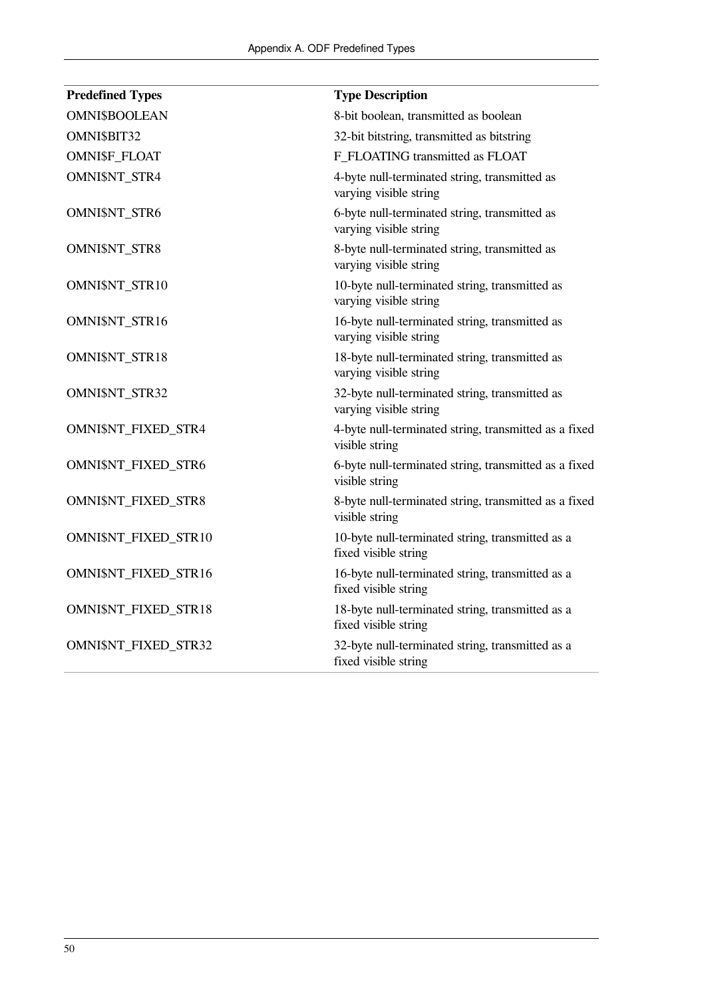| <b>Predefined Types</b> | <b>Type Description</b>                                                  |
|-------------------------|--------------------------------------------------------------------------|
| <b>OMNI\$BOOLEAN</b>    | 8-bit boolean, transmitted as boolean                                    |
| OMNI\$BIT32             | 32-bit bitstring, transmitted as bitstring                               |
| OMNI\$F_FLOAT           | F FLOATING transmitted as FLOAT                                          |
| OMNI\$NT_STR4           | 4-byte null-terminated string, transmitted as<br>varying visible string  |
| <b>OMNI\$NT_STR6</b>    | 6-byte null-terminated string, transmitted as<br>varying visible string  |
| OMNI\$NT_STR8           | 8-byte null-terminated string, transmitted as<br>varying visible string  |
| OMNI\$NT_STR10          | 10-byte null-terminated string, transmitted as<br>varying visible string |
| OMNI\$NT_STR16          | 16-byte null-terminated string, transmitted as<br>varying visible string |
| OMNI\$NT_STR18          | 18-byte null-terminated string, transmitted as<br>varying visible string |
| OMNI\$NT_STR32          | 32-byte null-terminated string, transmitted as<br>varying visible string |
| OMNI\$NT_FIXED_STR4     | 4-byte null-terminated string, transmitted as a fixed<br>visible string  |
| OMNI\$NT_FIXED_STR6     | 6-byte null-terminated string, transmitted as a fixed<br>visible string  |
| OMNI\$NT_FIXED_STR8     | 8-byte null-terminated string, transmitted as a fixed<br>visible string  |
| OMNI\$NT_FIXED_STR10    | 10-byte null-terminated string, transmitted as a<br>fixed visible string |
| OMNI\$NT_FIXED_STR16    | 16-byte null-terminated string, transmitted as a<br>fixed visible string |
| OMNI\$NT_FIXED_STR18    | 18-byte null-terminated string, transmitted as a<br>fixed visible string |
| OMNI\$NT_FIXED_STR32    | 32-byte null-terminated string, transmitted as a<br>fixed visible string |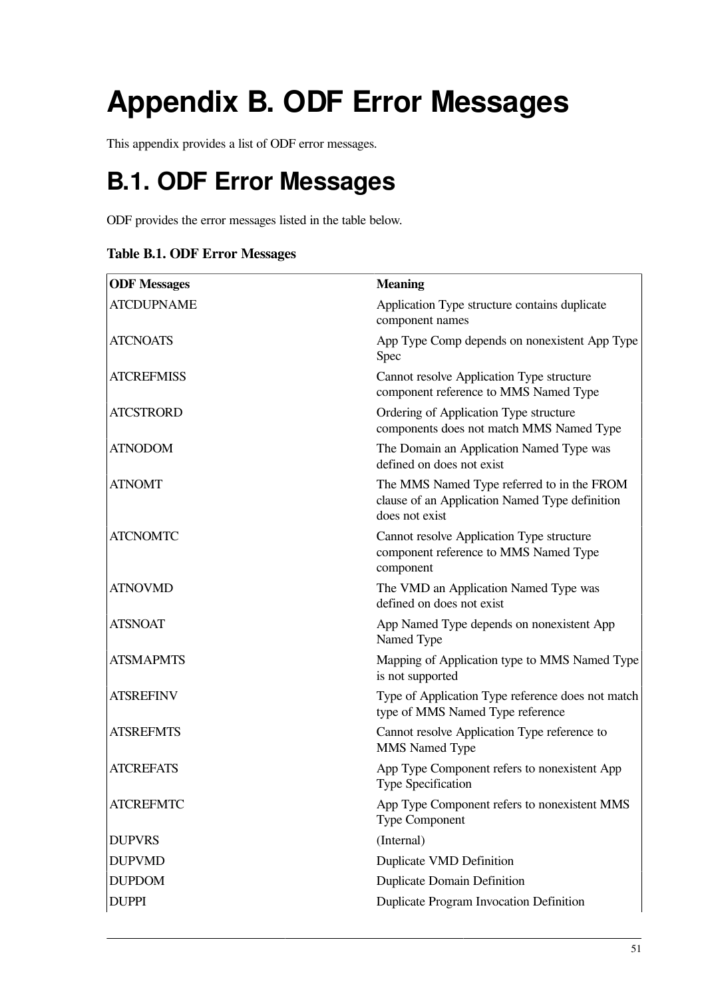# <span id="page-56-0"></span>**Appendix B. ODF Error Messages**

<span id="page-56-1"></span>This appendix provides a list of ODF error messages.

# **B.1. ODF Error Messages**

ODF provides the error messages listed in the table below.

#### **Table B.1. ODF Error Messages**

| <b>ODF</b> Messages | <b>Meaning</b>                                                                                                 |  |
|---------------------|----------------------------------------------------------------------------------------------------------------|--|
| <b>ATCDUPNAME</b>   | Application Type structure contains duplicate<br>component names                                               |  |
| <b>ATCNOATS</b>     | App Type Comp depends on nonexistent App Type<br>Spec                                                          |  |
| <b>ATCREFMISS</b>   | Cannot resolve Application Type structure<br>component reference to MMS Named Type                             |  |
| <b>ATCSTRORD</b>    | Ordering of Application Type structure<br>components does not match MMS Named Type                             |  |
| <b>ATNODOM</b>      | The Domain an Application Named Type was<br>defined on does not exist                                          |  |
| <b>ATNOMT</b>       | The MMS Named Type referred to in the FROM<br>clause of an Application Named Type definition<br>does not exist |  |
| <b>ATCNOMTC</b>     | Cannot resolve Application Type structure<br>component reference to MMS Named Type<br>component                |  |
| <b>ATNOVMD</b>      | The VMD an Application Named Type was<br>defined on does not exist                                             |  |
| <b>ATSNOAT</b>      | App Named Type depends on nonexistent App<br>Named Type                                                        |  |
| <b>ATSMAPMTS</b>    | Mapping of Application type to MMS Named Type<br>is not supported                                              |  |
| <b>ATSREFINV</b>    | Type of Application Type reference does not match<br>type of MMS Named Type reference                          |  |
| <b>ATSREFMTS</b>    | Cannot resolve Application Type reference to<br><b>MMS</b> Named Type                                          |  |
| <b>ATCREFATS</b>    | App Type Component refers to nonexistent App<br>Type Specification                                             |  |
| <b>ATCREFMTC</b>    | App Type Component refers to nonexistent MMS<br><b>Type Component</b>                                          |  |
| <b>DUPVRS</b>       | (Internal)                                                                                                     |  |
| <b>DUPVMD</b>       | Duplicate VMD Definition                                                                                       |  |
| <b>DUPDOM</b>       | <b>Duplicate Domain Definition</b>                                                                             |  |
| <b>DUPPI</b>        | Duplicate Program Invocation Definition                                                                        |  |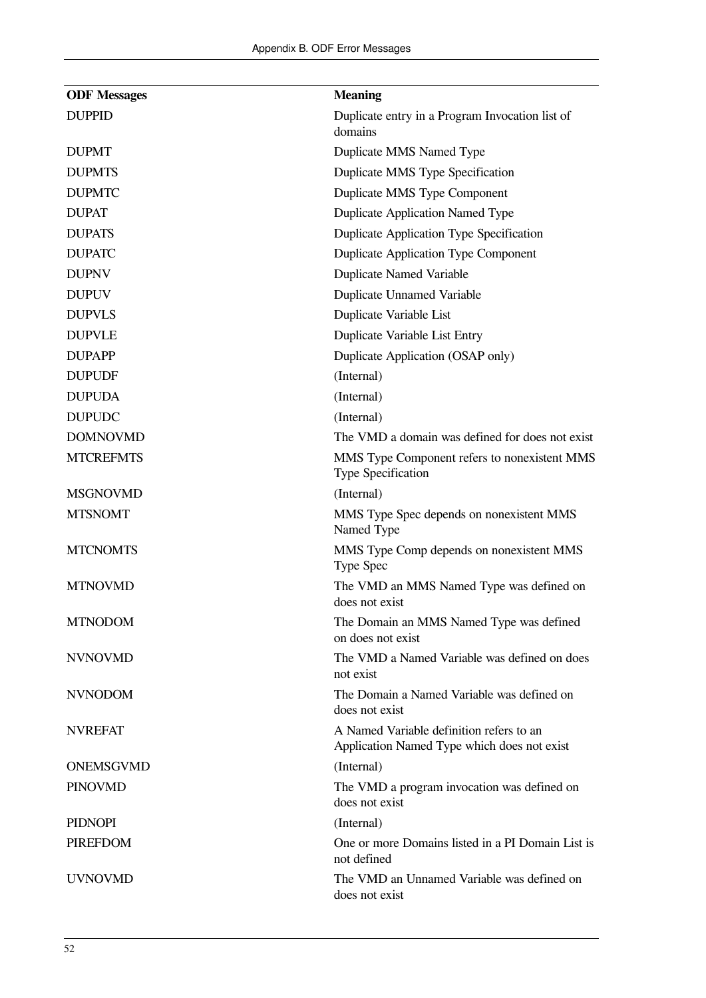| <b>ODF Messages</b> | <b>Meaning</b>                                                                          |  |
|---------------------|-----------------------------------------------------------------------------------------|--|
| <b>DUPPID</b>       | Duplicate entry in a Program Invocation list of<br>domains                              |  |
| <b>DUPMT</b>        | Duplicate MMS Named Type                                                                |  |
| <b>DUPMTS</b>       | Duplicate MMS Type Specification                                                        |  |
| <b>DUPMTC</b>       | Duplicate MMS Type Component                                                            |  |
| <b>DUPAT</b>        | Duplicate Application Named Type                                                        |  |
| <b>DUPATS</b>       | Duplicate Application Type Specification                                                |  |
| <b>DUPATC</b>       | <b>Duplicate Application Type Component</b>                                             |  |
| <b>DUPNV</b>        | <b>Duplicate Named Variable</b>                                                         |  |
| <b>DUPUV</b>        | <b>Duplicate Unnamed Variable</b>                                                       |  |
| <b>DUPVLS</b>       | Duplicate Variable List                                                                 |  |
| <b>DUPVLE</b>       | Duplicate Variable List Entry                                                           |  |
| <b>DUPAPP</b>       | Duplicate Application (OSAP only)                                                       |  |
| <b>DUPUDF</b>       | (Internal)                                                                              |  |
| <b>DUPUDA</b>       | (Internal)                                                                              |  |
| <b>DUPUDC</b>       | (Internal)                                                                              |  |
| <b>DOMNOVMD</b>     | The VMD a domain was defined for does not exist                                         |  |
| <b>MTCREFMTS</b>    | MMS Type Component refers to nonexistent MMS<br>Type Specification                      |  |
| <b>MSGNOVMD</b>     | (Internal)                                                                              |  |
| <b>MTSNOMT</b>      | MMS Type Spec depends on nonexistent MMS<br>Named Type                                  |  |
| <b>MTCNOMTS</b>     | MMS Type Comp depends on nonexistent MMS<br>Type Spec                                   |  |
| <b>MTNOVMD</b>      | The VMD an MMS Named Type was defined on<br>does not exist                              |  |
| <b>MTNODOM</b>      | The Domain an MMS Named Type was defined<br>on does not exist                           |  |
| <b>NVNOVMD</b>      | The VMD a Named Variable was defined on does<br>not exist                               |  |
| <b>NVNODOM</b>      | The Domain a Named Variable was defined on<br>does not exist                            |  |
| <b>NVREFAT</b>      | A Named Variable definition refers to an<br>Application Named Type which does not exist |  |
| ONEMSGVMD           | (Internal)                                                                              |  |
| <b>PINOVMD</b>      | The VMD a program invocation was defined on<br>does not exist                           |  |
| <b>PIDNOPI</b>      | (Internal)                                                                              |  |
| <b>PIREFDOM</b>     | One or more Domains listed in a PI Domain List is<br>not defined                        |  |
| <b>UVNOVMD</b>      | The VMD an Unnamed Variable was defined on<br>does not exist                            |  |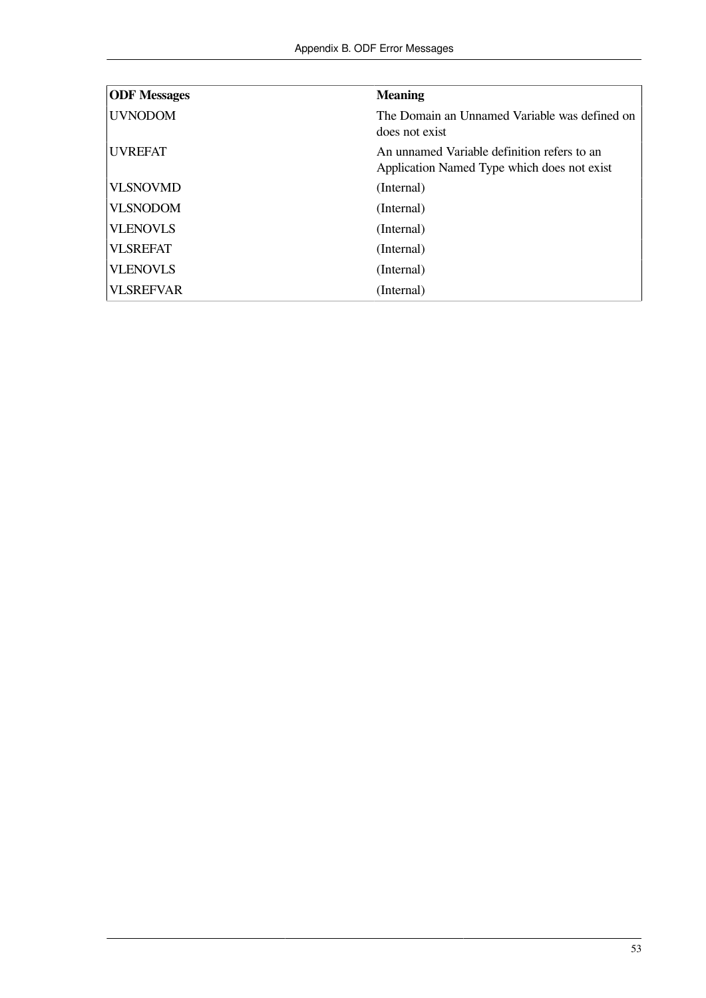| <b>ODF</b> Messages | <b>Meaning</b>                                                                             |
|---------------------|--------------------------------------------------------------------------------------------|
| <b>UVNODOM</b>      | The Domain an Unnamed Variable was defined on<br>does not exist                            |
| <b>UVREFAT</b>      | An unnamed Variable definition refers to an<br>Application Named Type which does not exist |
| <b>VLSNOVMD</b>     | (Internal)                                                                                 |
| <b>VLSNODOM</b>     | (Internal)                                                                                 |
| <b>VLENOVLS</b>     | (Internal)                                                                                 |
| <b>VLSREFAT</b>     | (Internal)                                                                                 |
| <b>VLENOVLS</b>     | (Internal)                                                                                 |
| <b>VLSREFVAR</b>    | (Internal)                                                                                 |